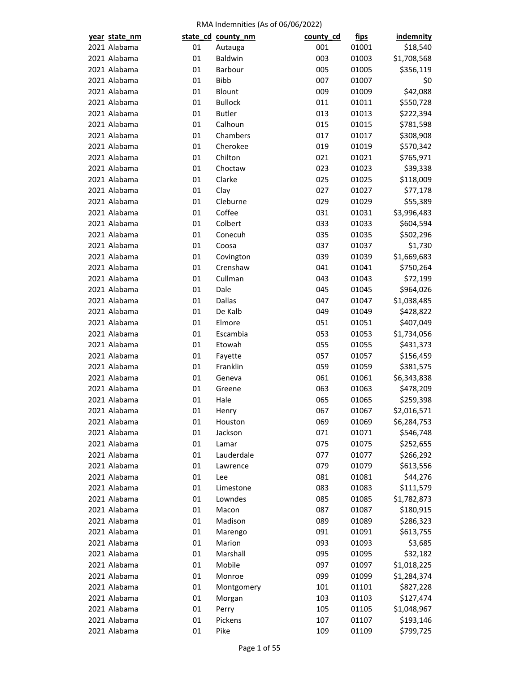| year state_nm                |          | state_cd_county_nm | county_cd | <u>fips</u> | <b>indemnity</b> |
|------------------------------|----------|--------------------|-----------|-------------|------------------|
| 2021 Alabama                 | 01       | Autauga            | 001       | 01001       | \$18,540         |
| 2021 Alabama                 | 01       | Baldwin            | 003       | 01003       | \$1,708,568      |
| 2021 Alabama                 | 01       | Barbour            | 005       | 01005       | \$356,119        |
| 2021 Alabama                 | 01       | <b>Bibb</b>        | 007       | 01007       | \$0              |
| 2021 Alabama                 | 01       | Blount             | 009       | 01009       | \$42,088         |
| 2021 Alabama                 | 01       | <b>Bullock</b>     | 011       | 01011       | \$550,728        |
| 2021 Alabama                 | 01       | <b>Butler</b>      | 013       | 01013       | \$222,394        |
| 2021 Alabama                 | 01       | Calhoun            | 015       | 01015       | \$781,598        |
| 2021 Alabama                 | 01       | Chambers           | 017       | 01017       | \$308,908        |
| 2021 Alabama                 | 01       | Cherokee           | 019       | 01019       | \$570,342        |
| 2021 Alabama                 | 01       | Chilton            | 021       | 01021       | \$765,971        |
| 2021 Alabama                 | 01       | Choctaw            | 023       | 01023       | \$39,338         |
| 2021 Alabama                 | 01       | Clarke             | 025       | 01025       | \$118,009        |
| 2021 Alabama                 | 01       | Clay               | 027       | 01027       | \$77,178         |
| 2021 Alabama                 | 01       | Cleburne           | 029       | 01029       | \$55,389         |
| 2021 Alabama                 | 01       | Coffee             | 031       | 01031       | \$3,996,483      |
| 2021 Alabama                 | 01       | Colbert            | 033       | 01033       | \$604,594        |
| 2021 Alabama                 | 01       | Conecuh            | 035       | 01035       | \$502,296        |
| 2021 Alabama                 | 01       | Coosa              | 037       | 01037       | \$1,730          |
| 2021 Alabama                 | 01       | Covington          | 039       | 01039       | \$1,669,683      |
| 2021 Alabama                 | 01       | Crenshaw           | 041       | 01041       | \$750,264        |
| 2021 Alabama                 | 01       | Cullman            | 043       | 01043       | \$72,199         |
| 2021 Alabama                 | 01       | Dale               | 045       | 01045       | \$964,026        |
| 2021 Alabama                 | 01       | <b>Dallas</b>      | 047       | 01047       | \$1,038,485      |
| 2021 Alabama                 | 01       | De Kalb            | 049       | 01049       | \$428,822        |
| 2021 Alabama                 | 01       | Elmore             | 051       | 01051       | \$407,049        |
| 2021 Alabama                 | 01       | Escambia           | 053       | 01053       | \$1,734,056      |
| 2021 Alabama                 | 01       | Etowah             | 055       | 01055       | \$431,373        |
| 2021 Alabama                 | 01       | Fayette            | 057       | 01057       | \$156,459        |
| 2021 Alabama                 | 01       | Franklin           | 059       | 01059       | \$381,575        |
| 2021 Alabama                 | 01       | Geneva             | 061       | 01061       | \$6,343,838      |
| 2021 Alabama                 | 01       | Greene             | 063       | 01063       | \$478,209        |
| 2021 Alabama                 | 01       | Hale               | 065       | 01065       | \$259,398        |
| 2021 Alabama                 | 01       | Henry              | 067       | 01067       | \$2,016,571      |
| 2021 Alabama                 | 01       | Houston            | 069       | 01069       | \$6,284,753      |
| 2021 Alabama                 | 01       | Jackson            | 071       | 01071       | \$546,748        |
| 2021 Alabama                 | 01       | Lamar              | 075       | 01075       | \$252,655        |
| 2021 Alabama                 | 01       | Lauderdale         | 077       | 01077       | \$266,292        |
| 2021 Alabama                 | 01       | Lawrence           | 079       | 01079       | \$613,556        |
| 2021 Alabama                 | 01       | Lee                | 081       | 01081       | \$44,276         |
| 2021 Alabama                 | 01       | Limestone          | 083       | 01083       | \$111,579        |
| 2021 Alabama                 | 01       | Lowndes            | 085       | 01085       | \$1,782,873      |
| 2021 Alabama                 | 01       | Macon              | 087       | 01087       | \$180,915        |
| 2021 Alabama                 | 01       | Madison            | 089       | 01089       | \$286,323        |
| 2021 Alabama                 | 01       | Marengo            | 091       | 01091       | \$613,755        |
| 2021 Alabama                 | 01       | Marion             | 093       | 01093       | \$3,685          |
| 2021 Alabama                 | 01       | Marshall           | 095       | 01095       | \$32,182         |
| 2021 Alabama                 | 01       | Mobile             | 097       | 01097       | \$1,018,225      |
|                              |          |                    |           |             |                  |
| 2021 Alabama<br>2021 Alabama | 01<br>01 | Monroe             | 099       | 01099       | \$1,284,374      |
|                              |          | Montgomery         | 101       | 01101       | \$827,228        |
| 2021 Alabama                 | 01       | Morgan             | 103       | 01103       | \$127,474        |
| 2021 Alabama                 | 01       | Perry              | 105       | 01105       | \$1,048,967      |
| 2021 Alabama                 | 01       | Pickens            | 107       | 01107       | \$193,146        |
| 2021 Alabama                 | 01       | Pike               | 109       | 01109       | \$799,725        |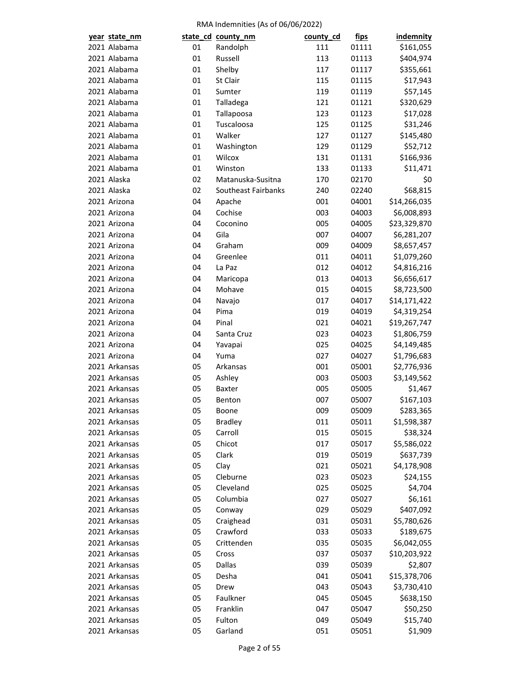| year state_nm                  |          | state_cd_county_nm  | county_cd  | <u>fips</u> | indemnity    |
|--------------------------------|----------|---------------------|------------|-------------|--------------|
| 2021 Alabama                   | 01       | Randolph            | 111        | 01111       | \$161,055    |
| 2021 Alabama                   | 01       | Russell             | 113        | 01113       | \$404,974    |
| 2021 Alabama                   | 01       | Shelby              | 117        | 01117       | \$355,661    |
| 2021 Alabama                   | 01       | St Clair            | 115        | 01115       | \$17,943     |
| 2021 Alabama                   | 01       | Sumter              | 119        | 01119       | \$57,145     |
| 2021 Alabama                   | 01       | Talladega           | 121        | 01121       | \$320,629    |
| 2021 Alabama                   | 01       | Tallapoosa          | 123        | 01123       | \$17,028     |
| 2021 Alabama                   | 01       | Tuscaloosa          | 125        | 01125       | \$31,246     |
| 2021 Alabama                   | 01       | Walker              | 127        | 01127       | \$145,480    |
| 2021 Alabama                   | 01       | Washington          | 129        | 01129       | \$52,712     |
| 2021 Alabama                   | 01       | Wilcox              | 131        | 01131       | \$166,936    |
| 2021 Alabama                   | 01       | Winston             | 133        | 01133       | \$11,471     |
| 2021 Alaska                    | 02       | Matanuska-Susitna   | 170        | 02170       | \$0          |
| 2021 Alaska                    | 02       | Southeast Fairbanks | 240        | 02240       | \$68,815     |
| 2021 Arizona                   | 04       | Apache              | 001        | 04001       | \$14,266,035 |
| 2021 Arizona                   | 04       | Cochise             | 003        | 04003       | \$6,008,893  |
| 2021 Arizona                   | 04       | Coconino            | 005        | 04005       | \$23,329,870 |
| 2021 Arizona                   | 04       | Gila                | 007        | 04007       | \$6,281,207  |
| 2021 Arizona                   | 04       | Graham              | 009        | 04009       | \$8,657,457  |
| 2021 Arizona                   | 04       | Greenlee            | 011        | 04011       | \$1,079,260  |
| 2021 Arizona                   | 04       | La Paz              | 012        | 04012       | \$4,816,216  |
| 2021 Arizona                   | 04       | Maricopa            | 013        | 04013       | \$6,656,617  |
| 2021 Arizona                   | 04       | Mohave              | 015        | 04015       | \$8,723,500  |
| 2021 Arizona                   | 04       | Navajo              | 017        | 04017       | \$14,171,422 |
| 2021 Arizona                   | 04       | Pima                | 019        | 04019       | \$4,319,254  |
| 2021 Arizona                   | 04       | Pinal               | 021        | 04021       | \$19,267,747 |
| 2021 Arizona                   | 04       | Santa Cruz          | 023        | 04023       | \$1,806,759  |
| 2021 Arizona                   | 04       | Yavapai             | 025        | 04025       | \$4,149,485  |
| 2021 Arizona                   | 04       | Yuma                | 027        | 04027       | \$1,796,683  |
| 2021 Arkansas                  | 05       | Arkansas            | 001        | 05001       | \$2,776,936  |
| 2021 Arkansas                  | 05       | Ashley              | 003        | 05003       | \$3,149,562  |
| 2021 Arkansas                  | 05       | <b>Baxter</b>       | 005        | 05005       | \$1,467      |
| 2021 Arkansas                  | 05       | Benton              | 007        | 05007       | \$167,103    |
| 2021 Arkansas                  | 05       | Boone               | 009        | 05009       | \$283,365    |
| 2021 Arkansas                  | 05       | <b>Bradley</b>      | 011        | 05011       | \$1,598,387  |
| 2021 Arkansas                  | 05       | Carroll             | 015        | 05015       | \$38,324     |
| 2021 Arkansas                  | 05       | Chicot              | 017        | 05017       | \$5,586,022  |
| 2021 Arkansas                  | 05       | Clark               | 019        | 05019       | \$637,739    |
| 2021 Arkansas                  | 05       | Clay                | 021        | 05021       | \$4,178,908  |
| 2021 Arkansas                  | 05       | Cleburne            | 023        | 05023       | \$24,155     |
| 2021 Arkansas                  | 05       | Cleveland           | 025        | 05025       | \$4,704      |
| 2021 Arkansas                  | 05       | Columbia            | 027        | 05027       | \$6,161      |
| 2021 Arkansas                  | 05       | Conway              | 029        | 05029       | \$407,092    |
| 2021 Arkansas                  | 05       | Craighead           | 031        | 05031       | \$5,780,626  |
| 2021 Arkansas                  | 05       | Crawford            | 033        | 05033       | \$189,675    |
| 2021 Arkansas                  | 05       | Crittenden          | 035        | 05035       | \$6,042,055  |
| 2021 Arkansas                  | 05       | Cross               | 037        | 05037       | \$10,203,922 |
| 2021 Arkansas                  | 05       | Dallas              | 039        | 05039       | \$2,807      |
|                                |          |                     |            |             |              |
| 2021 Arkansas<br>2021 Arkansas | 05<br>05 | Desha<br>Drew       | 041<br>043 | 05041       | \$15,378,706 |
| 2021 Arkansas                  | 05       | Faulkner            |            | 05043       | \$3,730,410  |
|                                |          |                     | 045        | 05045       | \$638,150    |
| 2021 Arkansas                  | 05       | Franklin            | 047        | 05047       | \$50,250     |
| 2021 Arkansas                  | 05       | Fulton              | 049        | 05049       | \$15,740     |
| 2021 Arkansas                  | 05       | Garland             | 051        | 05051       | \$1,909      |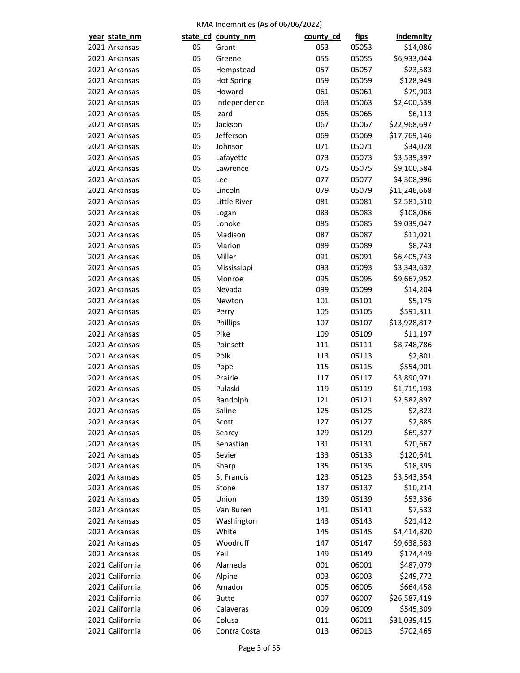| year state_nm                  |          | state_cd_county_nm | county_cd | <u>fips</u> | indemnity    |
|--------------------------------|----------|--------------------|-----------|-------------|--------------|
| 2021 Arkansas                  | 05       | Grant              | 053       | 05053       | \$14,086     |
| 2021 Arkansas                  | 05       | Greene             | 055       | 05055       | \$6,933,044  |
| 2021 Arkansas                  | 05       | Hempstead          | 057       | 05057       | \$23,583     |
| 2021 Arkansas                  | 05       | <b>Hot Spring</b>  | 059       | 05059       | \$128,949    |
| 2021 Arkansas                  | 05       | Howard             | 061       | 05061       | \$79,903     |
| 2021 Arkansas                  | 05       | Independence       | 063       | 05063       | \$2,400,539  |
| 2021 Arkansas                  | 05       | Izard              | 065       | 05065       | \$6,113      |
| 2021 Arkansas                  | 05       | Jackson            | 067       | 05067       | \$22,968,697 |
| 2021 Arkansas                  | 05       | Jefferson          | 069       | 05069       | \$17,769,146 |
| 2021 Arkansas                  | 05       | Johnson            | 071       | 05071       | \$34,028     |
| 2021 Arkansas                  | 05       | Lafayette          | 073       | 05073       | \$3,539,397  |
| 2021 Arkansas                  | 05       | Lawrence           | 075       | 05075       | \$9,100,584  |
| 2021 Arkansas                  | 05       | Lee                | 077       | 05077       | \$4,308,996  |
| 2021 Arkansas                  | 05       | Lincoln            | 079       | 05079       | \$11,246,668 |
| 2021 Arkansas                  | 05       | Little River       | 081       | 05081       | \$2,581,510  |
| 2021 Arkansas                  | 05       | Logan              | 083       | 05083       | \$108,066    |
| 2021 Arkansas                  | 05       | Lonoke             | 085       | 05085       | \$9,039,047  |
| 2021 Arkansas                  | 05       | Madison            | 087       | 05087       | \$11,021     |
| 2021 Arkansas                  | 05       | Marion             | 089       | 05089       | \$8,743      |
| 2021 Arkansas                  | 05       | Miller             | 091       | 05091       | \$6,405,743  |
| 2021 Arkansas                  | 05       | Mississippi        | 093       | 05093       | \$3,343,632  |
| 2021 Arkansas                  | 05       | Monroe             | 095       | 05095       | \$9,667,952  |
| 2021 Arkansas                  | 05       | Nevada             | 099       | 05099       | \$14,204     |
| 2021 Arkansas                  | 05       | Newton             | 101       | 05101       | \$5,175      |
| 2021 Arkansas                  | 05       | Perry              | 105       | 05105       | \$591,311    |
| 2021 Arkansas                  | 05       | Phillips           | 107       | 05107       | \$13,928,817 |
| 2021 Arkansas                  | 05       | Pike               | 109       | 05109       | \$11,197     |
| 2021 Arkansas                  | 05       | Poinsett           | 111       | 05111       | \$8,748,786  |
| 2021 Arkansas                  | 05       | Polk               | 113       | 05113       | \$2,801      |
| 2021 Arkansas                  | 05       | Pope               | 115       | 05115       | \$554,901    |
| 2021 Arkansas                  | 05       | Prairie            | 117       | 05117       | \$3,890,971  |
| 2021 Arkansas                  | 05       | Pulaski            | 119       | 05119       | \$1,719,193  |
| 2021 Arkansas                  | 05       | Randolph           | 121       | 05121       | \$2,582,897  |
| 2021 Arkansas                  | 05       | Saline             | 125       | 05125       | \$2,823      |
|                                |          |                    | 127       |             | \$2,885      |
| 2021 Arkansas<br>2021 Arkansas | 05<br>05 | Scott              | 129       | 05127       | \$69,327     |
|                                |          | Searcy             |           | 05129       |              |
| 2021 Arkansas                  | 05       | Sebastian          | 131       | 05131       | \$70,667     |
| 2021 Arkansas                  | 05       | Sevier             | 133       | 05133       | \$120,641    |
| 2021 Arkansas                  | 05       | Sharp              | 135       | 05135       | \$18,395     |
| 2021 Arkansas                  | 05       | St Francis         | 123       | 05123       | \$3,543,354  |
| 2021 Arkansas                  | 05       | Stone              | 137       | 05137       | \$10,214     |
| 2021 Arkansas                  | 05       | Union              | 139       | 05139       | \$53,336     |
| 2021 Arkansas                  | 05       | Van Buren          | 141       | 05141       | \$7,533      |
| 2021 Arkansas                  | 05       | Washington         | 143       | 05143       | \$21,412     |
| 2021 Arkansas                  | 05       | White              | 145       | 05145       | \$4,414,820  |
| 2021 Arkansas                  | 05       | Woodruff           | 147       | 05147       | \$9,638,583  |
| 2021 Arkansas                  | 05       | Yell               | 149       | 05149       | \$174,449    |
| 2021 California                | 06       | Alameda            | 001       | 06001       | \$487,079    |
| 2021 California                | 06       | Alpine             | 003       | 06003       | \$249,772    |
| 2021 California                | 06       | Amador             | 005       | 06005       | \$664,458    |
| 2021 California                | 06       | <b>Butte</b>       | 007       | 06007       | \$26,587,419 |
| 2021 California                | 06       | Calaveras          | 009       | 06009       | \$545,309    |
| 2021 California                | 06       | Colusa             | 011       | 06011       | \$31,039,415 |
| 2021 California                | 06       | Contra Costa       | 013       | 06013       | \$702,465    |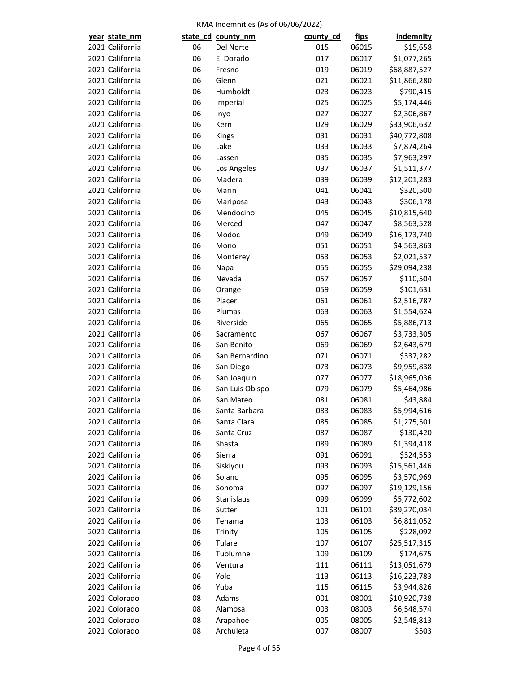| year state_nm                      |          | state_cd_county_nm        | county_cd | <u>fips</u>    | indemnity                |
|------------------------------------|----------|---------------------------|-----------|----------------|--------------------------|
| 2021 California                    | 06       | Del Norte                 | 015       | 06015          | \$15,658                 |
| 2021 California                    | 06       | El Dorado                 | 017       | 06017          | \$1,077,265              |
| 2021 California                    | 06       | Fresno                    | 019       | 06019          | \$68,887,527             |
| 2021 California                    | 06       | Glenn                     | 021       | 06021          | \$11,866,280             |
| 2021 California                    | 06       | Humboldt                  | 023       | 06023          | \$790,415                |
| 2021 California                    | 06       | Imperial                  | 025       | 06025          | \$5,174,446              |
| 2021 California                    | 06       | Inyo                      | 027       | 06027          | \$2,306,867              |
| 2021 California                    | 06       | Kern                      | 029       | 06029          | \$33,906,632             |
| 2021 California                    | 06       | Kings                     | 031       | 06031          | \$40,772,808             |
| 2021 California                    | 06       | Lake                      | 033       | 06033          | \$7,874,264              |
| 2021 California                    | 06       | Lassen                    | 035       | 06035          | \$7,963,297              |
| 2021 California                    | 06       | Los Angeles               | 037       | 06037          | \$1,511,377              |
| 2021 California                    | 06       | Madera                    | 039       | 06039          | \$12,201,283             |
| 2021 California                    | 06       | Marin                     | 041       | 06041          | \$320,500                |
| 2021 California                    | 06       | Mariposa                  | 043       | 06043          | \$306,178                |
| 2021 California                    | 06       | Mendocino                 | 045       | 06045          | \$10,815,640             |
| 2021 California                    | 06       | Merced                    | 047       | 06047          | \$8,563,528              |
| 2021 California                    | 06       | Modoc                     | 049       | 06049          | \$16,173,740             |
| 2021 California                    | 06       | Mono                      | 051       | 06051          | \$4,563,863              |
| 2021 California                    | 06       | Monterey                  | 053       | 06053          | \$2,021,537              |
| 2021 California                    | 06       | Napa                      | 055       | 06055          | \$29,094,238             |
| 2021 California                    | 06       | Nevada                    | 057       | 06057          | \$110,504                |
| 2021 California                    | 06       | Orange                    | 059       | 06059          | \$101,631                |
| 2021 California                    | 06       | Placer                    | 061       | 06061          | \$2,516,787              |
| 2021 California                    | 06       | Plumas                    | 063       | 06063          | \$1,554,624              |
| 2021 California                    | 06       | Riverside                 | 065       | 06065          | \$5,886,713              |
| 2021 California                    | 06       | Sacramento                | 067       | 06067          | \$3,733,305              |
| 2021 California                    | 06       | San Benito                | 069       | 06069          | \$2,643,679              |
| 2021 California                    | 06       | San Bernardino            | 071       | 06071          | \$337,282                |
| 2021 California                    | 06       | San Diego                 | 073       | 06073          | \$9,959,838              |
| 2021 California                    | 06       | San Joaquin               | 077       | 06077          | \$18,965,036             |
| 2021 California                    | 06       | San Luis Obispo           | 079       | 06079          | \$5,464,986              |
| 2021 California                    | 06       | San Mateo                 | 081       | 06081          | \$43,884                 |
| 2021 California                    | 06       | Santa Barbara             | 083       | 06083          | \$5,994,616              |
|                                    |          |                           | 085       | 06085          |                          |
| 2021 California<br>2021 California | 06<br>06 | Santa Clara<br>Santa Cruz | 087       | 06087          | \$1,275,501<br>\$130,420 |
| 2021 California                    | 06       |                           | 089       | 06089          |                          |
| 2021 California                    | 06       | Shasta<br>Sierra          | 091       | 06091          | \$1,394,418<br>\$324,553 |
| 2021 California                    |          |                           |           | 06093          |                          |
| 2021 California                    | 06<br>06 | Siskiyou<br>Solano        | 093       |                | \$15,561,446             |
| 2021 California                    |          |                           | 095       | 06095<br>06097 | \$3,570,969              |
| 2021 California                    | 06       | Sonoma                    | 097       |                | \$19,129,156             |
|                                    | 06       | Stanislaus                | 099       | 06099          | \$5,772,602              |
| 2021 California                    | 06       | Sutter                    | 101       | 06101          | \$39,270,034             |
| 2021 California                    | 06       | Tehama                    | 103       | 06103          | \$6,811,052              |
| 2021 California                    | 06       | Trinity                   | 105       | 06105          | \$228,092                |
| 2021 California                    | 06       | Tulare                    | 107       | 06107          | \$25,517,315             |
| 2021 California                    | 06       | Tuolumne                  | 109       | 06109          | \$174,675                |
| 2021 California                    | 06       | Ventura                   | 111       | 06111          | \$13,051,679             |
| 2021 California                    | 06       | Yolo                      | 113       | 06113          | \$16,223,783             |
| 2021 California                    | 06       | Yuba                      | 115       | 06115          | \$3,944,826              |
| 2021 Colorado                      | 08       | Adams                     | 001       | 08001          | \$10,920,738             |
| 2021 Colorado                      | 08       | Alamosa                   | 003       | 08003          | \$6,548,574              |
| 2021 Colorado                      | 08       | Arapahoe                  | 005       | 08005          | \$2,548,813              |
| 2021 Colorado                      | 08       | Archuleta                 | 007       | 08007          | \$503                    |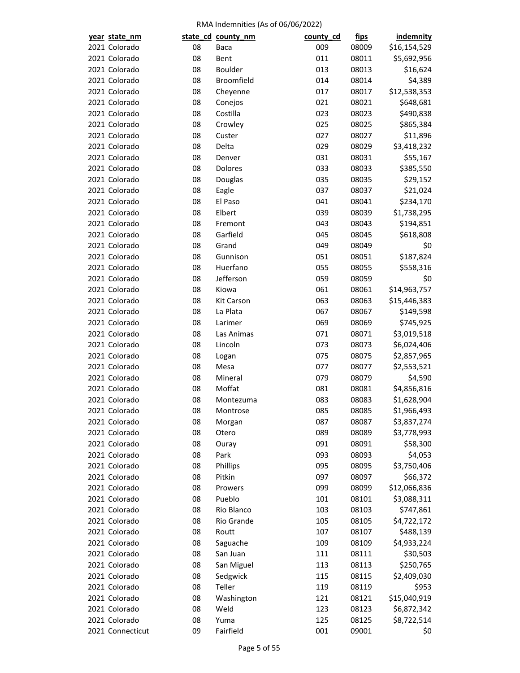| year state_nm    |    | state_cd_county_nm | county_cd | <u>fips</u> | <b>indemnity</b> |
|------------------|----|--------------------|-----------|-------------|------------------|
| 2021 Colorado    | 08 | Baca               | 009       | 08009       | \$16,154,529     |
| 2021 Colorado    | 08 | Bent               | 011       | 08011       | \$5,692,956      |
| 2021 Colorado    | 08 | Boulder            | 013       | 08013       | \$16,624         |
| 2021 Colorado    | 08 | Broomfield         | 014       | 08014       | \$4,389          |
| 2021 Colorado    | 08 | Cheyenne           | 017       | 08017       | \$12,538,353     |
| 2021 Colorado    | 08 | Conejos            | 021       | 08021       | \$648,681        |
| 2021 Colorado    | 08 | Costilla           | 023       | 08023       | \$490,838        |
| 2021 Colorado    | 08 | Crowley            | 025       | 08025       | \$865,384        |
| 2021 Colorado    | 08 | Custer             | 027       | 08027       | \$11,896         |
| 2021 Colorado    | 08 | Delta              | 029       | 08029       | \$3,418,232      |
| 2021 Colorado    | 08 | Denver             | 031       | 08031       | \$55,167         |
| 2021 Colorado    | 08 | Dolores            | 033       | 08033       | \$385,550        |
| 2021 Colorado    | 08 | Douglas            | 035       | 08035       | \$29,152         |
| 2021 Colorado    | 08 | Eagle              | 037       | 08037       | \$21,024         |
| 2021 Colorado    | 08 | El Paso            | 041       | 08041       | \$234,170        |
| 2021 Colorado    | 08 | Elbert             | 039       | 08039       | \$1,738,295      |
| 2021 Colorado    | 08 | Fremont            | 043       | 08043       | \$194,851        |
| 2021 Colorado    | 08 | Garfield           | 045       | 08045       | \$618,808        |
| 2021 Colorado    | 08 | Grand              | 049       | 08049       | \$0              |
| 2021 Colorado    | 08 | Gunnison           | 051       | 08051       | \$187,824        |
| 2021 Colorado    | 08 | Huerfano           | 055       | 08055       | \$558,316        |
| 2021 Colorado    | 08 | Jefferson          | 059       | 08059       | \$0              |
| 2021 Colorado    | 08 | Kiowa              | 061       | 08061       | \$14,963,757     |
| 2021 Colorado    | 08 | <b>Kit Carson</b>  | 063       | 08063       | \$15,446,383     |
| 2021 Colorado    | 08 | La Plata           | 067       | 08067       | \$149,598        |
| 2021 Colorado    | 08 | Larimer            | 069       | 08069       | \$745,925        |
| 2021 Colorado    | 08 | Las Animas         | 071       | 08071       | \$3,019,518      |
| 2021 Colorado    | 08 | Lincoln            | 073       | 08073       | \$6,024,406      |
| 2021 Colorado    | 08 | Logan              | 075       | 08075       | \$2,857,965      |
| 2021 Colorado    | 08 | Mesa               | 077       | 08077       | \$2,553,521      |
| 2021 Colorado    | 08 | Mineral            | 079       | 08079       | \$4,590          |
| 2021 Colorado    | 08 | Moffat             | 081       | 08081       | \$4,856,816      |
| 2021 Colorado    | 08 |                    | 083       | 08083       | \$1,628,904      |
|                  |    | Montezuma          |           |             |                  |
| 2021 Colorado    | 08 | Montrose           | 085       | 08085       | \$1,966,493      |
| 2021 Colorado    | 08 | Morgan             | 087       | 08087       | \$3,837,274      |
| 2021 Colorado    | 08 | Otero              | 089       | 08089       | \$3,778,993      |
| 2021 Colorado    | 08 | Ouray              | 091       | 08091       | \$58,300         |
| 2021 Colorado    | 08 | Park               | 093       | 08093       | \$4,053          |
| 2021 Colorado    | 08 | Phillips           | 095       | 08095       | \$3,750,406      |
| 2021 Colorado    | 08 | Pitkin             | 097       | 08097       | \$66,372         |
| 2021 Colorado    | 08 | Prowers            | 099       | 08099       | \$12,066,836     |
| 2021 Colorado    | 08 | Pueblo             | 101       | 08101       | \$3,088,311      |
| 2021 Colorado    | 08 | Rio Blanco         | 103       | 08103       | \$747,861        |
| 2021 Colorado    | 08 | Rio Grande         | 105       | 08105       | \$4,722,172      |
| 2021 Colorado    | 08 | Routt              | 107       | 08107       | \$488,139        |
| 2021 Colorado    | 08 | Saguache           | 109       | 08109       | \$4,933,224      |
| 2021 Colorado    | 08 | San Juan           | 111       | 08111       | \$30,503         |
| 2021 Colorado    | 08 | San Miguel         | 113       | 08113       | \$250,765        |
| 2021 Colorado    | 08 | Sedgwick           | 115       | 08115       | \$2,409,030      |
| 2021 Colorado    | 08 | Teller             | 119       | 08119       | \$953            |
| 2021 Colorado    | 08 | Washington         | 121       | 08121       | \$15,040,919     |
| 2021 Colorado    | 08 | Weld               | 123       | 08123       | \$6,872,342      |
| 2021 Colorado    | 08 | Yuma               | 125       | 08125       | \$8,722,514      |
| 2021 Connecticut | 09 | Fairfield          | 001       | 09001       | \$0              |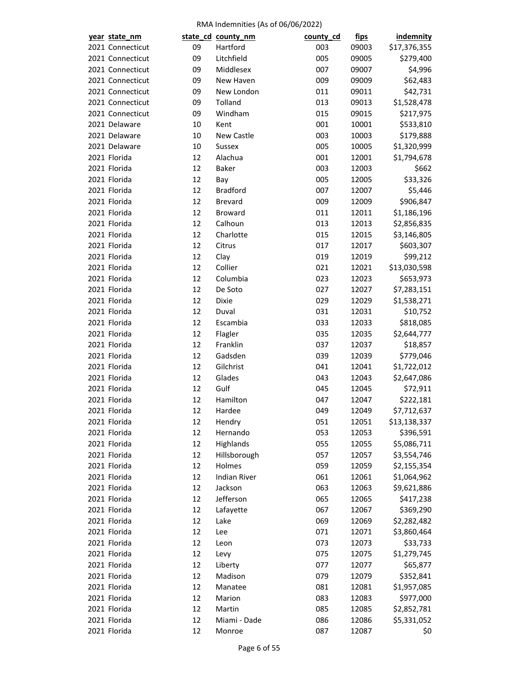| year state_nm    |    | state_cd_county_nm  | county_cd | <u>fips</u> | <b>indemnity</b> |
|------------------|----|---------------------|-----------|-------------|------------------|
| 2021 Connecticut | 09 | Hartford            | 003       | 09003       | \$17,376,355     |
| 2021 Connecticut | 09 | Litchfield          | 005       | 09005       | \$279,400        |
| 2021 Connecticut | 09 | Middlesex           | 007       | 09007       | \$4,996          |
| 2021 Connecticut | 09 | New Haven           | 009       | 09009       | \$62,483         |
| 2021 Connecticut | 09 | New London          | 011       | 09011       | \$42,731         |
| 2021 Connecticut | 09 | Tolland             | 013       | 09013       | \$1,528,478      |
| 2021 Connecticut | 09 | Windham             | 015       | 09015       | \$217,975        |
| 2021 Delaware    | 10 | Kent                | 001       | 10001       | \$533,810        |
| 2021 Delaware    | 10 | New Castle          | 003       | 10003       | \$179,888        |
| 2021 Delaware    | 10 | <b>Sussex</b>       | 005       | 10005       | \$1,320,999      |
| 2021 Florida     | 12 | Alachua             | 001       | 12001       | \$1,794,678      |
| 2021 Florida     | 12 | <b>Baker</b>        | 003       | 12003       | \$662            |
| 2021 Florida     | 12 | Bay                 | 005       | 12005       | \$33,326         |
| 2021 Florida     | 12 | <b>Bradford</b>     |           |             | \$5,446          |
|                  |    |                     | 007       | 12007       |                  |
| 2021 Florida     | 12 | <b>Brevard</b>      | 009       | 12009       | \$906,847        |
| 2021 Florida     | 12 | <b>Broward</b>      | 011       | 12011       | \$1,186,196      |
| 2021 Florida     | 12 | Calhoun             | 013       | 12013       | \$2,856,835      |
| 2021 Florida     | 12 | Charlotte           | 015       | 12015       | \$3,146,805      |
| 2021 Florida     | 12 | Citrus              | 017       | 12017       | \$603,307        |
| 2021 Florida     | 12 | Clay                | 019       | 12019       | \$99,212         |
| 2021 Florida     | 12 | Collier             | 021       | 12021       | \$13,030,598     |
| 2021 Florida     | 12 | Columbia            | 023       | 12023       | \$653,973        |
| 2021 Florida     | 12 | De Soto             | 027       | 12027       | \$7,283,151      |
| 2021 Florida     | 12 | <b>Dixie</b>        | 029       | 12029       | \$1,538,271      |
| 2021 Florida     | 12 | Duval               | 031       | 12031       | \$10,752         |
| 2021 Florida     | 12 | Escambia            | 033       | 12033       | \$818,085        |
| 2021 Florida     | 12 | Flagler             | 035       | 12035       | \$2,644,777      |
| 2021 Florida     | 12 | Franklin            | 037       | 12037       | \$18,857         |
| 2021 Florida     | 12 | Gadsden             | 039       | 12039       | \$779,046        |
| 2021 Florida     | 12 | Gilchrist           | 041       | 12041       | \$1,722,012      |
| 2021 Florida     | 12 | Glades              | 043       | 12043       | \$2,647,086      |
| 2021 Florida     | 12 | Gulf                | 045       | 12045       | \$72,911         |
| 2021 Florida     | 12 | Hamilton            | 047       | 12047       | \$222,181        |
| 2021 Florida     | 12 | Hardee              | 049       | 12049       | \$7,712,637      |
| 2021 Florida     | 12 | Hendry              | 051       | 12051       | \$13,138,337     |
| 2021 Florida     | 12 | Hernando            | 053       | 12053       | \$396,591        |
| 2021 Florida     | 12 | Highlands           | 055       | 12055       | \$5,086,711      |
| 2021 Florida     | 12 | Hillsborough        | 057       | 12057       | \$3,554,746      |
| 2021 Florida     | 12 | Holmes              | 059       | 12059       | \$2,155,354      |
| 2021 Florida     | 12 | <b>Indian River</b> | 061       | 12061       | \$1,064,962      |
| 2021 Florida     | 12 | Jackson             | 063       | 12063       | \$9,621,886      |
| 2021 Florida     | 12 | Jefferson           | 065       | 12065       | \$417,238        |
| 2021 Florida     | 12 | Lafayette           | 067       | 12067       | \$369,290        |
| 2021 Florida     | 12 | Lake                | 069       | 12069       | \$2,282,482      |
| 2021 Florida     | 12 | Lee                 | 071       | 12071       | \$3,860,464      |
| 2021 Florida     |    |                     |           |             |                  |
|                  | 12 | Leon                | 073       | 12073       | \$33,733         |
| 2021 Florida     | 12 | Levy                | 075       | 12075       | \$1,279,745      |
| 2021 Florida     | 12 | Liberty             | 077       | 12077       | \$65,877         |
| 2021 Florida     | 12 | Madison             | 079       | 12079       | \$352,841        |
| 2021 Florida     | 12 | Manatee             | 081       | 12081       | \$1,957,085      |
| 2021 Florida     | 12 | Marion              | 083       | 12083       | \$977,000        |
| 2021 Florida     | 12 | Martin              | 085       | 12085       | \$2,852,781      |
| 2021 Florida     | 12 | Miami - Dade        | 086       | 12086       | \$5,331,052      |
| 2021 Florida     | 12 | Monroe              | 087       | 12087       | \$0              |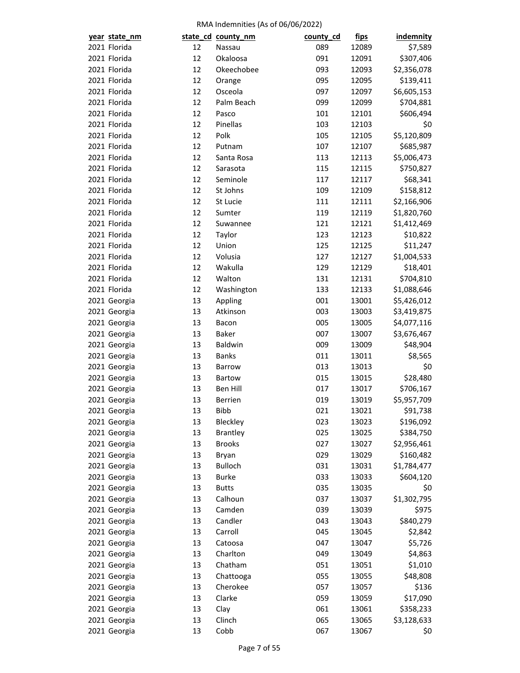| year state_nm                |          | state_cd_county_nm          | county_cd | <u>fips</u>    | <b>indemnity</b> |
|------------------------------|----------|-----------------------------|-----------|----------------|------------------|
| 2021 Florida                 | 12       | Nassau                      | 089       | 12089          | \$7,589          |
| 2021 Florida                 | 12       | Okaloosa                    | 091       | 12091          | \$307,406        |
| 2021 Florida                 | 12       | Okeechobee                  | 093       | 12093          | \$2,356,078      |
| 2021 Florida                 | 12       | Orange                      | 095       | 12095          | \$139,411        |
| 2021 Florida                 | 12       | Osceola                     | 097       | 12097          | \$6,605,153      |
| 2021 Florida                 | 12       | Palm Beach                  | 099       | 12099          | \$704,881        |
| 2021 Florida                 | 12       | Pasco                       | 101       | 12101          | \$606,494        |
| 2021 Florida                 | 12       | Pinellas                    | 103       | 12103          | \$0              |
| 2021 Florida                 | 12       | Polk                        | 105       | 12105          | \$5,120,809      |
| 2021 Florida                 | 12       | Putnam                      | 107       | 12107          | \$685,987        |
| 2021 Florida                 | 12       | Santa Rosa                  | 113       | 12113          | \$5,006,473      |
| 2021 Florida                 | 12       | Sarasota                    | 115       | 12115          | \$750,827        |
| 2021 Florida                 | 12       | Seminole                    | 117       | 12117          | \$68,341         |
| 2021 Florida                 | 12       | St Johns                    | 109       | 12109          | \$158,812        |
| 2021 Florida                 | 12       | St Lucie                    | 111       | 12111          | \$2,166,906      |
| 2021 Florida                 | 12       | Sumter                      | 119       | 12119          | \$1,820,760      |
| 2021 Florida                 | 12       | Suwannee                    | 121       | 12121          | \$1,412,469      |
| 2021 Florida                 | 12       | Taylor                      | 123       | 12123          | \$10,822         |
| 2021 Florida                 | 12       | Union                       | 125       | 12125          | \$11,247         |
| 2021 Florida                 | 12       | Volusia                     | 127       | 12127          | \$1,004,533      |
| 2021 Florida                 | 12       | Wakulla                     | 129       | 12129          | \$18,401         |
| 2021 Florida                 | 12       | Walton                      | 131       | 12131          | \$704,810        |
| 2021 Florida                 | 12       | Washington                  | 133       | 12133          | \$1,088,646      |
| 2021 Georgia                 | 13       | Appling                     | 001       | 13001          | \$5,426,012      |
| 2021 Georgia                 | 13       | Atkinson                    | 003       | 13003          | \$3,419,875      |
| 2021 Georgia                 | 13       | Bacon                       | 005       | 13005          | \$4,077,116      |
| 2021 Georgia                 | 13       | <b>Baker</b>                | 007       | 13007          | \$3,676,467      |
| 2021 Georgia                 | 13       | Baldwin                     | 009       | 13009          | \$48,904         |
| 2021 Georgia                 | 13       | <b>Banks</b>                | 011       | 13011          | \$8,565          |
| 2021 Georgia                 | 13       | Barrow                      | 013       | 13013          | \$0              |
| 2021 Georgia                 | 13       | <b>Bartow</b>               | 015       | 13015          | \$28,480         |
| 2021 Georgia                 | 13       | <b>Ben Hill</b>             | 017       | 13017          | \$706,167        |
| 2021 Georgia                 | 13       | <b>Berrien</b>              | 019       | 13019          | \$5,957,709      |
| 2021 Georgia                 | 13       | <b>Bibb</b>                 | 021       | 13021          | \$91,738         |
|                              |          |                             | 023       |                | \$196,092        |
| 2021 Georgia<br>2021 Georgia | 13<br>13 | Bleckley<br><b>Brantley</b> | 025       | 13023<br>13025 |                  |
|                              | 13       | <b>Brooks</b>               | 027       |                | \$384,750        |
| 2021 Georgia                 | 13       |                             | 029       | 13027          | \$2,956,461      |
| 2021 Georgia                 |          | Bryan                       |           | 13029          | \$160,482        |
| 2021 Georgia<br>2021 Georgia | 13       | <b>Bulloch</b>              | 031       | 13031          | \$1,784,477      |
|                              | 13       | <b>Burke</b>                | 033       | 13033          | \$604,120        |
| 2021 Georgia                 | 13       | <b>Butts</b>                | 035       | 13035          | \$0              |
| 2021 Georgia                 | 13       | Calhoun                     | 037       | 13037          | \$1,302,795      |
| 2021 Georgia                 | 13       | Camden                      | 039       | 13039          | \$975            |
| 2021 Georgia                 | 13       | Candler                     | 043       | 13043          | \$840,279        |
| 2021 Georgia                 | 13       | Carroll                     | 045       | 13045          | \$2,842          |
| 2021 Georgia                 | 13       | Catoosa                     | 047       | 13047          | \$5,726          |
| 2021 Georgia                 | 13       | Charlton                    | 049       | 13049          | \$4,863          |
| 2021 Georgia                 | 13       | Chatham                     | 051       | 13051          | \$1,010          |
| 2021 Georgia                 | 13       | Chattooga                   | 055       | 13055          | \$48,808         |
| 2021 Georgia                 | 13       | Cherokee                    | 057       | 13057          | \$136            |
| 2021 Georgia                 | 13       | Clarke                      | 059       | 13059          | \$17,090         |
| 2021 Georgia                 | 13       | Clay                        | 061       | 13061          | \$358,233        |
| 2021 Georgia                 | 13       | Clinch                      | 065       | 13065          | \$3,128,633      |
| 2021 Georgia                 | 13       | Cobb                        | 067       | 13067          | \$0              |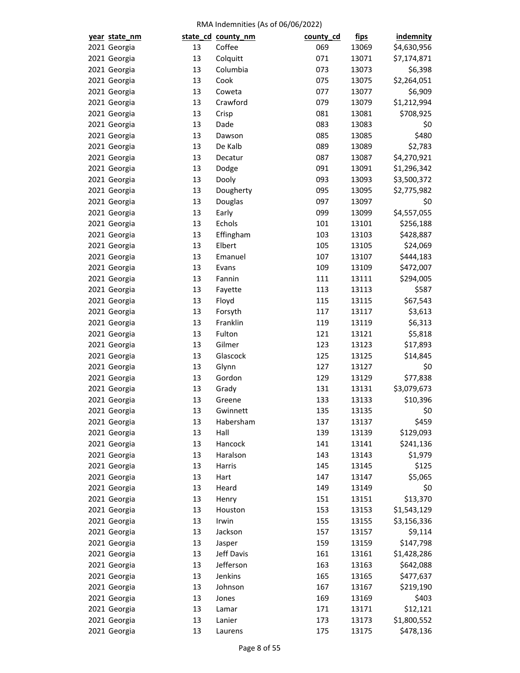| year state_nm                |          | state_cd_county_nm | county_cd | <u>fips</u>    | <b>indemnity</b> |
|------------------------------|----------|--------------------|-----------|----------------|------------------|
| 2021 Georgia                 | 13       | Coffee             | 069       | 13069          | \$4,630,956      |
| 2021 Georgia                 | 13       | Colquitt           | 071       | 13071          | \$7,174,871      |
| 2021 Georgia                 | 13       | Columbia           | 073       | 13073          | \$6,398          |
| 2021 Georgia                 | 13       | Cook               | 075       | 13075          | \$2,264,051      |
| 2021 Georgia                 | 13       | Coweta             | 077       | 13077          | \$6,909          |
| 2021 Georgia                 | 13       | Crawford           | 079       | 13079          | \$1,212,994      |
| 2021 Georgia                 | 13       | Crisp              | 081       | 13081          | \$708,925        |
| 2021 Georgia                 | 13       | Dade               | 083       | 13083          | \$0              |
| 2021 Georgia                 | 13       | Dawson             | 085       | 13085          | \$480            |
| 2021 Georgia                 | 13       | De Kalb            | 089       | 13089          | \$2,783          |
| 2021 Georgia                 | 13       | Decatur            | 087       | 13087          | \$4,270,921      |
| 2021 Georgia                 | 13       | Dodge              | 091       | 13091          | \$1,296,342      |
| 2021 Georgia                 | 13       | Dooly              | 093       | 13093          | \$3,500,372      |
| 2021 Georgia                 | 13       | Dougherty          | 095       | 13095          | \$2,775,982      |
| 2021 Georgia                 | 13       | Douglas            | 097       | 13097          | \$0              |
| 2021 Georgia                 | 13       | Early              | 099       | 13099          | \$4,557,055      |
| 2021 Georgia                 | 13       | Echols             | 101       | 13101          | \$256,188        |
| 2021 Georgia                 | 13       | Effingham          | 103       | 13103          | \$428,887        |
| 2021 Georgia                 | 13       | Elbert             | 105       | 13105          | \$24,069         |
| 2021 Georgia                 | 13       | Emanuel            | 107       | 13107          | \$444,183        |
| 2021 Georgia                 | 13       | Evans              | 109       | 13109          | \$472,007        |
| 2021 Georgia                 | 13       | Fannin             | 111       | 13111          | \$294,005        |
| 2021 Georgia                 | 13       | Fayette            | 113       | 13113          | \$587            |
| 2021 Georgia                 | 13       | Floyd              | 115       | 13115          | \$67,543         |
| 2021 Georgia                 | 13       | Forsyth            | 117       | 13117          | \$3,613          |
| 2021 Georgia                 | 13       | Franklin           | 119       | 13119          | \$6,313          |
| 2021 Georgia                 | 13       | Fulton             | 121       | 13121          | \$5,818          |
| 2021 Georgia                 | 13       | Gilmer             | 123       |                | \$17,893         |
|                              |          | Glascock           | 125       | 13123          | \$14,845         |
| 2021 Georgia                 | 13<br>13 |                    | 127       | 13125<br>13127 |                  |
| 2021 Georgia                 | 13       | Glynn<br>Gordon    | 129       | 13129          | \$0              |
| 2021 Georgia                 |          |                    |           |                | \$77,838         |
| 2021 Georgia<br>2021 Georgia | 13<br>13 | Grady<br>Greene    | 131       | 13131          | \$3,079,673      |
|                              |          |                    | 133       | 13133          | \$10,396         |
| 2021 Georgia                 | 13       | Gwinnett           | 135       | 13135          | \$0              |
| 2021 Georgia                 | 13       | Habersham          | 137       | 13137          | \$459            |
| 2021 Georgia                 | 13       | Hall               | 139       | 13139          | \$129,093        |
| 2021 Georgia                 | 13       | Hancock            | 141       | 13141          | \$241,136        |
| 2021 Georgia                 | 13       | Haralson           | 143       | 13143          | \$1,979          |
| 2021 Georgia                 | 13       | Harris             | 145       | 13145          | \$125            |
| 2021 Georgia                 | 13       | Hart               | 147       | 13147          | \$5,065          |
| 2021 Georgia                 | 13       | Heard              | 149       | 13149          | \$0              |
| 2021 Georgia                 | 13       | Henry              | 151       | 13151          | \$13,370         |
| 2021 Georgia                 | 13       | Houston            | 153       | 13153          | \$1,543,129      |
| 2021 Georgia                 | 13       | Irwin              | 155       | 13155          | \$3,156,336      |
| 2021 Georgia                 | 13       | Jackson            | 157       | 13157          | \$9,114          |
| 2021 Georgia                 | 13       | Jasper             | 159       | 13159          | \$147,798        |
| 2021 Georgia                 | 13       | Jeff Davis         | 161       | 13161          | \$1,428,286      |
| 2021 Georgia                 | 13       | Jefferson          | 163       | 13163          | \$642,088        |
| 2021 Georgia                 | 13       | Jenkins            | 165       | 13165          | \$477,637        |
| 2021 Georgia                 | 13       | Johnson            | 167       | 13167          | \$219,190        |
| 2021 Georgia                 | 13       | Jones              | 169       | 13169          | \$403            |
| 2021 Georgia                 | 13       | Lamar              | 171       | 13171          | \$12,121         |
| 2021 Georgia                 | 13       | Lanier             | 173       | 13173          | \$1,800,552      |
| 2021 Georgia                 | 13       | Laurens            | 175       | 13175          | \$478,136        |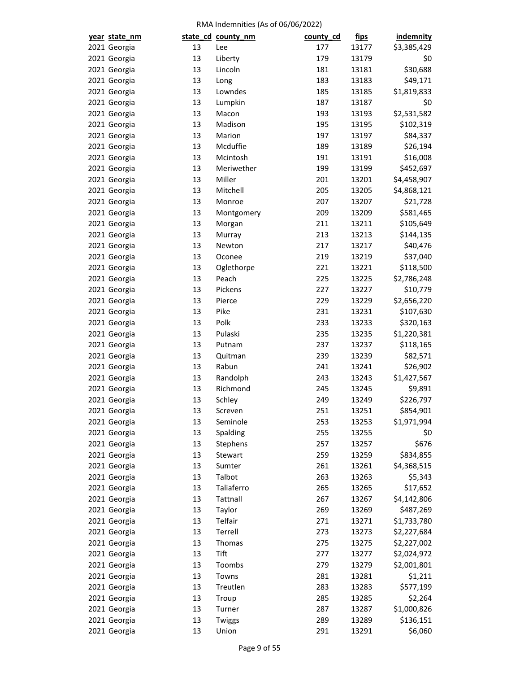| year state_nm                |    | state_cd_county_nm   | county_cd  | <u>fips</u>    | <b>indemnity</b>     |
|------------------------------|----|----------------------|------------|----------------|----------------------|
| 2021 Georgia                 | 13 | Lee                  | 177        | 13177          | \$3,385,429          |
| 2021 Georgia                 | 13 | Liberty              | 179        | 13179          | \$0                  |
| 2021 Georgia                 | 13 | Lincoln              | 181        | 13181          | \$30,688             |
| 2021 Georgia                 | 13 | Long                 | 183        | 13183          | \$49,171             |
| 2021 Georgia                 | 13 | Lowndes              | 185        | 13185          | \$1,819,833          |
| 2021 Georgia                 | 13 | Lumpkin              | 187        | 13187          | \$0                  |
| 2021 Georgia                 | 13 | Macon                | 193        | 13193          | \$2,531,582          |
| 2021 Georgia                 | 13 | Madison              | 195        | 13195          | \$102,319            |
| 2021 Georgia                 | 13 | Marion               | 197        | 13197          | \$84,337             |
| 2021 Georgia                 | 13 | Mcduffie             | 189        | 13189          | \$26,194             |
| 2021 Georgia                 | 13 | Mcintosh             | 191        | 13191          | \$16,008             |
| 2021 Georgia                 | 13 | Meriwether           | 199        | 13199          | \$452,697            |
| 2021 Georgia                 | 13 | Miller               | 201        | 13201          | \$4,458,907          |
| 2021 Georgia                 | 13 | Mitchell             | 205        | 13205          | \$4,868,121          |
| 2021 Georgia                 | 13 | Monroe               | 207        | 13207          | \$21,728             |
| 2021 Georgia                 | 13 | Montgomery           | 209        | 13209          | \$581,465            |
| 2021 Georgia                 | 13 | Morgan               | 211        | 13211          | \$105,649            |
| 2021 Georgia                 | 13 | Murray               | 213        | 13213          | \$144,135            |
| 2021 Georgia                 | 13 | Newton               | 217        | 13217          | \$40,476             |
| 2021 Georgia                 | 13 | Oconee               | 219        | 13219          | \$37,040             |
| 2021 Georgia                 | 13 | Oglethorpe           | 221        | 13221          | \$118,500            |
| 2021 Georgia                 | 13 | Peach                | 225        | 13225          | \$2,786,248          |
| 2021 Georgia                 | 13 | Pickens              | 227        | 13227          | \$10,779             |
| 2021 Georgia                 | 13 | Pierce               | 229        | 13229          | \$2,656,220          |
| 2021 Georgia                 | 13 | Pike                 | 231        | 13231          | \$107,630            |
| 2021 Georgia                 | 13 | Polk                 | 233        | 13233          | \$320,163            |
| 2021 Georgia                 | 13 | Pulaski              | 235        | 13235          | \$1,220,381          |
| 2021 Georgia                 | 13 | Putnam               | 237        | 13237          | \$118,165            |
| 2021 Georgia                 | 13 | Quitman              | 239        | 13239          | \$82,571             |
| 2021 Georgia                 | 13 | Rabun                | 241        | 13241          | \$26,902             |
| 2021 Georgia                 | 13 | Randolph             | 243        | 13243          | \$1,427,567          |
|                              | 13 | Richmond             |            |                |                      |
| 2021 Georgia<br>2021 Georgia | 13 | Schley               | 245        | 13245<br>13249 | \$9,891<br>\$226,797 |
|                              |    |                      | 249<br>251 |                | \$854,901            |
| 2021 Georgia                 | 13 | Screven              |            | 13251          |                      |
| 2021 Georgia                 | 13 | Seminole<br>Spalding | 253        | 13253          | \$1,971,994          |
| 2021 Georgia                 | 13 |                      | 255        | 13255          | \$0                  |
| 2021 Georgia                 | 13 | Stephens             | 257        | 13257          | \$676                |
| 2021 Georgia                 | 13 | Stewart              | 259        | 13259          | \$834,855            |
| 2021 Georgia                 | 13 | Sumter               | 261        | 13261          | \$4,368,515          |
| 2021 Georgia                 | 13 | Talbot               | 263        | 13263          | \$5,343              |
| 2021 Georgia                 | 13 | Taliaferro           | 265        | 13265          | \$17,652             |
| 2021 Georgia                 | 13 | Tattnall             | 267        | 13267          | \$4,142,806          |
| 2021 Georgia                 | 13 | Taylor               | 269        | 13269          | \$487,269            |
| 2021 Georgia                 | 13 | Telfair              | 271        | 13271          | \$1,733,780          |
| 2021 Georgia                 | 13 | Terrell              | 273        | 13273          | \$2,227,684          |
| 2021 Georgia                 | 13 | Thomas               | 275        | 13275          | \$2,227,002          |
| 2021 Georgia                 | 13 | Tift                 | 277        | 13277          | \$2,024,972          |
| 2021 Georgia                 | 13 | Toombs               | 279        | 13279          | \$2,001,801          |
| 2021 Georgia                 | 13 | Towns                | 281        | 13281          | \$1,211              |
| 2021 Georgia                 | 13 | Treutlen             | 283        | 13283          | \$577,199            |
| 2021 Georgia                 | 13 | Troup                | 285        | 13285          | \$2,264              |
| 2021 Georgia                 | 13 | Turner               | 287        | 13287          | \$1,000,826          |
| 2021 Georgia                 | 13 | Twiggs               | 289        | 13289          | \$136,151            |
| 2021 Georgia                 | 13 | Union                | 291        | 13291          | \$6,060              |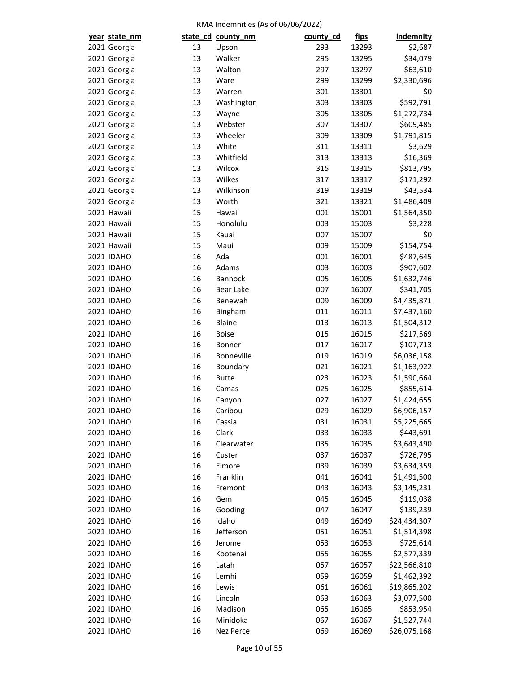| year state_nm     |    | state_cd_county_nm | county_cd  | <u>fips</u>    | <b>indemnity</b> |
|-------------------|----|--------------------|------------|----------------|------------------|
| 2021 Georgia      | 13 | Upson              | 293        | 13293          | \$2,687          |
| 2021 Georgia      | 13 | Walker             | 295        | 13295          | \$34,079         |
| 2021 Georgia      | 13 | Walton             | 297        | 13297          | \$63,610         |
| 2021 Georgia      | 13 | Ware               | 299        | 13299          | \$2,330,696      |
| 2021 Georgia      | 13 | Warren             | 301        | 13301          | \$0              |
| 2021 Georgia      | 13 | Washington         | 303        | 13303          | \$592,791        |
| 2021 Georgia      | 13 | Wayne              | 305        | 13305          | \$1,272,734      |
| 2021 Georgia      | 13 | Webster            | 307        | 13307          | \$609,485        |
| 2021 Georgia      | 13 | Wheeler            | 309        | 13309          | \$1,791,815      |
| 2021 Georgia      | 13 | White              | 311        | 13311          | \$3,629          |
| 2021 Georgia      | 13 | Whitfield          | 313        | 13313          | \$16,369         |
| 2021 Georgia      | 13 | Wilcox             | 315        | 13315          | \$813,795        |
| 2021 Georgia      | 13 | Wilkes             | 317        | 13317          | \$171,292        |
| 2021 Georgia      | 13 | Wilkinson          | 319        | 13319          | \$43,534         |
| 2021 Georgia      | 13 | Worth              | 321        | 13321          | \$1,486,409      |
| 2021 Hawaii       | 15 | Hawaii             | 001        | 15001          | \$1,564,350      |
| 2021 Hawaii       | 15 | Honolulu           | 003        | 15003          | \$3,228          |
| 2021 Hawaii       | 15 | Kauai              | 007        | 15007          | \$0              |
| 2021 Hawaii       | 15 | Maui               | 009        | 15009          | \$154,754        |
| 2021 IDAHO        | 16 | Ada                | 001        | 16001          | \$487,645        |
| 2021 IDAHO        | 16 | Adams              | 003        | 16003          | \$907,602        |
| 2021 IDAHO        | 16 | Bannock            | 005        | 16005          | \$1,632,746      |
| 2021 IDAHO        | 16 | <b>Bear Lake</b>   | 007        | 16007          | \$341,705        |
| 2021 IDAHO        | 16 | Benewah            | 009        | 16009          | \$4,435,871      |
| 2021 IDAHO        | 16 | Bingham            | 011        | 16011          | \$7,437,160      |
| 2021 IDAHO        | 16 | <b>Blaine</b>      | 013        | 16013          | \$1,504,312      |
| 2021 IDAHO        | 16 | <b>Boise</b>       | 015        | 16015          | \$217,569        |
| 2021 IDAHO        | 16 | Bonner             | 017        | 16017          | \$107,713        |
| 2021 IDAHO        | 16 | Bonneville         |            |                |                  |
| 2021 IDAHO        | 16 |                    | 019<br>021 | 16019<br>16021 | \$6,036,158      |
|                   |    | Boundary           |            |                | \$1,163,922      |
| 2021 IDAHO        | 16 | <b>Butte</b>       | 023        | 16023          | \$1,590,664      |
| <b>2021 IDAHO</b> | 16 | Camas              | 025        | 16025          | \$855,614        |
| 2021 IDAHO        | 16 | Canyon             | 027        | 16027          | \$1,424,655      |
| 2021 IDAHO        | 16 | Caribou            | 029        | 16029          | \$6,906,157      |
| 2021 IDAHO        | 16 | Cassia             | 031        | 16031          | \$5,225,665      |
| 2021 IDAHO        | 16 | Clark              | 033        | 16033          | \$443,691        |
| 2021 IDAHO        | 16 | Clearwater         | 035        | 16035          | \$3,643,490      |
| 2021 IDAHO        | 16 | Custer             | 037        | 16037          | \$726,795        |
| 2021 IDAHO        | 16 | Elmore             | 039        | 16039          | \$3,634,359      |
| 2021 IDAHO        | 16 | Franklin           | 041        | 16041          | \$1,491,500      |
| 2021 IDAHO        | 16 | Fremont            | 043        | 16043          | \$3,145,231      |
| 2021 IDAHO        | 16 | Gem                | 045        | 16045          | \$119,038        |
| 2021 IDAHO        | 16 | Gooding            | 047        | 16047          | \$139,239        |
| 2021 IDAHO        | 16 | Idaho              | 049        | 16049          | \$24,434,307     |
| 2021 IDAHO        | 16 | Jefferson          | 051        | 16051          | \$1,514,398      |
| 2021 IDAHO        | 16 | Jerome             | 053        | 16053          | \$725,614        |
| 2021 IDAHO        | 16 | Kootenai           | 055        | 16055          | \$2,577,339      |
| 2021 IDAHO        | 16 | Latah              | 057        | 16057          | \$22,566,810     |
| 2021 IDAHO        | 16 | Lemhi              | 059        | 16059          | \$1,462,392      |
| 2021 IDAHO        | 16 | Lewis              | 061        | 16061          | \$19,865,202     |
| 2021 IDAHO        | 16 | Lincoln            | 063        | 16063          | \$3,077,500      |
| 2021 IDAHO        | 16 | Madison            | 065        | 16065          | \$853,954        |
| 2021 IDAHO        | 16 | Minidoka           | 067        | 16067          | \$1,527,744      |
| 2021 IDAHO        | 16 | Nez Perce          | 069        | 16069          | \$26,075,168     |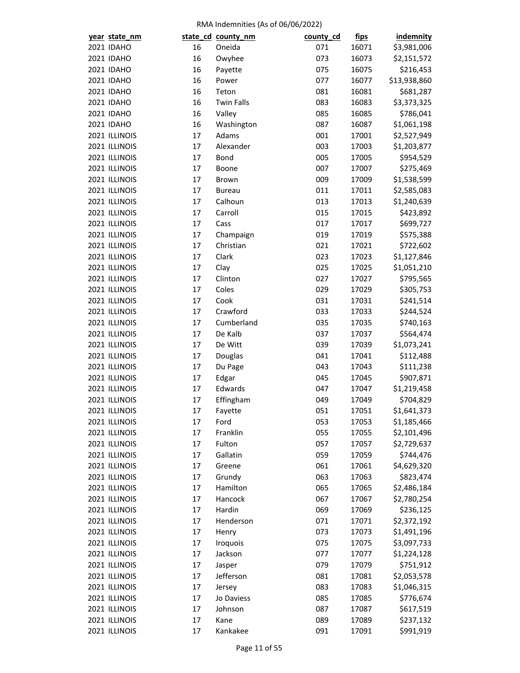| year state_nm |    | state_cd_county_nm | county_cd | <u>fips</u> | <b>indemnity</b> |
|---------------|----|--------------------|-----------|-------------|------------------|
| 2021 IDAHO    | 16 | Oneida             | 071       | 16071       | \$3,981,006      |
| 2021 IDAHO    | 16 | Owyhee             | 073       | 16073       | \$2,151,572      |
| 2021 IDAHO    | 16 | Payette            | 075       | 16075       | \$216,453        |
| 2021 IDAHO    | 16 | Power              | 077       | 16077       | \$13,938,860     |
| 2021 IDAHO    | 16 | Teton              | 081       | 16081       | \$681,287        |
| 2021 IDAHO    | 16 | <b>Twin Falls</b>  | 083       | 16083       | \$3,373,325      |
| 2021 IDAHO    | 16 | Valley             | 085       | 16085       | \$786,041        |
| 2021 IDAHO    | 16 | Washington         | 087       | 16087       | \$1,061,198      |
| 2021 ILLINOIS | 17 | Adams              | 001       | 17001       | \$2,527,949      |
| 2021 ILLINOIS | 17 | Alexander          | 003       | 17003       | \$1,203,877      |
| 2021 ILLINOIS | 17 | <b>Bond</b>        | 005       | 17005       | \$954,529        |
| 2021 ILLINOIS | 17 | Boone              | 007       | 17007       | \$275,469        |
| 2021 ILLINOIS | 17 | Brown              | 009       | 17009       | \$1,538,599      |
| 2021 ILLINOIS | 17 | <b>Bureau</b>      | 011       | 17011       | \$2,585,083      |
| 2021 ILLINOIS | 17 | Calhoun            | 013       | 17013       | \$1,240,639      |
| 2021 ILLINOIS | 17 | Carroll            | 015       | 17015       | \$423,892        |
| 2021 ILLINOIS | 17 | Cass               | 017       | 17017       | \$699,727        |
| 2021 ILLINOIS | 17 | Champaign          | 019       | 17019       | \$575,388        |
| 2021 ILLINOIS | 17 | Christian          | 021       | 17021       | \$722,602        |
| 2021 ILLINOIS | 17 | Clark              | 023       | 17023       | \$1,127,846      |
| 2021 ILLINOIS | 17 | Clay               | 025       | 17025       | \$1,051,210      |
| 2021 ILLINOIS | 17 | Clinton            | 027       | 17027       | \$795,565        |
| 2021 ILLINOIS | 17 | Coles              | 029       | 17029       | \$305,753        |
| 2021 ILLINOIS | 17 | Cook               | 031       | 17031       | \$241,514        |
| 2021 ILLINOIS | 17 | Crawford           | 033       | 17033       | \$244,524        |
| 2021 ILLINOIS | 17 | Cumberland         | 035       | 17035       | \$740,163        |
| 2021 ILLINOIS | 17 | De Kalb            | 037       | 17037       | \$564,474        |
| 2021 ILLINOIS | 17 | De Witt            | 039       | 17039       | \$1,073,241      |
| 2021 ILLINOIS | 17 | Douglas            | 041       | 17041       | \$112,488        |
| 2021 ILLINOIS | 17 | Du Page            | 043       | 17043       | \$111,238        |
| 2021 ILLINOIS | 17 | Edgar              | 045       | 17045       | \$907,871        |
| 2021 ILLINOIS | 17 | Edwards            | 047       | 17047       | \$1,219,458      |
| 2021 ILLINOIS | 17 | Effingham          | 049       | 17049       | \$704,829        |
| 2021 ILLINOIS | 17 |                    | 051       |             | \$1,641,373      |
|               |    | Fayette            |           | 17051       |                  |
| 2021 ILLINOIS | 17 | Ford<br>Franklin   | 053       | 17053       | \$1,185,466      |
| 2021 ILLINOIS | 17 |                    | 055       | 17055       | \$2,101,496      |
| 2021 ILLINOIS | 17 | Fulton             | 057       | 17057       | \$2,729,637      |
| 2021 ILLINOIS | 17 | Gallatin           | 059       | 17059       | \$744,476        |
| 2021 ILLINOIS | 17 | Greene             | 061       | 17061       | \$4,629,320      |
| 2021 ILLINOIS | 17 | Grundy             | 063       | 17063       | \$823,474        |
| 2021 ILLINOIS | 17 | Hamilton           | 065       | 17065       | \$2,486,184      |
| 2021 ILLINOIS | 17 | Hancock            | 067       | 17067       | \$2,780,254      |
| 2021 ILLINOIS | 17 | Hardin             | 069       | 17069       | \$236,125        |
| 2021 ILLINOIS | 17 | Henderson          | 071       | 17071       | \$2,372,192      |
| 2021 ILLINOIS | 17 | Henry              | 073       | 17073       | \$1,491,196      |
| 2021 ILLINOIS | 17 | Iroquois           | 075       | 17075       | \$3,097,733      |
| 2021 ILLINOIS | 17 | Jackson            | 077       | 17077       | \$1,224,128      |
| 2021 ILLINOIS | 17 | Jasper             | 079       | 17079       | \$751,912        |
| 2021 ILLINOIS | 17 | Jefferson          | 081       | 17081       | \$2,053,578      |
| 2021 ILLINOIS | 17 | Jersey             | 083       | 17083       | \$1,046,315      |
| 2021 ILLINOIS | 17 | Jo Daviess         | 085       | 17085       | \$776,674        |
| 2021 ILLINOIS | 17 | Johnson            | 087       | 17087       | \$617,519        |
| 2021 ILLINOIS | 17 | Kane               | 089       | 17089       | \$237,132        |
| 2021 ILLINOIS | 17 | Kankakee           | 091       | 17091       | \$991,919        |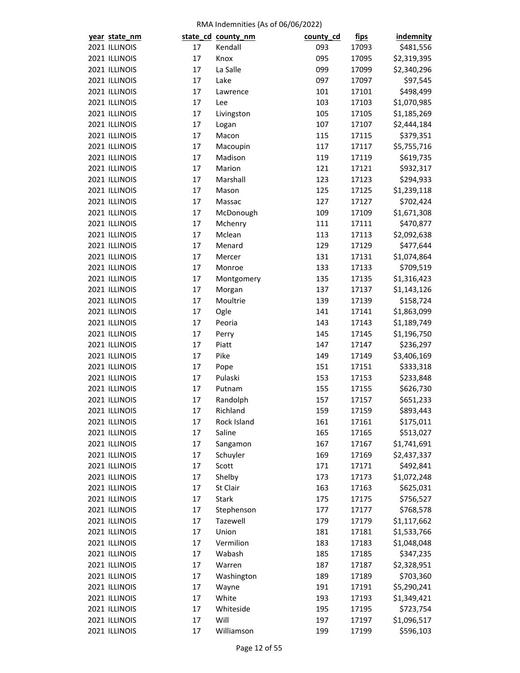| year state_nm |    | state_cd_county_nm | county_cd | <u>fips</u> | <b>indemnity</b> |
|---------------|----|--------------------|-----------|-------------|------------------|
| 2021 ILLINOIS | 17 | Kendall            | 093       | 17093       | \$481,556        |
| 2021 ILLINOIS | 17 | Knox               | 095       | 17095       | \$2,319,395      |
| 2021 ILLINOIS | 17 | La Salle           | 099       | 17099       | \$2,340,296      |
| 2021 ILLINOIS | 17 | Lake               | 097       | 17097       | \$97,545         |
| 2021 ILLINOIS | 17 | Lawrence           | 101       | 17101       | \$498,499        |
| 2021 ILLINOIS | 17 | Lee                | 103       | 17103       | \$1,070,985      |
| 2021 ILLINOIS | 17 | Livingston         | 105       | 17105       | \$1,185,269      |
| 2021 ILLINOIS | 17 | Logan              | 107       | 17107       | \$2,444,184      |
| 2021 ILLINOIS | 17 | Macon              | 115       | 17115       | \$379,351        |
| 2021 ILLINOIS | 17 | Macoupin           | 117       | 17117       | \$5,755,716      |
| 2021 ILLINOIS | 17 | Madison            | 119       | 17119       | \$619,735        |
| 2021 ILLINOIS | 17 | Marion             | 121       | 17121       | \$932,317        |
| 2021 ILLINOIS | 17 | Marshall           | 123       | 17123       | \$294,933        |
|               |    |                    |           |             |                  |
| 2021 ILLINOIS | 17 | Mason              | 125       | 17125       | \$1,239,118      |
| 2021 ILLINOIS | 17 | Massac             | 127       | 17127       | \$702,424        |
| 2021 ILLINOIS | 17 | McDonough          | 109       | 17109       | \$1,671,308      |
| 2021 ILLINOIS | 17 | Mchenry            | 111       | 17111       | \$470,877        |
| 2021 ILLINOIS | 17 | Mclean             | 113       | 17113       | \$2,092,638      |
| 2021 ILLINOIS | 17 | Menard             | 129       | 17129       | \$477,644        |
| 2021 ILLINOIS | 17 | Mercer             | 131       | 17131       | \$1,074,864      |
| 2021 ILLINOIS | 17 | Monroe             | 133       | 17133       | \$709,519        |
| 2021 ILLINOIS | 17 | Montgomery         | 135       | 17135       | \$1,316,423      |
| 2021 ILLINOIS | 17 | Morgan             | 137       | 17137       | \$1,143,126      |
| 2021 ILLINOIS | 17 | Moultrie           | 139       | 17139       | \$158,724        |
| 2021 ILLINOIS | 17 | Ogle               | 141       | 17141       | \$1,863,099      |
| 2021 ILLINOIS | 17 | Peoria             | 143       | 17143       | \$1,189,749      |
| 2021 ILLINOIS | 17 | Perry              | 145       | 17145       | \$1,196,750      |
| 2021 ILLINOIS | 17 | Piatt              | 147       | 17147       | \$236,297        |
| 2021 ILLINOIS | 17 | Pike               | 149       | 17149       | \$3,406,169      |
| 2021 ILLINOIS | 17 | Pope               | 151       | 17151       | \$333,318        |
| 2021 ILLINOIS | 17 | Pulaski            | 153       | 17153       | \$233,848        |
| 2021 ILLINOIS | 17 | Putnam             | 155       | 17155       | \$626,730        |
| 2021 ILLINOIS | 17 | Randolph           | 157       | 17157       | \$651,233        |
| 2021 ILLINOIS | 17 | Richland           | 159       | 17159       | \$893,443        |
| 2021 ILLINOIS | 17 | Rock Island        | 161       | 17161       | \$175,011        |
| 2021 ILLINOIS | 17 | Saline             | 165       | 17165       | \$513,027        |
| 2021 ILLINOIS | 17 | Sangamon           | 167       | 17167       | \$1,741,691      |
| 2021 ILLINOIS | 17 | Schuyler           | 169       | 17169       | \$2,437,337      |
| 2021 ILLINOIS | 17 | Scott              | 171       | 17171       | \$492,841        |
| 2021 ILLINOIS | 17 | Shelby             | 173       | 17173       | \$1,072,248      |
| 2021 ILLINOIS | 17 | St Clair           | 163       | 17163       | \$625,031        |
| 2021 ILLINOIS | 17 | <b>Stark</b>       | 175       | 17175       | \$756,527        |
| 2021 ILLINOIS | 17 | Stephenson         | 177       | 17177       | \$768,578        |
| 2021 ILLINOIS | 17 | Tazewell           | 179       | 17179       | \$1,117,662      |
| 2021 ILLINOIS | 17 | Union              | 181       | 17181       | \$1,533,766      |
| 2021 ILLINOIS | 17 | Vermilion          | 183       | 17183       | \$1,048,048      |
| 2021 ILLINOIS | 17 | Wabash             |           |             |                  |
|               |    |                    | 185       | 17185       | \$347,235        |
| 2021 ILLINOIS | 17 | Warren             | 187       | 17187       | \$2,328,951      |
| 2021 ILLINOIS | 17 | Washington         | 189       | 17189       | \$703,360        |
| 2021 ILLINOIS | 17 | Wayne              | 191       | 17191       | \$5,290,241      |
| 2021 ILLINOIS | 17 | White              | 193       | 17193       | \$1,349,421      |
| 2021 ILLINOIS | 17 | Whiteside          | 195       | 17195       | \$723,754        |
| 2021 ILLINOIS | 17 | Will               | 197       | 17197       | \$1,096,517      |
| 2021 ILLINOIS | 17 | Williamson         | 199       | 17199       | \$596,103        |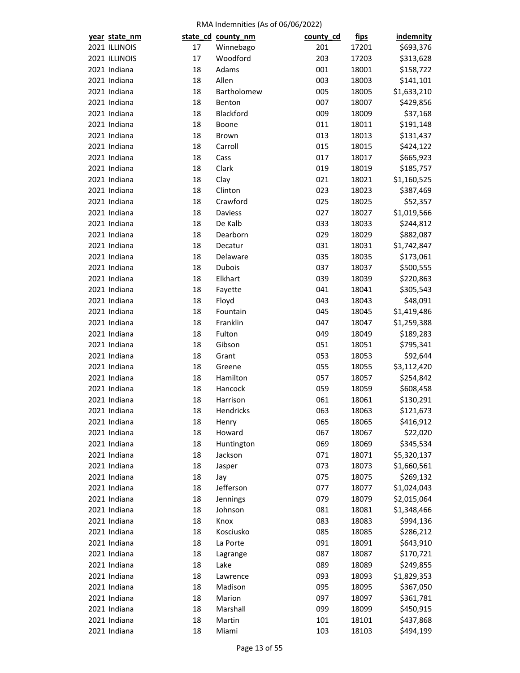| year state_nm |    | state_cd_county_nm | county_cd  | <u>fips</u> | <b>indemnity</b>       |
|---------------|----|--------------------|------------|-------------|------------------------|
| 2021 ILLINOIS | 17 | Winnebago          | 201        | 17201       | \$693,376              |
| 2021 ILLINOIS | 17 | Woodford           | 203        | 17203       | \$313,628              |
| 2021 Indiana  | 18 | Adams              | 001        | 18001       | \$158,722              |
| 2021 Indiana  | 18 | Allen              | 003        | 18003       | \$141,101              |
| 2021 Indiana  | 18 | Bartholomew        | 005        | 18005       | \$1,633,210            |
| 2021 Indiana  | 18 | Benton             | 007        | 18007       | \$429,856              |
| 2021 Indiana  | 18 | Blackford          | 009        | 18009       | \$37,168               |
| 2021 Indiana  | 18 | Boone              | 011        | 18011       | \$191,148              |
| 2021 Indiana  | 18 | Brown              | 013        | 18013       | \$131,437              |
| 2021 Indiana  | 18 | Carroll            | 015        | 18015       | \$424,122              |
| 2021 Indiana  | 18 | Cass               | 017        | 18017       | \$665,923              |
| 2021 Indiana  | 18 | Clark              | 019        | 18019       | \$185,757              |
| 2021 Indiana  | 18 | Clay               | 021        | 18021       | \$1,160,525            |
| 2021 Indiana  | 18 | Clinton            | 023        | 18023       | \$387,469              |
| 2021 Indiana  | 18 | Crawford           | 025        | 18025       | \$52,357               |
| 2021 Indiana  | 18 | Daviess            | 027        | 18027       | \$1,019,566            |
| 2021 Indiana  | 18 | De Kalb            | 033        | 18033       | \$244,812              |
| 2021 Indiana  | 18 | Dearborn           | 029        | 18029       | \$882,087              |
| 2021 Indiana  | 18 | Decatur            | 031        | 18031       | \$1,742,847            |
| 2021 Indiana  | 18 | Delaware           | 035        | 18035       | \$173,061              |
| 2021 Indiana  | 18 | Dubois             | 037        | 18037       | \$500,555              |
| 2021 Indiana  | 18 | Elkhart            | 039        | 18039       | \$220,863              |
| 2021 Indiana  | 18 | Fayette            | 041        | 18041       | \$305,543              |
| 2021 Indiana  | 18 | Floyd              | 043        | 18043       | \$48,091               |
| 2021 Indiana  | 18 | Fountain           | 045        | 18045       | \$1,419,486            |
| 2021 Indiana  | 18 | Franklin           | 047        | 18047       | \$1,259,388            |
| 2021 Indiana  | 18 | Fulton             | 049        | 18049       | \$189,283              |
| 2021 Indiana  | 18 | Gibson             | 051        | 18051       | \$795,341              |
| 2021 Indiana  | 18 | Grant              | 053        | 18053       | \$92,644               |
| 2021 Indiana  | 18 | Greene             | 055        | 18055       | \$3,112,420            |
| 2021 Indiana  | 18 | Hamilton           | 057        | 18057       | \$254,842              |
| 2021 Indiana  | 18 | Hancock            |            | 18059       |                        |
| 2021 Indiana  | 18 | Harrison           | 059<br>061 | 18061       | \$608,458<br>\$130,291 |
|               | 18 |                    | 063        |             | \$121,673              |
| 2021 Indiana  |    | Hendricks          |            | 18063       |                        |
| 2021 Indiana  | 18 | Henry              | 065        | 18065       | \$416,912              |
| 2021 Indiana  | 18 | Howard             | 067        | 18067       | \$22,020               |
| 2021 Indiana  | 18 | Huntington         | 069        | 18069       | \$345,534              |
| 2021 Indiana  | 18 | Jackson            | 071        | 18071       | \$5,320,137            |
| 2021 Indiana  | 18 | Jasper             | 073        | 18073       | \$1,660,561            |
| 2021 Indiana  | 18 | Jay                | 075        | 18075       | \$269,132              |
| 2021 Indiana  | 18 | Jefferson          | 077        | 18077       | \$1,024,043            |
| 2021 Indiana  | 18 | Jennings           | 079        | 18079       | \$2,015,064            |
| 2021 Indiana  | 18 | Johnson            | 081        | 18081       | \$1,348,466            |
| 2021 Indiana  | 18 | Knox               | 083        | 18083       | \$994,136              |
| 2021 Indiana  | 18 | Kosciusko          | 085        | 18085       | \$286,212              |
| 2021 Indiana  | 18 | La Porte           | 091        | 18091       | \$643,910              |
| 2021 Indiana  | 18 | Lagrange           | 087        | 18087       | \$170,721              |
| 2021 Indiana  | 18 | Lake               | 089        | 18089       | \$249,855              |
| 2021 Indiana  | 18 | Lawrence           | 093        | 18093       | \$1,829,353            |
| 2021 Indiana  | 18 | Madison            | 095        | 18095       | \$367,050              |
| 2021 Indiana  | 18 | Marion             | 097        | 18097       | \$361,781              |
| 2021 Indiana  | 18 | Marshall           | 099        | 18099       | \$450,915              |
| 2021 Indiana  | 18 | Martin             | 101        | 18101       | \$437,868              |
| 2021 Indiana  | 18 | Miami              | 103        | 18103       | \$494,199              |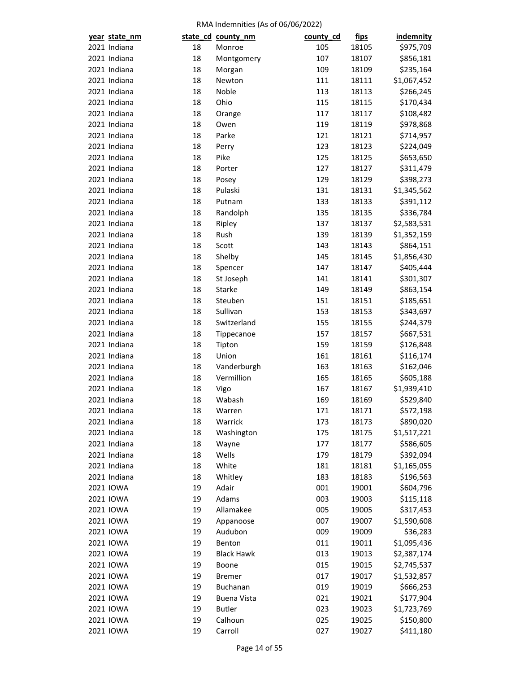| year state_nm |    | state_cd_county_nm | county_cd | <u>fips</u> | <b>indemnity</b> |
|---------------|----|--------------------|-----------|-------------|------------------|
| 2021 Indiana  | 18 | Monroe             | 105       | 18105       | \$975,709        |
| 2021 Indiana  | 18 | Montgomery         | 107       | 18107       | \$856,181        |
| 2021 Indiana  | 18 | Morgan             | 109       | 18109       | \$235,164        |
| 2021 Indiana  | 18 | Newton             | 111       | 18111       | \$1,067,452      |
| 2021 Indiana  | 18 | Noble              | 113       | 18113       | \$266,245        |
| 2021 Indiana  | 18 | Ohio               | 115       | 18115       | \$170,434        |
| 2021 Indiana  | 18 | Orange             | 117       | 18117       | \$108,482        |
| 2021 Indiana  | 18 | Owen               | 119       | 18119       | \$978,868        |
| 2021 Indiana  | 18 | Parke              | 121       | 18121       | \$714,957        |
| 2021 Indiana  | 18 | Perry              | 123       | 18123       | \$224,049        |
| 2021 Indiana  | 18 | Pike               | 125       | 18125       | \$653,650        |
| 2021 Indiana  | 18 | Porter             | 127       | 18127       | \$311,479        |
| 2021 Indiana  | 18 | Posey              | 129       | 18129       | \$398,273        |
| 2021 Indiana  | 18 | Pulaski            | 131       | 18131       | \$1,345,562      |
| 2021 Indiana  | 18 | Putnam             | 133       | 18133       | \$391,112        |
| 2021 Indiana  | 18 | Randolph           | 135       | 18135       | \$336,784        |
| 2021 Indiana  | 18 | Ripley             | 137       | 18137       | \$2,583,531      |
| 2021 Indiana  | 18 | Rush               | 139       | 18139       | \$1,352,159      |
| 2021 Indiana  | 18 | Scott              | 143       | 18143       | \$864,151        |
| 2021 Indiana  | 18 | Shelby             | 145       | 18145       | \$1,856,430      |
| 2021 Indiana  | 18 | Spencer            | 147       | 18147       | \$405,444        |
| 2021 Indiana  | 18 | St Joseph          | 141       | 18141       | \$301,307        |
| 2021 Indiana  | 18 | Starke             | 149       | 18149       |                  |
| 2021 Indiana  | 18 | Steuben            | 151       |             | \$863,154        |
|               |    |                    |           | 18151       | \$185,651        |
| 2021 Indiana  | 18 | Sullivan           | 153       | 18153       | \$343,697        |
| 2021 Indiana  | 18 | Switzerland        | 155       | 18155       | \$244,379        |
| 2021 Indiana  | 18 | Tippecanoe         | 157       | 18157       | \$667,531        |
| 2021 Indiana  | 18 | Tipton             | 159       | 18159       | \$126,848        |
| 2021 Indiana  | 18 | Union              | 161       | 18161       | \$116,174        |
| 2021 Indiana  | 18 | Vanderburgh        | 163       | 18163       | \$162,046        |
| 2021 Indiana  | 18 | Vermillion         | 165       | 18165       | \$605,188        |
| 2021 Indiana  | 18 | Vigo               | 167       | 18167       | \$1,939,410      |
| 2021 Indiana  | 18 | Wabash             | 169       | 18169       | \$529,840        |
| 2021 Indiana  | 18 | Warren             | 171       | 18171       | \$572,198        |
| 2021 Indiana  | 18 | Warrick            | 173       | 18173       | \$890,020        |
| 2021 Indiana  | 18 | Washington         | 175       | 18175       | \$1,517,221      |
| 2021 Indiana  | 18 | Wayne              | 177       | 18177       | \$586,605        |
| 2021 Indiana  | 18 | Wells              | 179       | 18179       | \$392,094        |
| 2021 Indiana  | 18 | White              | 181       | 18181       | \$1,165,055      |
| 2021 Indiana  | 18 | Whitley            | 183       | 18183       | \$196,563        |
| 2021 IOWA     | 19 | Adair              | 001       | 19001       | \$604,796        |
| 2021 IOWA     | 19 | Adams              | 003       | 19003       | \$115,118        |
| 2021 IOWA     | 19 | Allamakee          | 005       | 19005       | \$317,453        |
| 2021 IOWA     | 19 | Appanoose          | 007       | 19007       | \$1,590,608      |
| 2021 IOWA     | 19 | Audubon            | 009       | 19009       | \$36,283         |
| 2021 IOWA     | 19 | Benton             | 011       | 19011       | \$1,095,436      |
| 2021 IOWA     | 19 | <b>Black Hawk</b>  | 013       | 19013       | \$2,387,174      |
| 2021 IOWA     | 19 | Boone              | 015       | 19015       | \$2,745,537      |
| 2021 IOWA     | 19 | <b>Bremer</b>      | 017       | 19017       | \$1,532,857      |
| 2021 IOWA     | 19 | Buchanan           | 019       | 19019       | \$666,253        |
| 2021 IOWA     | 19 | <b>Buena Vista</b> | 021       | 19021       | \$177,904        |
| 2021 IOWA     | 19 | <b>Butler</b>      | 023       | 19023       | \$1,723,769      |
| 2021 IOWA     | 19 | Calhoun            | 025       | 19025       | \$150,800        |
| 2021 IOWA     | 19 | Carroll            | 027       | 19027       | \$411,180        |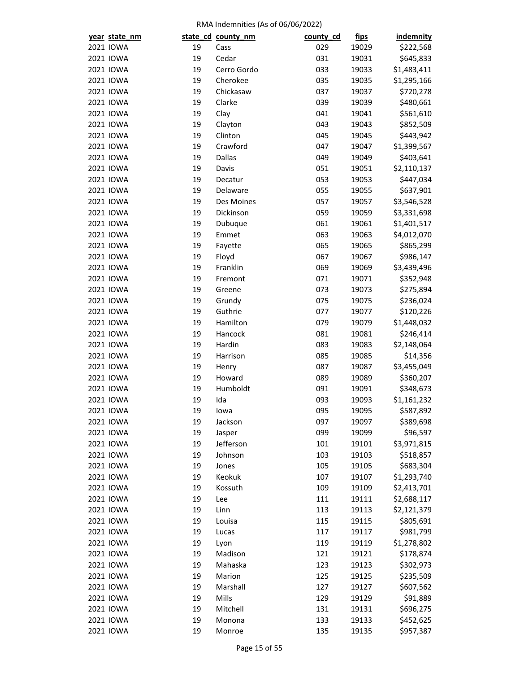| year state_nm |    | state_cd_county_nm | county_cd | <u>fips</u> | indemnity   |
|---------------|----|--------------------|-----------|-------------|-------------|
| 2021 IOWA     | 19 | Cass               | 029       | 19029       | \$222,568   |
| 2021 IOWA     | 19 | Cedar              | 031       | 19031       | \$645,833   |
| 2021 IOWA     | 19 | Cerro Gordo        | 033       | 19033       | \$1,483,411 |
| 2021 IOWA     | 19 | Cherokee           | 035       | 19035       | \$1,295,166 |
| 2021 IOWA     | 19 | Chickasaw          | 037       | 19037       | \$720,278   |
| 2021 IOWA     | 19 | Clarke             | 039       | 19039       | \$480,661   |
| 2021 IOWA     | 19 | Clay               | 041       | 19041       | \$561,610   |
| 2021 IOWA     | 19 | Clayton            | 043       | 19043       | \$852,509   |
| 2021 IOWA     | 19 | Clinton            | 045       | 19045       | \$443,942   |
| 2021 IOWA     | 19 | Crawford           | 047       | 19047       | \$1,399,567 |
| 2021 IOWA     | 19 | <b>Dallas</b>      | 049       | 19049       | \$403,641   |
| 2021 IOWA     | 19 | Davis              | 051       | 19051       | \$2,110,137 |
| 2021 IOWA     | 19 | Decatur            | 053       | 19053       | \$447,034   |
| 2021 IOWA     | 19 | Delaware           | 055       | 19055       | \$637,901   |
| 2021 IOWA     | 19 | Des Moines         | 057       | 19057       | \$3,546,528 |
| 2021 IOWA     | 19 | Dickinson          | 059       | 19059       | \$3,331,698 |
| 2021 IOWA     | 19 | Dubuque            | 061       | 19061       | \$1,401,517 |
| 2021 IOWA     | 19 | Emmet              | 063       | 19063       | \$4,012,070 |
| 2021 IOWA     | 19 | Fayette            | 065       | 19065       | \$865,299   |
| 2021 IOWA     | 19 | Floyd              | 067       | 19067       | \$986,147   |
| 2021 IOWA     | 19 | Franklin           | 069       | 19069       | \$3,439,496 |
| 2021 IOWA     | 19 | Fremont            | 071       | 19071       | \$352,948   |
| 2021 IOWA     | 19 | Greene             | 073       | 19073       | \$275,894   |
| 2021 IOWA     | 19 | Grundy             | 075       | 19075       | \$236,024   |
| 2021 IOWA     | 19 | Guthrie            | 077       | 19077       | \$120,226   |
| 2021 IOWA     | 19 | Hamilton           | 079       | 19079       | \$1,448,032 |
| 2021 IOWA     | 19 | Hancock            | 081       | 19081       | \$246,414   |
| 2021 IOWA     | 19 | Hardin             | 083       | 19083       | \$2,148,064 |
| 2021 IOWA     | 19 | Harrison           | 085       | 19085       | \$14,356    |
| 2021 IOWA     | 19 | Henry              | 087       | 19087       | \$3,455,049 |
| 2021 IOWA     | 19 | Howard             | 089       | 19089       | \$360,207   |
| 2021 IOWA     | 19 | Humboldt           | 091       | 19091       | \$348,673   |
| 2021 IOWA     | 19 | Ida                | 093       | 19093       | \$1,161,232 |
| 2021 IOWA     | 19 | lowa               | 095       | 19095       | \$587,892   |
| 2021 IOWA     | 19 | Jackson            | 097       | 19097       | \$389,698   |
| 2021 IOWA     | 19 | Jasper             | 099       | 19099       | \$96,597    |
| 2021 IOWA     | 19 | Jefferson          | 101       | 19101       | \$3,971,815 |
| 2021 IOWA     | 19 | Johnson            | 103       | 19103       | \$518,857   |
| 2021 IOWA     | 19 | Jones              | 105       | 19105       | \$683,304   |
| 2021 IOWA     | 19 | Keokuk             | 107       | 19107       | \$1,293,740 |
| 2021 IOWA     | 19 | Kossuth            | 109       | 19109       | \$2,413,701 |
| 2021 IOWA     | 19 | Lee                | 111       | 19111       | \$2,688,117 |
| 2021 IOWA     | 19 | Linn               | 113       | 19113       | \$2,121,379 |
| 2021 IOWA     | 19 | Louisa             | 115       | 19115       | \$805,691   |
| 2021 IOWA     | 19 | Lucas              | 117       | 19117       | \$981,799   |
| 2021 IOWA     | 19 | Lyon               | 119       | 19119       | \$1,278,802 |
| 2021 IOWA     | 19 | Madison            | 121       | 19121       | \$178,874   |
| 2021 IOWA     | 19 | Mahaska            | 123       | 19123       | \$302,973   |
| 2021 IOWA     | 19 | Marion             | 125       | 19125       | \$235,509   |
| 2021 IOWA     | 19 | Marshall           | 127       | 19127       |             |
| 2021 IOWA     | 19 | Mills              | 129       |             | \$607,562   |
|               |    |                    |           | 19129       | \$91,889    |
| 2021 IOWA     | 19 | Mitchell           | 131       | 19131       | \$696,275   |
| 2021 IOWA     | 19 | Monona             | 133       | 19133       | \$452,625   |
| 2021 IOWA     | 19 | Monroe             | 135       | 19135       | \$957,387   |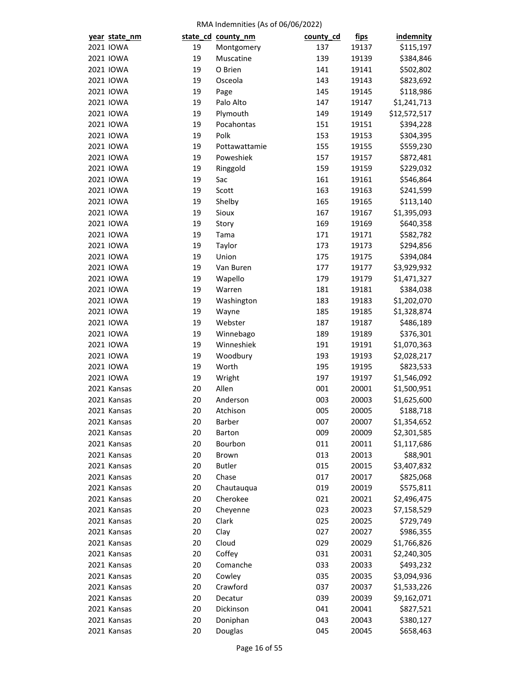| year state_nm              |          | state_cd_county_nm | county_cd  | <u>fips</u>    | <b>indemnity</b>           |
|----------------------------|----------|--------------------|------------|----------------|----------------------------|
| 2021 IOWA                  | 19       | Montgomery         | 137        | 19137          | \$115,197                  |
| 2021 IOWA                  | 19       | Muscatine          | 139        | 19139          | \$384,846                  |
| 2021 IOWA                  | 19       | O Brien            | 141        | 19141          | \$502,802                  |
| 2021 IOWA                  | 19       | Osceola            | 143        | 19143          | \$823,692                  |
| 2021 IOWA                  | 19       | Page               | 145        | 19145          | \$118,986                  |
| 2021 IOWA                  | 19       | Palo Alto          | 147        | 19147          | \$1,241,713                |
| 2021 IOWA                  | 19       | Plymouth           | 149        | 19149          | \$12,572,517               |
| 2021 IOWA                  | 19       | Pocahontas         | 151        | 19151          | \$394,228                  |
| 2021 IOWA                  | 19       | Polk               | 153        | 19153          | \$304,395                  |
| 2021 IOWA                  | 19       | Pottawattamie      | 155        | 19155          | \$559,230                  |
| 2021 IOWA                  | 19       | Poweshiek          | 157        | 19157          | \$872,481                  |
| 2021 IOWA                  | 19       | Ringgold           | 159        | 19159          | \$229,032                  |
| 2021 IOWA                  | 19       | Sac                | 161        | 19161          | \$546,864                  |
| 2021 IOWA                  | 19       | Scott              | 163        | 19163          | \$241,599                  |
| 2021 IOWA                  | 19       | Shelby             | 165        | 19165          | \$113,140                  |
| 2021 IOWA                  | 19       | Sioux              | 167        | 19167          | \$1,395,093                |
| 2021 IOWA                  | 19       | Story              | 169        | 19169          | \$640,358                  |
| 2021 IOWA                  | 19       | Tama               | 171        | 19171          | \$582,782                  |
| 2021 IOWA                  | 19       | Taylor             | 173        | 19173          | \$294,856                  |
| 2021 IOWA                  | 19       | Union              | 175        | 19175          | \$394,084                  |
| 2021 IOWA                  | 19       | Van Buren          | 177        | 19177          | \$3,929,932                |
| 2021 IOWA                  | 19       | Wapello            | 179        | 19179          | \$1,471,327                |
| 2021 IOWA                  | 19       | Warren             | 181        | 19181          | \$384,038                  |
| 2021 IOWA                  | 19       | Washington         | 183        | 19183          | \$1,202,070                |
| 2021 IOWA                  | 19       | Wayne              | 185        | 19185          | \$1,328,874                |
| 2021 IOWA                  | 19       | Webster            | 187        | 19187          | \$486,189                  |
| 2021 IOWA                  | 19       | Winnebago          | 189        | 19189          | \$376,301                  |
| 2021 IOWA                  | 19       | Winneshiek         | 191        | 19191          | \$1,070,363                |
| 2021 IOWA                  | 19       | Woodbury           | 193        | 19193          | \$2,028,217                |
| 2021 IOWA                  | 19       | Worth              | 195        | 19195          | \$823,533                  |
| 2021 IOWA                  | 19       | Wright             | 197        | 19197          | \$1,546,092                |
| 2021 Kansas                | 20       | Allen              | 001        | 20001          | \$1,500,951                |
| 2021 Kansas                | 20       | Anderson           | 003        | 20003          | \$1,625,600                |
| 2021 Kansas                | 20       | Atchison           | 005        | 20005          | \$188,718                  |
| 2021 Kansas                | 20       | Barber             | 007        | 20007          |                            |
| 2021 Kansas                | 20       | Barton             | 009        | 20009          | \$1,354,652<br>\$2,301,585 |
| 2021 Kansas                | 20       | Bourbon            | 011        | 20011          |                            |
| 2021 Kansas                | 20       | Brown              | 013        | 20013          | \$1,117,686<br>\$88,901    |
|                            | 20       | <b>Butler</b>      |            |                | \$3,407,832                |
| 2021 Kansas<br>2021 Kansas | 20       | Chase              | 015<br>017 | 20015<br>20017 | \$825,068                  |
| 2021 Kansas                | 20       | Chautauqua         | 019        |                | \$575,811                  |
| 2021 Kansas                | 20       | Cherokee           | 021        | 20019          |                            |
|                            |          |                    |            | 20021          | \$2,496,475                |
| 2021 Kansas                | 20<br>20 | Cheyenne           | 023        | 20023          | \$7,158,529                |
| 2021 Kansas                |          | Clark              | 025        | 20025          | \$729,749                  |
| 2021 Kansas                | 20       | Clay               | 027        | 20027          | \$986,355                  |
| 2021 Kansas                | 20       | Cloud              | 029        | 20029          | \$1,766,826                |
| 2021 Kansas                | 20       | Coffey             | 031        | 20031          | \$2,240,305                |
| 2021 Kansas                | 20       | Comanche           | 033        | 20033          | \$493,232                  |
| 2021 Kansas                | 20       | Cowley             | 035        | 20035          | \$3,094,936                |
| 2021 Kansas                | 20       | Crawford           | 037        | 20037          | \$1,533,226                |
| 2021 Kansas                | 20       | Decatur            | 039        | 20039          | \$9,162,071                |
| 2021 Kansas                | 20       | Dickinson          | 041        | 20041          | \$827,521                  |
| 2021 Kansas                | 20       | Doniphan           | 043        | 20043          | \$380,127                  |
| 2021 Kansas                | 20       | Douglas            | 045        | 20045          | \$658,463                  |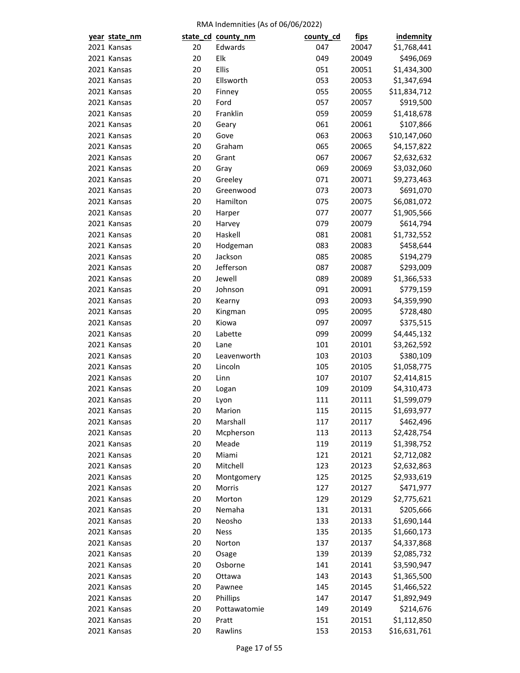|  | year state_nm |    | state_cd_county_nm | county_cd | <u>fips</u> | <b>indemnity</b> |
|--|---------------|----|--------------------|-----------|-------------|------------------|
|  | 2021 Kansas   | 20 | Edwards            | 047       | 20047       | \$1,768,441      |
|  | 2021 Kansas   | 20 | Elk                | 049       | 20049       | \$496,069        |
|  | 2021 Kansas   | 20 | Ellis              | 051       | 20051       | \$1,434,300      |
|  | 2021 Kansas   | 20 | Ellsworth          | 053       | 20053       | \$1,347,694      |
|  | 2021 Kansas   | 20 | Finney             | 055       | 20055       | \$11,834,712     |
|  | 2021 Kansas   | 20 | Ford               | 057       | 20057       | \$919,500        |
|  | 2021 Kansas   | 20 | Franklin           | 059       | 20059       | \$1,418,678      |
|  | 2021 Kansas   | 20 | Geary              | 061       | 20061       | \$107,866        |
|  | 2021 Kansas   | 20 | Gove               | 063       | 20063       | \$10,147,060     |
|  | 2021 Kansas   | 20 | Graham             | 065       | 20065       | \$4,157,822      |
|  | 2021 Kansas   | 20 | Grant              | 067       | 20067       | \$2,632,632      |
|  | 2021 Kansas   | 20 | Gray               | 069       | 20069       | \$3,032,060      |
|  | 2021 Kansas   | 20 | Greeley            | 071       | 20071       | \$9,273,463      |
|  | 2021 Kansas   | 20 | Greenwood          | 073       | 20073       | \$691,070        |
|  | 2021 Kansas   | 20 | Hamilton           | 075       | 20075       | \$6,081,072      |
|  | 2021 Kansas   | 20 | Harper             | 077       | 20077       | \$1,905,566      |
|  | 2021 Kansas   | 20 | Harvey             | 079       | 20079       | \$614,794        |
|  | 2021 Kansas   | 20 | Haskell            | 081       | 20081       | \$1,732,552      |
|  | 2021 Kansas   | 20 | Hodgeman           | 083       | 20083       | \$458,644        |
|  | 2021 Kansas   | 20 | Jackson            | 085       | 20085       | \$194,279        |
|  | 2021 Kansas   | 20 | Jefferson          | 087       | 20087       | \$293,009        |
|  | 2021 Kansas   | 20 | Jewell             | 089       | 20089       | \$1,366,533      |
|  | 2021 Kansas   | 20 | Johnson            | 091       | 20091       | \$779,159        |
|  | 2021 Kansas   | 20 | Kearny             | 093       | 20093       | \$4,359,990      |
|  | 2021 Kansas   | 20 | Kingman            | 095       | 20095       | \$728,480        |
|  | 2021 Kansas   | 20 | Kiowa              | 097       | 20097       | \$375,515        |
|  | 2021 Kansas   | 20 | Labette            | 099       | 20099       | \$4,445,132      |
|  | 2021 Kansas   | 20 | Lane               | 101       | 20101       | \$3,262,592      |
|  | 2021 Kansas   | 20 | Leavenworth        | 103       | 20103       | \$380,109        |
|  | 2021 Kansas   | 20 | Lincoln            | 105       | 20105       | \$1,058,775      |
|  | 2021 Kansas   | 20 | Linn               | 107       | 20107       | \$2,414,815      |
|  | 2021 Kansas   | 20 | Logan              | 109       | 20109       | \$4,310,473      |
|  | 2021 Kansas   | 20 | Lyon               | 111       | 20111       | \$1,599,079      |
|  | 2021 Kansas   | 20 | Marion             | 115       | 20115       | \$1,693,977      |
|  | 2021 Kansas   | 20 | Marshall           | 117       | 20117       | \$462,496        |
|  | 2021 Kansas   | 20 | Mcpherson          | 113       | 20113       | \$2,428,754      |
|  | 2021 Kansas   | 20 | Meade              | 119       | 20119       | \$1,398,752      |
|  | 2021 Kansas   | 20 | Miami              | 121       | 20121       | \$2,712,082      |
|  | 2021 Kansas   | 20 | Mitchell           | 123       | 20123       | \$2,632,863      |
|  | 2021 Kansas   | 20 | Montgomery         | 125       | 20125       | \$2,933,619      |
|  | 2021 Kansas   | 20 | Morris             | 127       | 20127       | \$471,977        |
|  | 2021 Kansas   | 20 | Morton             | 129       | 20129       | \$2,775,621      |
|  | 2021 Kansas   | 20 | Nemaha             | 131       | 20131       | \$205,666        |
|  | 2021 Kansas   | 20 | Neosho             | 133       | 20133       | \$1,690,144      |
|  | 2021 Kansas   | 20 | <b>Ness</b>        | 135       | 20135       | \$1,660,173      |
|  | 2021 Kansas   | 20 | Norton             | 137       | 20137       | \$4,337,868      |
|  | 2021 Kansas   | 20 | Osage              | 139       | 20139       | \$2,085,732      |
|  | 2021 Kansas   | 20 | Osborne            | 141       | 20141       | \$3,590,947      |
|  | 2021 Kansas   | 20 | Ottawa             | 143       | 20143       | \$1,365,500      |
|  | 2021 Kansas   | 20 | Pawnee             | 145       | 20145       | \$1,466,522      |
|  | 2021 Kansas   | 20 | Phillips           | 147       | 20147       | \$1,892,949      |
|  | 2021 Kansas   | 20 | Pottawatomie       | 149       | 20149       | \$214,676        |
|  | 2021 Kansas   | 20 | Pratt              | 151       | 20151       | \$1,112,850      |
|  | 2021 Kansas   | 20 | Rawlins            | 153       | 20153       | \$16,631,761     |
|  |               |    |                    |           |             |                  |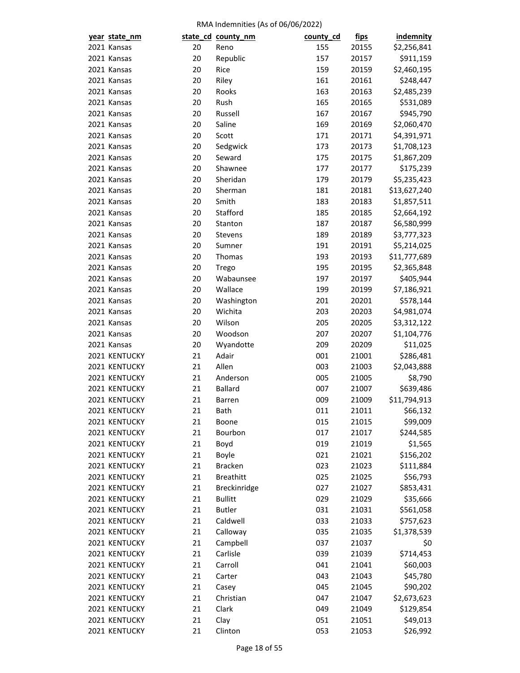| year state_nm |    | state_cd_county_nm | county_cd | <u>fips</u>    | indemnity    |
|---------------|----|--------------------|-----------|----------------|--------------|
| 2021 Kansas   | 20 | Reno               | 155       | 20155          | \$2,256,841  |
| 2021 Kansas   | 20 | Republic           | 157       | 20157          | \$911,159    |
| 2021 Kansas   | 20 | Rice               | 159       | 20159          | \$2,460,195  |
| 2021 Kansas   | 20 | Riley              | 161       | 20161          | \$248,447    |
| 2021 Kansas   | 20 | Rooks              | 163       | 20163          | \$2,485,239  |
| 2021 Kansas   | 20 | Rush               | 165       | 20165          | \$531,089    |
| 2021 Kansas   | 20 | Russell            | 167       | 20167          | \$945,790    |
| 2021 Kansas   | 20 | Saline             | 169       | 20169          | \$2,060,470  |
| 2021 Kansas   | 20 | Scott              | 171       | 20171          | \$4,391,971  |
| 2021 Kansas   | 20 | Sedgwick           | 173       | 20173          | \$1,708,123  |
| 2021 Kansas   | 20 | Seward             | 175       | 20175          | \$1,867,209  |
| 2021 Kansas   | 20 | Shawnee            | 177       | 20177          | \$175,239    |
| 2021 Kansas   | 20 | Sheridan           | 179       | 20179          | \$5,235,423  |
| 2021 Kansas   | 20 | Sherman            | 181       | 20181          | \$13,627,240 |
| 2021 Kansas   | 20 | Smith              | 183       | 20183          | \$1,857,511  |
| 2021 Kansas   | 20 | Stafford           | 185       | 20185          | \$2,664,192  |
| 2021 Kansas   | 20 | Stanton            | 187       | 20187          | \$6,580,999  |
| 2021 Kansas   | 20 | Stevens            | 189       | 20189          | \$3,777,323  |
| 2021 Kansas   | 20 | Sumner             | 191       | 20191          | \$5,214,025  |
| 2021 Kansas   | 20 | Thomas             | 193       | 20193          | \$11,777,689 |
| 2021 Kansas   | 20 | Trego              | 195       | 20195          | \$2,365,848  |
| 2021 Kansas   | 20 | Wabaunsee          | 197       | 20197          | \$405,944    |
| 2021 Kansas   | 20 | Wallace            | 199       | 20199          | \$7,186,921  |
| 2021 Kansas   | 20 | Washington         | 201       | 20201          | \$578,144    |
| 2021 Kansas   | 20 | Wichita            | 203       | 20203          | \$4,981,074  |
| 2021 Kansas   | 20 | Wilson             | 205       | 20205          | \$3,312,122  |
| 2021 Kansas   | 20 | Woodson            | 207       | 20207          | \$1,104,776  |
| 2021 Kansas   | 20 | Wyandotte          | 209       | 20209          | \$11,025     |
| 2021 KENTUCKY | 21 | Adair              | 001       | 21001          | \$286,481    |
| 2021 KENTUCKY | 21 | Allen              | 003       |                |              |
| 2021 KENTUCKY | 21 | Anderson           | 005       | 21003<br>21005 | \$2,043,888  |
|               |    | <b>Ballard</b>     |           |                | \$8,790      |
| 2021 KENTUCKY | 21 |                    | 007       | 21007          | \$639,486    |
| 2021 KENTUCKY | 21 | <b>Barren</b>      | 009       | 21009          | \$11,794,913 |
| 2021 KENTUCKY | 21 | Bath               | 011       | 21011          | \$66,132     |
| 2021 KENTUCKY | 21 | Boone              | 015       | 21015          | \$99,009     |
| 2021 KENTUCKY | 21 | Bourbon            | 017       | 21017          | \$244,585    |
| 2021 KENTUCKY | 21 | Boyd               | 019       | 21019          | \$1,565      |
| 2021 KENTUCKY | 21 | Boyle              | 021       | 21021          | \$156,202    |
| 2021 KENTUCKY | 21 | <b>Bracken</b>     | 023       | 21023          | \$111,884    |
| 2021 KENTUCKY | 21 | <b>Breathitt</b>   | 025       | 21025          | \$56,793     |
| 2021 KENTUCKY | 21 | Breckinridge       | 027       | 21027          | \$853,431    |
| 2021 KENTUCKY | 21 | <b>Bullitt</b>     | 029       | 21029          | \$35,666     |
| 2021 KENTUCKY | 21 | <b>Butler</b>      | 031       | 21031          | \$561,058    |
| 2021 KENTUCKY | 21 | Caldwell           | 033       | 21033          | \$757,623    |
| 2021 KENTUCKY | 21 | Calloway           | 035       | 21035          | \$1,378,539  |
| 2021 KENTUCKY | 21 | Campbell           | 037       | 21037          | \$0          |
| 2021 KENTUCKY | 21 | Carlisle           | 039       | 21039          | \$714,453    |
| 2021 KENTUCKY | 21 | Carroll            | 041       | 21041          | \$60,003     |
| 2021 KENTUCKY | 21 | Carter             | 043       | 21043          | \$45,780     |
| 2021 KENTUCKY | 21 | Casey              | 045       | 21045          | \$90,202     |
| 2021 KENTUCKY | 21 | Christian          | 047       | 21047          | \$2,673,623  |
| 2021 KENTUCKY | 21 | Clark              | 049       | 21049          | \$129,854    |
| 2021 KENTUCKY | 21 | Clay               | 051       | 21051          | \$49,013     |
| 2021 KENTUCKY | 21 | Clinton            | 053       | 21053          | \$26,992     |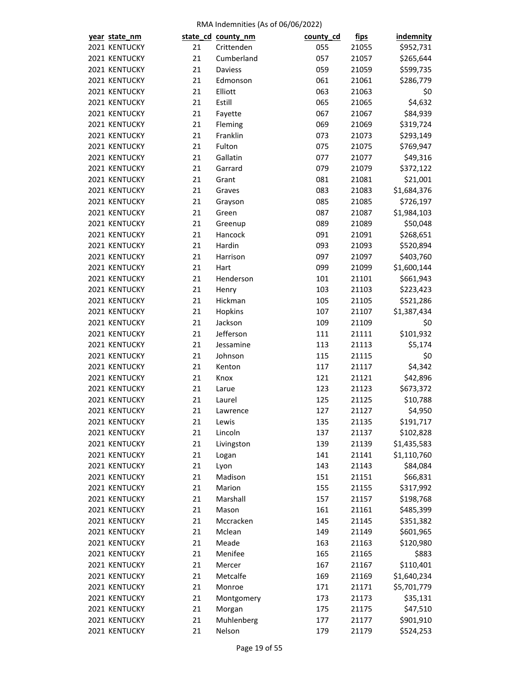| year state_nm |    | state_cd_county_nm | county_cd | <u>fips</u> | indemnity   |
|---------------|----|--------------------|-----------|-------------|-------------|
| 2021 KENTUCKY | 21 | Crittenden         | 055       | 21055       | \$952,731   |
| 2021 KENTUCKY | 21 | Cumberland         | 057       | 21057       | \$265,644   |
| 2021 KENTUCKY | 21 | Daviess            | 059       | 21059       | \$599,735   |
| 2021 KENTUCKY | 21 | Edmonson           | 061       | 21061       | \$286,779   |
| 2021 KENTUCKY | 21 | Elliott            | 063       | 21063       | \$0         |
| 2021 KENTUCKY | 21 | Estill             | 065       | 21065       | \$4,632     |
| 2021 KENTUCKY | 21 | Fayette            | 067       | 21067       | \$84,939    |
| 2021 KENTUCKY | 21 | Fleming            | 069       | 21069       | \$319,724   |
| 2021 KENTUCKY | 21 | Franklin           | 073       | 21073       | \$293,149   |
| 2021 KENTUCKY | 21 | Fulton             | 075       | 21075       | \$769,947   |
| 2021 KENTUCKY | 21 | Gallatin           | 077       | 21077       | \$49,316    |
| 2021 KENTUCKY | 21 | Garrard            | 079       | 21079       | \$372,122   |
| 2021 KENTUCKY | 21 | Grant              | 081       | 21081       | \$21,001    |
| 2021 KENTUCKY | 21 | Graves             | 083       | 21083       | \$1,684,376 |
| 2021 KENTUCKY | 21 | Grayson            | 085       | 21085       | \$726,197   |
| 2021 KENTUCKY | 21 | Green              | 087       | 21087       | \$1,984,103 |
| 2021 KENTUCKY | 21 | Greenup            | 089       | 21089       | \$50,048    |
| 2021 KENTUCKY | 21 | Hancock            | 091       | 21091       | \$268,651   |
| 2021 KENTUCKY | 21 | Hardin             | 093       | 21093       | \$520,894   |
| 2021 KENTUCKY | 21 | Harrison           | 097       | 21097       | \$403,760   |
| 2021 KENTUCKY | 21 | Hart               | 099       | 21099       | \$1,600,144 |
| 2021 KENTUCKY | 21 | Henderson          | 101       | 21101       | \$661,943   |
| 2021 KENTUCKY | 21 | Henry              | 103       | 21103       | \$223,423   |
| 2021 KENTUCKY | 21 | Hickman            | 105       | 21105       | \$521,286   |
| 2021 KENTUCKY | 21 | Hopkins            | 107       | 21107       | \$1,387,434 |
| 2021 KENTUCKY | 21 | Jackson            | 109       | 21109       | \$0         |
| 2021 KENTUCKY | 21 | Jefferson          | 111       | 21111       | \$101,932   |
| 2021 KENTUCKY | 21 | Jessamine          | 113       | 21113       | \$5,174     |
| 2021 KENTUCKY | 21 | Johnson            | 115       | 21115       | \$0         |
| 2021 KENTUCKY | 21 | Kenton             | 117       | 21117       | \$4,342     |
| 2021 KENTUCKY | 21 | Knox               | 121       | 21121       | \$42,896    |
| 2021 KENTUCKY | 21 | Larue              | 123       | 21123       | \$673,372   |
| 2021 KENTUCKY | 21 | Laurel             | 125       | 21125       | \$10,788    |
| 2021 KENTUCKY | 21 | Lawrence           | 127       | 21127       | \$4,950     |
| 2021 KENTUCKY | 21 | Lewis              | 135       | 21135       | \$191,717   |
| 2021 KENTUCKY | 21 | Lincoln            | 137       | 21137       | \$102,828   |
| 2021 KENTUCKY | 21 | Livingston         | 139       | 21139       | \$1,435,583 |
| 2021 KENTUCKY | 21 | Logan              | 141       | 21141       | \$1,110,760 |
| 2021 KENTUCKY | 21 | Lyon               | 143       | 21143       | \$84,084    |
| 2021 KENTUCKY | 21 | Madison            | 151       | 21151       | \$66,831    |
| 2021 KENTUCKY | 21 | Marion             | 155       | 21155       | \$317,992   |
| 2021 KENTUCKY | 21 | Marshall           | 157       | 21157       | \$198,768   |
| 2021 KENTUCKY | 21 | Mason              | 161       | 21161       | \$485,399   |
| 2021 KENTUCKY | 21 | Mccracken          | 145       | 21145       | \$351,382   |
| 2021 KENTUCKY | 21 | Mclean             | 149       | 21149       | \$601,965   |
| 2021 KENTUCKY | 21 | Meade              | 163       | 21163       | \$120,980   |
| 2021 KENTUCKY | 21 | Menifee            | 165       | 21165       | \$883       |
| 2021 KENTUCKY | 21 | Mercer             | 167       | 21167       | \$110,401   |
| 2021 KENTUCKY | 21 | Metcalfe           | 169       | 21169       | \$1,640,234 |
| 2021 KENTUCKY | 21 | Monroe             | 171       | 21171       | \$5,701,779 |
| 2021 KENTUCKY | 21 | Montgomery         | 173       | 21173       | \$35,131    |
| 2021 KENTUCKY | 21 | Morgan             | 175       | 21175       | \$47,510    |
| 2021 KENTUCKY | 21 | Muhlenberg         | 177       | 21177       | \$901,910   |
| 2021 KENTUCKY | 21 | Nelson             | 179       | 21179       | \$524,253   |
|               |    |                    |           |             |             |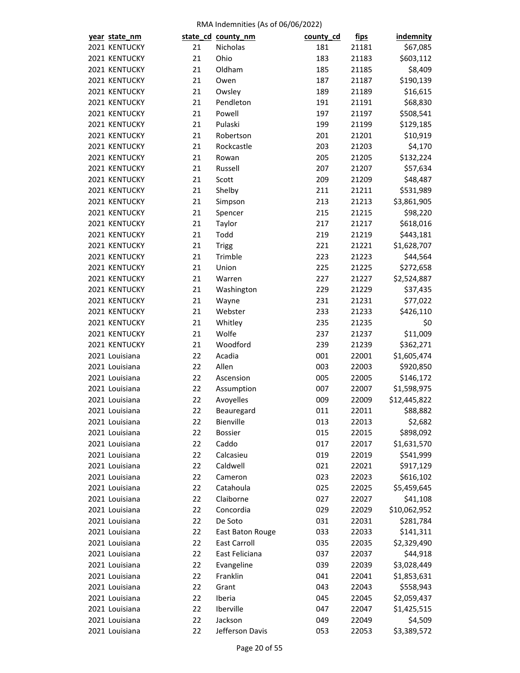| year state_nm  |    | state_cd_county_nm  | county_cd | <u>fips</u> | <b>indemnity</b> |
|----------------|----|---------------------|-----------|-------------|------------------|
| 2021 KENTUCKY  | 21 | Nicholas            | 181       | 21181       | \$67,085         |
| 2021 KENTUCKY  | 21 | Ohio                | 183       | 21183       | \$603,112        |
| 2021 KENTUCKY  | 21 | Oldham              | 185       | 21185       | \$8,409          |
| 2021 KENTUCKY  | 21 | Owen                | 187       | 21187       | \$190,139        |
| 2021 KENTUCKY  | 21 | Owsley              | 189       | 21189       | \$16,615         |
| 2021 KENTUCKY  | 21 | Pendleton           | 191       | 21191       | \$68,830         |
| 2021 KENTUCKY  | 21 | Powell              | 197       | 21197       | \$508,541        |
| 2021 KENTUCKY  | 21 | Pulaski             | 199       | 21199       | \$129,185        |
| 2021 KENTUCKY  | 21 | Robertson           | 201       | 21201       | \$10,919         |
| 2021 KENTUCKY  | 21 | Rockcastle          | 203       | 21203       | \$4,170          |
| 2021 KENTUCKY  | 21 | Rowan               | 205       | 21205       | \$132,224        |
| 2021 KENTUCKY  | 21 | Russell             | 207       | 21207       | \$57,634         |
| 2021 KENTUCKY  | 21 | Scott               | 209       | 21209       | \$48,487         |
| 2021 KENTUCKY  | 21 | Shelby              | 211       | 21211       | \$531,989        |
| 2021 KENTUCKY  | 21 | Simpson             | 213       | 21213       | \$3,861,905      |
| 2021 KENTUCKY  | 21 | Spencer             | 215       | 21215       | \$98,220         |
| 2021 KENTUCKY  | 21 | Taylor              | 217       | 21217       | \$618,016        |
| 2021 KENTUCKY  | 21 | Todd                | 219       | 21219       | \$443,181        |
| 2021 KENTUCKY  | 21 | <b>Trigg</b>        | 221       | 21221       | \$1,628,707      |
| 2021 KENTUCKY  | 21 | Trimble             | 223       | 21223       | \$44,564         |
| 2021 KENTUCKY  | 21 | Union               | 225       | 21225       | \$272,658        |
| 2021 KENTUCKY  | 21 | Warren              | 227       | 21227       | \$2,524,887      |
| 2021 KENTUCKY  | 21 | Washington          | 229       | 21229       | \$37,435         |
| 2021 KENTUCKY  | 21 | Wayne               | 231       | 21231       | \$77,022         |
| 2021 KENTUCKY  | 21 | Webster             | 233       | 21233       | \$426,110        |
| 2021 KENTUCKY  | 21 | Whitley             | 235       | 21235       | \$0              |
| 2021 KENTUCKY  | 21 | Wolfe               | 237       | 21237       | \$11,009         |
| 2021 KENTUCKY  | 21 | Woodford            | 239       | 21239       | \$362,271        |
| 2021 Louisiana | 22 | Acadia              | 001       | 22001       | \$1,605,474      |
| 2021 Louisiana | 22 | Allen               | 003       | 22003       | \$920,850        |
| 2021 Louisiana | 22 | Ascension           | 005       | 22005       | \$146,172        |
| 2021 Louisiana | 22 | Assumption          | 007       | 22007       | \$1,598,975      |
| 2021 Louisiana | 22 | Avoyelles           | 009       | 22009       | \$12,445,822     |
| 2021 Louisiana | 22 | Beauregard          | 011       | 22011       | \$88,882         |
| 2021 Louisiana | 22 | Bienville           | 013       | 22013       | \$2,682          |
| 2021 Louisiana | 22 | <b>Bossier</b>      | 015       | 22015       | \$898,092        |
| 2021 Louisiana | 22 | Caddo               | 017       | 22017       | \$1,631,570      |
| 2021 Louisiana | 22 | Calcasieu           | 019       | 22019       | \$541,999        |
| 2021 Louisiana | 22 | Caldwell            | 021       | 22021       | \$917,129        |
| 2021 Louisiana | 22 | Cameron             | 023       | 22023       | \$616,102        |
| 2021 Louisiana | 22 | Catahoula           | 025       | 22025       | \$5,459,645      |
| 2021 Louisiana | 22 | Claiborne           | 027       | 22027       | \$41,108         |
| 2021 Louisiana | 22 | Concordia           | 029       | 22029       | \$10,062,952     |
| 2021 Louisiana | 22 | De Soto             | 031       | 22031       | \$281,784        |
| 2021 Louisiana | 22 | East Baton Rouge    | 033       | 22033       | \$141,311        |
| 2021 Louisiana | 22 | <b>East Carroll</b> | 035       | 22035       | \$2,329,490      |
| 2021 Louisiana | 22 | East Feliciana      | 037       | 22037       | \$44,918         |
| 2021 Louisiana | 22 | Evangeline          | 039       | 22039       | \$3,028,449      |
| 2021 Louisiana | 22 | Franklin            | 041       | 22041       | \$1,853,631      |
| 2021 Louisiana | 22 | Grant               | 043       | 22043       | \$558,943        |
| 2021 Louisiana | 22 | Iberia              | 045       | 22045       | \$2,059,437      |
| 2021 Louisiana | 22 | Iberville           | 047       | 22047       | \$1,425,515      |
| 2021 Louisiana | 22 | Jackson             | 049       | 22049       | \$4,509          |
| 2021 Louisiana | 22 | Jefferson Davis     | 053       | 22053       | \$3,389,572      |
|                |    |                     |           |             |                  |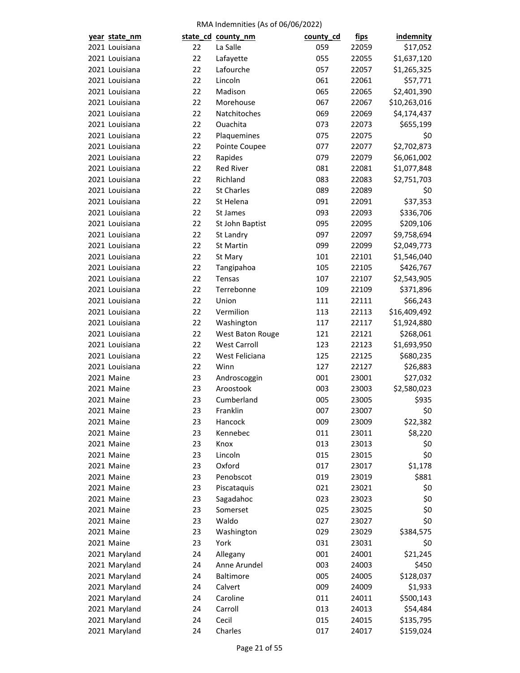| year state_nm  |    | state_cd_county_nm  | county_cd | <u>fips</u> | <b>indemnity</b> |
|----------------|----|---------------------|-----------|-------------|------------------|
| 2021 Louisiana | 22 | La Salle            | 059       | 22059       | \$17,052         |
| 2021 Louisiana | 22 | Lafayette           | 055       | 22055       | \$1,637,120      |
| 2021 Louisiana | 22 | Lafourche           | 057       | 22057       | \$1,265,325      |
| 2021 Louisiana | 22 | Lincoln             | 061       | 22061       | \$57,771         |
| 2021 Louisiana | 22 | Madison             | 065       | 22065       | \$2,401,390      |
| 2021 Louisiana | 22 | Morehouse           | 067       | 22067       | \$10,263,016     |
| 2021 Louisiana | 22 | Natchitoches        | 069       | 22069       | \$4,174,437      |
| 2021 Louisiana | 22 | Ouachita            | 073       | 22073       | \$655,199        |
| 2021 Louisiana | 22 | Plaquemines         | 075       | 22075       | \$0              |
| 2021 Louisiana | 22 | Pointe Coupee       | 077       | 22077       | \$2,702,873      |
| 2021 Louisiana | 22 | Rapides             | 079       | 22079       | \$6,061,002      |
| 2021 Louisiana | 22 | <b>Red River</b>    | 081       | 22081       | \$1,077,848      |
| 2021 Louisiana | 22 | Richland            | 083       | 22083       | \$2,751,703      |
| 2021 Louisiana | 22 | <b>St Charles</b>   | 089       | 22089       | \$0              |
| 2021 Louisiana | 22 | St Helena           | 091       | 22091       | \$37,353         |
| 2021 Louisiana | 22 | St James            | 093       | 22093       | \$336,706        |
| 2021 Louisiana | 22 | St John Baptist     | 095       | 22095       | \$209,106        |
| 2021 Louisiana | 22 | St Landry           | 097       | 22097       | \$9,758,694      |
| 2021 Louisiana | 22 | St Martin           | 099       | 22099       | \$2,049,773      |
| 2021 Louisiana | 22 | St Mary             | 101       | 22101       | \$1,546,040      |
| 2021 Louisiana | 22 | Tangipahoa          | 105       | 22105       | \$426,767        |
| 2021 Louisiana | 22 | Tensas              | 107       | 22107       | \$2,543,905      |
| 2021 Louisiana | 22 | Terrebonne          | 109       | 22109       | \$371,896        |
| 2021 Louisiana | 22 | Union               | 111       | 22111       | \$66,243         |
| 2021 Louisiana | 22 | Vermilion           | 113       | 22113       | \$16,409,492     |
| 2021 Louisiana | 22 | Washington          | 117       | 22117       | \$1,924,880      |
| 2021 Louisiana | 22 | West Baton Rouge    | 121       | 22121       | \$268,061        |
| 2021 Louisiana | 22 | <b>West Carroll</b> | 123       | 22123       | \$1,693,950      |
| 2021 Louisiana | 22 | West Feliciana      | 125       | 22125       | \$680,235        |
| 2021 Louisiana | 22 | Winn                | 127       | 22127       | \$26,883         |
| 2021 Maine     | 23 | Androscoggin        | 001       | 23001       | \$27,032         |
| 2021 Maine     | 23 | Aroostook           | 003       | 23003       | \$2,580,023      |
| 2021 Maine     | 23 | Cumberland          | 005       | 23005       | \$935            |
| 2021 Maine     | 23 | Franklin            | 007       | 23007       | \$0              |
| 2021 Maine     | 23 | Hancock             | 009       | 23009       | \$22,382         |
| 2021 Maine     | 23 | Kennebec            | 011       | 23011       | \$8,220          |
| 2021 Maine     | 23 | Knox                | 013       | 23013       | \$0              |
| 2021 Maine     | 23 | Lincoln             | 015       | 23015       | \$0              |
| 2021 Maine     | 23 | Oxford              | 017       | 23017       | \$1,178          |
| 2021 Maine     | 23 | Penobscot           | 019       | 23019       | \$881            |
| 2021 Maine     | 23 | Piscataquis         | 021       | 23021       | \$0              |
| 2021 Maine     | 23 | Sagadahoc           | 023       | 23023       | \$0              |
| 2021 Maine     | 23 | Somerset            | 025       | 23025       | \$0              |
| 2021 Maine     | 23 | Waldo               | 027       | 23027       | \$0              |
| 2021 Maine     | 23 |                     | 029       | 23029       | \$384,575        |
| 2021 Maine     | 23 | Washington<br>York  | 031       |             |                  |
| 2021 Maryland  | 24 | Allegany            | 001       | 23031       | \$0              |
|                |    |                     |           | 24001       | \$21,245         |
| 2021 Maryland  | 24 | Anne Arundel        | 003       | 24003       | \$450            |
| 2021 Maryland  | 24 | <b>Baltimore</b>    | 005       | 24005       | \$128,037        |
| 2021 Maryland  | 24 | Calvert             | 009       | 24009       | \$1,933          |
| 2021 Maryland  | 24 | Caroline            | 011       | 24011       | \$500,143        |
| 2021 Maryland  | 24 | Carroll             | 013       | 24013       | \$54,484         |
| 2021 Maryland  | 24 | Cecil               | 015       | 24015       | \$135,795        |
| 2021 Maryland  | 24 | Charles             | 017       | 24017       | \$159,024        |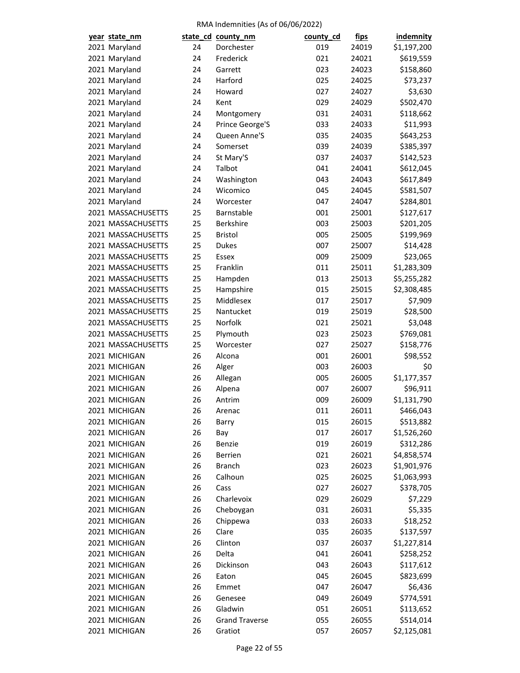| year state_nm      |    | state_cd_county_nm    | county_cd | fips  | <b>indemnity</b> |
|--------------------|----|-----------------------|-----------|-------|------------------|
| 2021 Maryland      | 24 | Dorchester            | 019       | 24019 | \$1,197,200      |
| 2021 Maryland      | 24 | Frederick             | 021       | 24021 | \$619,559        |
| 2021 Maryland      | 24 | Garrett               | 023       | 24023 | \$158,860        |
| 2021 Maryland      | 24 | Harford               | 025       | 24025 | \$73,237         |
| 2021 Maryland      | 24 | Howard                | 027       | 24027 | \$3,630          |
| 2021 Maryland      | 24 | Kent                  | 029       | 24029 | \$502,470        |
| 2021 Maryland      | 24 | Montgomery            | 031       | 24031 | \$118,662        |
| 2021 Maryland      | 24 | Prince George'S       | 033       | 24033 | \$11,993         |
| 2021 Maryland      | 24 | Queen Anne'S          | 035       | 24035 | \$643,253        |
| 2021 Maryland      | 24 | Somerset              | 039       | 24039 | \$385,397        |
| 2021 Maryland      | 24 | St Mary'S             | 037       | 24037 | \$142,523        |
| 2021 Maryland      | 24 | Talbot                | 041       | 24041 | \$612,045        |
| 2021 Maryland      | 24 | Washington            | 043       | 24043 | \$617,849        |
| 2021 Maryland      | 24 | Wicomico              | 045       | 24045 | \$581,507        |
| 2021 Maryland      | 24 | Worcester             | 047       | 24047 | \$284,801        |
| 2021 MASSACHUSETTS | 25 | Barnstable            | 001       | 25001 | \$127,617        |
| 2021 MASSACHUSETTS | 25 | <b>Berkshire</b>      | 003       | 25003 | \$201,205        |
| 2021 MASSACHUSETTS | 25 | <b>Bristol</b>        | 005       | 25005 | \$199,969        |
| 2021 MASSACHUSETTS | 25 | <b>Dukes</b>          | 007       | 25007 | \$14,428         |
| 2021 MASSACHUSETTS | 25 | <b>Essex</b>          | 009       | 25009 | \$23,065         |
| 2021 MASSACHUSETTS | 25 | Franklin              | 011       | 25011 | \$1,283,309      |
| 2021 MASSACHUSETTS | 25 | Hampden               | 013       | 25013 | \$5,255,282      |
| 2021 MASSACHUSETTS | 25 | Hampshire             | 015       | 25015 | \$2,308,485      |
| 2021 MASSACHUSETTS | 25 | Middlesex             | 017       | 25017 | \$7,909          |
| 2021 MASSACHUSETTS | 25 | Nantucket             |           |       | \$28,500         |
|                    |    | Norfolk               | 019       | 25019 |                  |
| 2021 MASSACHUSETTS | 25 |                       | 021       | 25021 | \$3,048          |
| 2021 MASSACHUSETTS | 25 | Plymouth              | 023       | 25023 | \$769,081        |
| 2021 MASSACHUSETTS | 25 | Worcester             | 027       | 25027 | \$158,776        |
| 2021 MICHIGAN      | 26 | Alcona                | 001       | 26001 | \$98,552         |
| 2021 MICHIGAN      | 26 | Alger                 | 003       | 26003 | \$0              |
| 2021 MICHIGAN      | 26 | Allegan               | 005       | 26005 | \$1,177,357      |
| 2021 MICHIGAN      | 26 | Alpena                | 007       | 26007 | \$96,911         |
| 2021 MICHIGAN      | 26 | Antrim                | 009       | 26009 | \$1,131,790      |
| 2021 MICHIGAN      | 26 | Arenac                | 011       | 26011 | \$466,043        |
| 2021 MICHIGAN      | 26 | Barry                 | 015       | 26015 | \$513,882        |
| 2021 MICHIGAN      | 26 | Bay                   | 017       | 26017 | \$1,526,260      |
| 2021 MICHIGAN      | 26 | Benzie                | 019       | 26019 | \$312,286        |
| 2021 MICHIGAN      | 26 | Berrien               | 021       | 26021 | \$4,858,574      |
| 2021 MICHIGAN      | 26 | <b>Branch</b>         | 023       | 26023 | \$1,901,976      |
| 2021 MICHIGAN      | 26 | Calhoun               | 025       | 26025 | \$1,063,993      |
| 2021 MICHIGAN      | 26 | Cass                  | 027       | 26027 | \$378,705        |
| 2021 MICHIGAN      | 26 | Charlevoix            | 029       | 26029 | \$7,229          |
| 2021 MICHIGAN      | 26 | Cheboygan             | 031       | 26031 | \$5,335          |
| 2021 MICHIGAN      | 26 | Chippewa              | 033       | 26033 | \$18,252         |
| 2021 MICHIGAN      | 26 | Clare                 | 035       | 26035 | \$137,597        |
| 2021 MICHIGAN      | 26 | Clinton               | 037       | 26037 | \$1,227,814      |
| 2021 MICHIGAN      | 26 | Delta                 | 041       | 26041 | \$258,252        |
| 2021 MICHIGAN      | 26 | Dickinson             | 043       | 26043 | \$117,612        |
| 2021 MICHIGAN      | 26 | Eaton                 | 045       | 26045 | \$823,699        |
| 2021 MICHIGAN      | 26 | Emmet                 | 047       | 26047 | \$6,436          |
| 2021 MICHIGAN      | 26 | Genesee               | 049       | 26049 | \$774,591        |
| 2021 MICHIGAN      | 26 | Gladwin               | 051       | 26051 | \$113,652        |
| 2021 MICHIGAN      | 26 | <b>Grand Traverse</b> | 055       | 26055 | \$514,014        |
| 2021 MICHIGAN      | 26 | Gratiot               | 057       | 26057 | \$2,125,081      |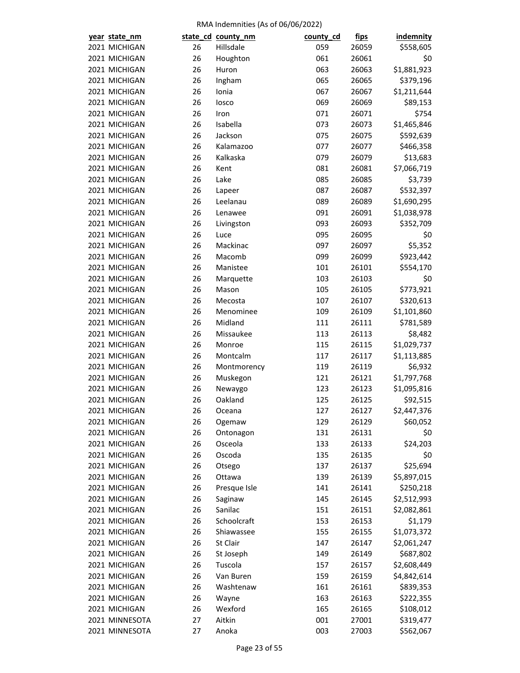| year state_nm  |    | state_cd_county_nm | county_cd | <u>fips</u> | <b>indemnity</b> |
|----------------|----|--------------------|-----------|-------------|------------------|
| 2021 MICHIGAN  | 26 | Hillsdale          | 059       | 26059       | \$558,605        |
| 2021 MICHIGAN  | 26 | Houghton           | 061       | 26061       | \$0              |
| 2021 MICHIGAN  | 26 | Huron              | 063       | 26063       | \$1,881,923      |
| 2021 MICHIGAN  | 26 | Ingham             | 065       | 26065       | \$379,196        |
| 2021 MICHIGAN  | 26 | Ionia              | 067       | 26067       | \$1,211,644      |
| 2021 MICHIGAN  | 26 | losco              | 069       | 26069       | \$89,153         |
| 2021 MICHIGAN  | 26 | Iron               | 071       | 26071       | \$754            |
| 2021 MICHIGAN  | 26 | Isabella           | 073       | 26073       | \$1,465,846      |
| 2021 MICHIGAN  | 26 | Jackson            | 075       | 26075       | \$592,639        |
| 2021 MICHIGAN  | 26 | Kalamazoo          | 077       | 26077       | \$466,358        |
| 2021 MICHIGAN  | 26 | Kalkaska           | 079       | 26079       | \$13,683         |
| 2021 MICHIGAN  | 26 | Kent               | 081       | 26081       | \$7,066,719      |
| 2021 MICHIGAN  | 26 | Lake               | 085       | 26085       | \$3,739          |
| 2021 MICHIGAN  | 26 | Lapeer             | 087       | 26087       | \$532,397        |
| 2021 MICHIGAN  | 26 | Leelanau           | 089       | 26089       | \$1,690,295      |
| 2021 MICHIGAN  | 26 | Lenawee            | 091       | 26091       | \$1,038,978      |
| 2021 MICHIGAN  | 26 | Livingston         | 093       | 26093       | \$352,709        |
| 2021 MICHIGAN  | 26 | Luce               | 095       | 26095       | \$0              |
| 2021 MICHIGAN  | 26 | Mackinac           | 097       | 26097       | \$5,352          |
| 2021 MICHIGAN  | 26 | Macomb             | 099       | 26099       | \$923,442        |
| 2021 MICHIGAN  | 26 | Manistee           | 101       | 26101       | \$554,170        |
| 2021 MICHIGAN  | 26 | Marquette          | 103       | 26103       | \$0              |
| 2021 MICHIGAN  | 26 | Mason              | 105       | 26105       | \$773,921        |
| 2021 MICHIGAN  | 26 | Mecosta            | 107       | 26107       | \$320,613        |
| 2021 MICHIGAN  | 26 | Menominee          | 109       | 26109       | \$1,101,860      |
| 2021 MICHIGAN  | 26 | Midland            | 111       | 26111       | \$781,589        |
| 2021 MICHIGAN  | 26 | Missaukee          | 113       | 26113       | \$8,482          |
| 2021 MICHIGAN  | 26 | Monroe             | 115       | 26115       | \$1,029,737      |
| 2021 MICHIGAN  | 26 | Montcalm           | 117       | 26117       | \$1,113,885      |
| 2021 MICHIGAN  | 26 | Montmorency        | 119       | 26119       | \$6,932          |
| 2021 MICHIGAN  | 26 | Muskegon           | 121       | 26121       | \$1,797,768      |
| 2021 MICHIGAN  | 26 | Newaygo            | 123       | 26123       | \$1,095,816      |
| 2021 MICHIGAN  | 26 | Oakland            | 125       | 26125       | \$92,515         |
| 2021 MICHIGAN  | 26 | Oceana             | 127       | 26127       | \$2,447,376      |
| 2021 MICHIGAN  | 26 | Ogemaw             | 129       | 26129       | \$60,052         |
| 2021 MICHIGAN  | 26 | Ontonagon          | 131       | 26131       | \$0              |
| 2021 MICHIGAN  | 26 | Osceola            | 133       | 26133       | \$24,203         |
| 2021 MICHIGAN  | 26 | Oscoda             | 135       | 26135       | \$0              |
| 2021 MICHIGAN  | 26 | Otsego             | 137       | 26137       | \$25,694         |
| 2021 MICHIGAN  | 26 | Ottawa             | 139       | 26139       | \$5,897,015      |
| 2021 MICHIGAN  | 26 | Presque Isle       | 141       | 26141       | \$250,218        |
| 2021 MICHIGAN  | 26 | Saginaw            | 145       | 26145       | \$2,512,993      |
| 2021 MICHIGAN  | 26 | Sanilac            | 151       | 26151       | \$2,082,861      |
| 2021 MICHIGAN  | 26 | Schoolcraft        | 153       | 26153       | \$1,179          |
| 2021 MICHIGAN  | 26 | Shiawassee         | 155       | 26155       | \$1,073,372      |
| 2021 MICHIGAN  | 26 | St Clair           | 147       | 26147       | \$2,061,247      |
| 2021 MICHIGAN  | 26 | St Joseph          | 149       | 26149       | \$687,802        |
| 2021 MICHIGAN  | 26 | Tuscola            | 157       | 26157       | \$2,608,449      |
| 2021 MICHIGAN  | 26 | Van Buren          | 159       | 26159       | \$4,842,614      |
| 2021 MICHIGAN  | 26 | Washtenaw          | 161       | 26161       | \$839,353        |
| 2021 MICHIGAN  | 26 | Wayne              | 163       | 26163       | \$222,355        |
| 2021 MICHIGAN  | 26 | Wexford            | 165       | 26165       | \$108,012        |
| 2021 MINNESOTA | 27 | Aitkin             | 001       | 27001       | \$319,477        |
| 2021 MINNESOTA | 27 | Anoka              | 003       | 27003       | \$562,067        |
|                |    |                    |           |             |                  |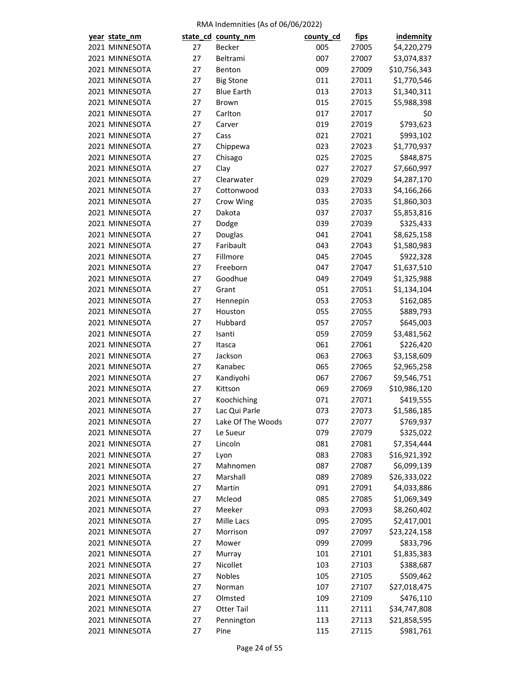| year state_nm                    |          | state_cd_county_nm | county_cd  | <u>fips</u>    | <b>indemnity</b> |
|----------------------------------|----------|--------------------|------------|----------------|------------------|
| 2021 MINNESOTA                   | 27       | <b>Becker</b>      | 005        | 27005          | \$4,220,279      |
| 2021 MINNESOTA                   | 27       | Beltrami           | 007        | 27007          | \$3,074,837      |
| 2021 MINNESOTA                   | 27       | Benton             | 009        | 27009          | \$10,756,343     |
| 2021 MINNESOTA                   | 27       | <b>Big Stone</b>   | 011        | 27011          | \$1,770,546      |
| 2021 MINNESOTA                   | 27       | <b>Blue Earth</b>  | 013        | 27013          | \$1,340,311      |
| 2021 MINNESOTA                   | 27       | <b>Brown</b>       | 015        | 27015          | \$5,988,398      |
| 2021 MINNESOTA                   | 27       | Carlton            | 017        | 27017          | \$0              |
| 2021 MINNESOTA                   | 27       | Carver             | 019        | 27019          | \$793,623        |
| 2021 MINNESOTA                   | 27       | Cass               | 021        | 27021          | \$993,102        |
| 2021 MINNESOTA                   | 27       | Chippewa           | 023        | 27023          | \$1,770,937      |
| 2021 MINNESOTA                   | 27       | Chisago            | 025        | 27025          | \$848,875        |
| 2021 MINNESOTA                   | 27       | Clay               | 027        | 27027          | \$7,660,997      |
| 2021 MINNESOTA                   | 27       | Clearwater         | 029        | 27029          | \$4,287,170      |
| 2021 MINNESOTA                   | 27       | Cottonwood         | 033        | 27033          | \$4,166,266      |
| 2021 MINNESOTA                   | 27       | Crow Wing          | 035        | 27035          | \$1,860,303      |
| 2021 MINNESOTA                   | 27       | Dakota             | 037        | 27037          | \$5,853,816      |
| 2021 MINNESOTA                   | 27       | Dodge              | 039        | 27039          | \$325,433        |
| 2021 MINNESOTA                   | 27       | Douglas            | 041        | 27041          | \$8,625,158      |
| 2021 MINNESOTA                   | 27       | Faribault          | 043        | 27043          | \$1,580,983      |
| 2021 MINNESOTA                   | 27       | Fillmore           | 045        | 27045          | \$922,328        |
| 2021 MINNESOTA                   | 27       | Freeborn           | 047        | 27047          | \$1,637,510      |
| 2021 MINNESOTA                   | 27       | Goodhue            | 049        | 27049          | \$1,325,988      |
| 2021 MINNESOTA                   | 27       | Grant              | 051        | 27051          | \$1,134,104      |
| 2021 MINNESOTA                   | 27       | Hennepin           | 053        | 27053          | \$162,085        |
| 2021 MINNESOTA                   | 27       | Houston            | 055        | 27055          | \$889,793        |
| 2021 MINNESOTA                   | 27       | Hubbard            | 057        | 27057          | \$645,003        |
| 2021 MINNESOTA                   | 27       | Isanti             | 059        | 27059          | \$3,481,562      |
| 2021 MINNESOTA                   | 27       | Itasca             | 061        | 27061          | \$226,420        |
| 2021 MINNESOTA                   | 27       | Jackson            | 063        | 27063          | \$3,158,609      |
| 2021 MINNESOTA                   | 27       | Kanabec            | 065        | 27065          | \$2,965,258      |
| 2021 MINNESOTA                   | 27       | Kandiyohi          | 067        | 27067          | \$9,546,751      |
| 2021 MINNESOTA                   | 27       | Kittson            | 069        | 27069          | \$10,986,120     |
| 2021 MINNESOTA                   | 27       | Koochiching        | 071        | 27071          | \$419,555        |
| 2021 MINNESOTA                   | 27       | Lac Qui Parle      | 073        | 27073          | \$1,586,185      |
| 2021 MINNESOTA                   | 27       | Lake Of The Woods  | 077        | 27077          | \$769,937        |
| 2021 MINNESOTA                   | 27       | Le Sueur           | 079        | 27079          | \$325,022        |
| 2021 MINNESOTA                   | 27       | Lincoln            |            |                | \$7,354,444      |
| 2021 MINNESOTA                   | 27       | Lyon               | 081<br>083 | 27081<br>27083 | \$16,921,392     |
| 2021 MINNESOTA                   | 27       | Mahnomen           |            |                | \$6,099,139      |
| 2021 MINNESOTA                   | 27       | Marshall           | 087<br>089 | 27087<br>27089 |                  |
|                                  |          |                    |            |                | \$26,333,022     |
| 2021 MINNESOTA<br>2021 MINNESOTA | 27<br>27 | Martin<br>Mcleod   | 091<br>085 | 27091<br>27085 | \$4,033,886      |
|                                  |          |                    |            |                | \$1,069,349      |
| 2021 MINNESOTA                   | 27       | Meeker             | 093        | 27093          | \$8,260,402      |
| 2021 MINNESOTA                   | 27       | Mille Lacs         | 095        | 27095          | \$2,417,001      |
| 2021 MINNESOTA                   | 27       | Morrison           | 097        | 27097          | \$23,224,158     |
| 2021 MINNESOTA                   | 27       | Mower              | 099        | 27099          | \$833,796        |
| 2021 MINNESOTA                   | 27       | Murray             | 101        | 27101          | \$1,835,383      |
| 2021 MINNESOTA                   | 27       | Nicollet           | 103        | 27103          | \$388,687        |
| 2021 MINNESOTA                   | 27       | Nobles             | 105        | 27105          | \$509,462        |
| 2021 MINNESOTA                   | 27       | Norman             | 107        | 27107          | \$27,018,475     |
| 2021 MINNESOTA                   | 27       | Olmsted            | 109        | 27109          | \$476,110        |
| 2021 MINNESOTA                   | 27       | <b>Otter Tail</b>  | 111        | 27111          | \$34,747,808     |
| 2021 MINNESOTA                   | 27       | Pennington         | 113        | 27113          | \$21,858,595     |
| 2021 MINNESOTA                   | 27       | Pine               | 115        | 27115          | \$981,761        |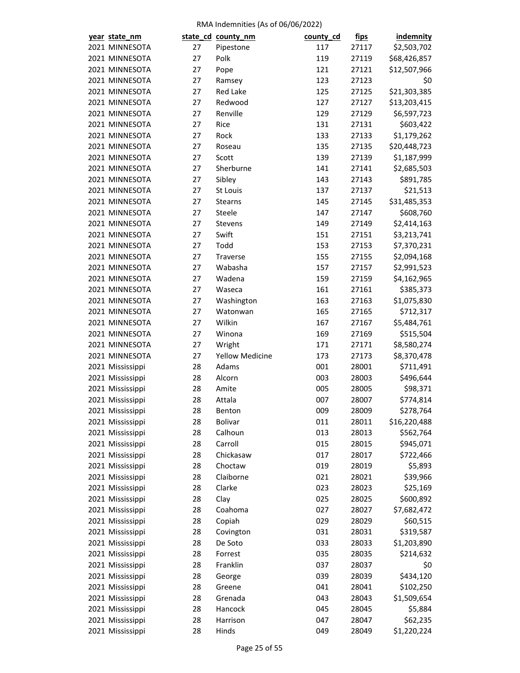| year state_nm    |    | state_cd_county_nm     | county_cd  | <u>fips</u>    | <b>indemnity</b>          |
|------------------|----|------------------------|------------|----------------|---------------------------|
| 2021 MINNESOTA   | 27 | Pipestone              | 117        | 27117          | \$2,503,702               |
| 2021 MINNESOTA   | 27 | Polk                   | 119        | 27119          | \$68,426,857              |
| 2021 MINNESOTA   | 27 | Pope                   | 121        | 27121          | \$12,507,966              |
| 2021 MINNESOTA   | 27 | Ramsey                 | 123        | 27123          | \$0                       |
| 2021 MINNESOTA   | 27 | <b>Red Lake</b>        | 125        | 27125          | \$21,303,385              |
| 2021 MINNESOTA   | 27 | Redwood                | 127        | 27127          | \$13,203,415              |
| 2021 MINNESOTA   | 27 | Renville               | 129        | 27129          | \$6,597,723               |
| 2021 MINNESOTA   | 27 | Rice                   | 131        | 27131          | \$603,422                 |
| 2021 MINNESOTA   | 27 | Rock                   | 133        | 27133          | \$1,179,262               |
| 2021 MINNESOTA   | 27 | Roseau                 | 135        | 27135          | \$20,448,723              |
| 2021 MINNESOTA   | 27 | Scott                  | 139        | 27139          | \$1,187,999               |
| 2021 MINNESOTA   | 27 | Sherburne              | 141        | 27141          | \$2,685,503               |
| 2021 MINNESOTA   | 27 | Sibley                 | 143        | 27143          | \$891,785                 |
| 2021 MINNESOTA   | 27 | St Louis               | 137        | 27137          | \$21,513                  |
| 2021 MINNESOTA   | 27 | <b>Stearns</b>         | 145        | 27145          | \$31,485,353              |
| 2021 MINNESOTA   | 27 | Steele                 | 147        | 27147          | \$608,760                 |
| 2021 MINNESOTA   | 27 | Stevens                | 149        | 27149          | \$2,414,163               |
| 2021 MINNESOTA   | 27 | Swift                  | 151        | 27151          | \$3,213,741               |
| 2021 MINNESOTA   | 27 | Todd                   | 153        | 27153          | \$7,370,231               |
| 2021 MINNESOTA   | 27 | Traverse               | 155        | 27155          | \$2,094,168               |
| 2021 MINNESOTA   | 27 | Wabasha                | 157        | 27157          | \$2,991,523               |
| 2021 MINNESOTA   | 27 | Wadena                 | 159        | 27159          | \$4,162,965               |
| 2021 MINNESOTA   | 27 | Waseca                 | 161        | 27161          | \$385,373                 |
| 2021 MINNESOTA   | 27 | Washington             | 163        | 27163          | \$1,075,830               |
| 2021 MINNESOTA   | 27 | Watonwan               | 165        | 27165          | \$712,317                 |
| 2021 MINNESOTA   | 27 | Wilkin                 | 167        | 27167          | \$5,484,761               |
| 2021 MINNESOTA   | 27 | Winona                 | 169        | 27169          | \$515,504                 |
| 2021 MINNESOTA   | 27 | Wright                 | 171        | 27171          | \$8,580,274               |
| 2021 MINNESOTA   | 27 | <b>Yellow Medicine</b> | 173        | 27173          | \$8,370,478               |
| 2021 Mississippi | 28 | Adams                  | 001        | 28001          | \$711,491                 |
| 2021 Mississippi | 28 | Alcorn                 | 003        | 28003          | \$496,644                 |
| 2021 Mississippi | 28 | Amite                  | 005        | 28005          | \$98,371                  |
| 2021 Mississippi | 28 | Attala                 | 007        | 28007          | \$774,814                 |
| 2021 Mississippi | 28 | Benton                 | 009        | 28009          | \$278,764                 |
| 2021 Mississippi | 28 | Bolivar                | 011        | 28011          |                           |
| 2021 Mississippi | 28 | Calhoun                | 013        | 28013          | \$16,220,488<br>\$562,764 |
| 2021 Mississippi | 28 | Carroll                |            |                | \$945,071                 |
| 2021 Mississippi | 28 | Chickasaw              | 015<br>017 | 28015<br>28017 | \$722,466                 |
| 2021 Mississippi | 28 | Choctaw                | 019        | 28019          | \$5,893                   |
| 2021 Mississippi | 28 | Claiborne              | 021        | 28021          | \$39,966                  |
| 2021 Mississippi | 28 | Clarke                 | 023        | 28023          | \$25,169                  |
| 2021 Mississippi | 28 |                        | 025        |                |                           |
|                  | 28 | Clay<br>Coahoma        | 027        | 28025<br>28027 | \$600,892                 |
| 2021 Mississippi |    |                        |            |                | \$7,682,472<br>\$60,515   |
| 2021 Mississippi | 28 | Copiah                 | 029        | 28029          |                           |
| 2021 Mississippi | 28 | Covington              | 031        | 28031          | \$319,587                 |
| 2021 Mississippi | 28 | De Soto                | 033        | 28033          | \$1,203,890               |
| 2021 Mississippi | 28 | Forrest                | 035        | 28035          | \$214,632                 |
| 2021 Mississippi | 28 | Franklin               | 037        | 28037          | \$0                       |
| 2021 Mississippi | 28 | George                 | 039        | 28039          | \$434,120                 |
| 2021 Mississippi | 28 | Greene                 | 041        | 28041          | \$102,250                 |
| 2021 Mississippi | 28 | Grenada                | 043        | 28043          | \$1,509,654               |
| 2021 Mississippi | 28 | Hancock                | 045        | 28045          | \$5,884                   |
| 2021 Mississippi | 28 | Harrison               | 047        | 28047          | \$62,235                  |
| 2021 Mississippi | 28 | Hinds                  | 049        | 28049          | \$1,220,224               |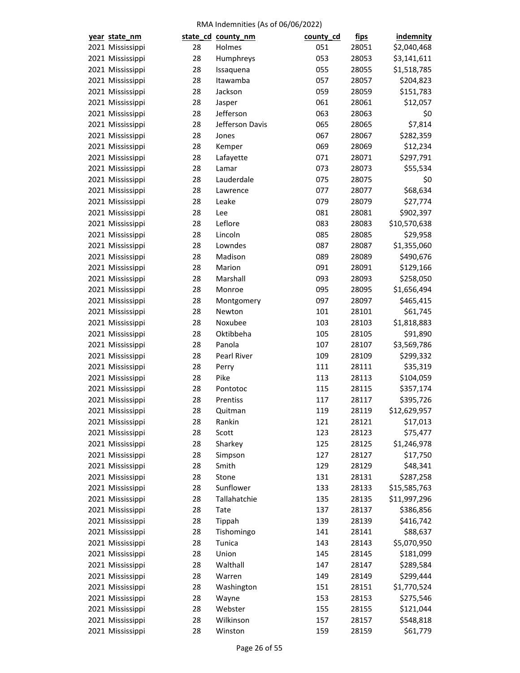| year state_nm                        |    | state_cd_county_nm | county_cd  | fips           | <b>indemnity</b> |
|--------------------------------------|----|--------------------|------------|----------------|------------------|
| 2021 Mississippi                     | 28 | Holmes             | 051        | 28051          | \$2,040,468      |
| 2021 Mississippi                     | 28 | Humphreys          | 053        | 28053          | \$3,141,611      |
| 2021 Mississippi                     | 28 | Issaquena          | 055        | 28055          | \$1,518,785      |
| 2021 Mississippi                     | 28 | Itawamba           | 057        | 28057          | \$204,823        |
| 2021 Mississippi                     | 28 | Jackson            | 059        | 28059          | \$151,783        |
| 2021 Mississippi                     | 28 | Jasper             | 061        | 28061          | \$12,057         |
| 2021 Mississippi                     | 28 | Jefferson          | 063        | 28063          | \$0              |
| 2021 Mississippi                     | 28 | Jefferson Davis    | 065        | 28065          | \$7,814          |
| 2021 Mississippi                     | 28 | Jones              | 067        | 28067          | \$282,359        |
| 2021 Mississippi                     | 28 | Kemper             | 069        | 28069          | \$12,234         |
| 2021 Mississippi                     | 28 | Lafayette          | 071        | 28071          | \$297,791        |
| 2021 Mississippi                     | 28 | Lamar              | 073        | 28073          | \$55,534         |
| 2021 Mississippi                     | 28 | Lauderdale         | 075        | 28075          | \$0              |
| 2021 Mississippi                     | 28 | Lawrence           | 077        | 28077          | \$68,634         |
| 2021 Mississippi                     | 28 | Leake              | 079        | 28079          | \$27,774         |
| 2021 Mississippi                     | 28 | Lee                | 081        | 28081          | \$902,397        |
| 2021 Mississippi                     | 28 | Leflore            | 083        | 28083          | \$10,570,638     |
| 2021 Mississippi                     | 28 | Lincoln            | 085        | 28085          | \$29,958         |
| 2021 Mississippi                     | 28 | Lowndes            | 087        | 28087          | \$1,355,060      |
| 2021 Mississippi                     | 28 | Madison            | 089        | 28089          | \$490,676        |
| 2021 Mississippi                     | 28 | Marion             | 091        | 28091          | \$129,166        |
| 2021 Mississippi                     | 28 | Marshall           | 093        | 28093          | \$258,050        |
| 2021 Mississippi                     | 28 | Monroe             | 095        | 28095          | \$1,656,494      |
| 2021 Mississippi                     | 28 | Montgomery         | 097        | 28097          | \$465,415        |
| 2021 Mississippi                     | 28 | Newton             | 101        | 28101          | \$61,745         |
| 2021 Mississippi                     | 28 | Noxubee            | 103        | 28103          | \$1,818,883      |
| 2021 Mississippi                     | 28 | Oktibbeha          | 105        | 28105          | \$91,890         |
| 2021 Mississippi                     | 28 | Panola             | 107        | 28107          | \$3,569,786      |
| 2021 Mississippi                     | 28 | Pearl River        | 109        | 28109          | \$299,332        |
| 2021 Mississippi                     | 28 | Perry              | 111        | 28111          | \$35,319         |
| 2021 Mississippi                     | 28 | Pike               | 113        | 28113          | \$104,059        |
| 2021 Mississippi                     | 28 | Pontotoc           | 115        | 28115          | \$357,174        |
| 2021 Mississippi                     | 28 | Prentiss           | 117        | 28117          | \$395,726        |
| 2021 Mississippi                     | 28 | Quitman            | 119        | 28119          | \$12,629,957     |
|                                      | 28 | Rankin             | 121        | 28121          | \$17,013         |
| 2021 Mississippi<br>2021 Mississippi | 28 | Scott              | 123        | 28123          | \$75,477         |
| 2021 Mississippi                     | 28 | Sharkey            | 125        | 28125          | \$1,246,978      |
| 2021 Mississippi                     | 28 | Simpson            | 127        | 28127          | \$17,750         |
| 2021 Mississippi                     | 28 | Smith              |            |                | \$48,341         |
| 2021 Mississippi                     | 28 | Stone              | 129<br>131 | 28129<br>28131 | \$287,258        |
| 2021 Mississippi                     | 28 | Sunflower          | 133        | 28133          |                  |
| 2021 Mississippi                     | 28 | Tallahatchie       | 135        |                | \$15,585,763     |
|                                      | 28 |                    | 137        | 28135          | \$11,997,296     |
| 2021 Mississippi                     |    | Tate               |            | 28137          | \$386,856        |
| 2021 Mississippi                     | 28 | Tippah             | 139        | 28139          | \$416,742        |
| 2021 Mississippi                     | 28 | Tishomingo         | 141        | 28141          | \$88,637         |
| 2021 Mississippi                     | 28 | Tunica             | 143        | 28143          | \$5,070,950      |
| 2021 Mississippi                     | 28 | Union              | 145        | 28145          | \$181,099        |
| 2021 Mississippi                     | 28 | Walthall           | 147        | 28147          | \$289,584        |
| 2021 Mississippi                     | 28 | Warren             | 149        | 28149          | \$299,444        |
| 2021 Mississippi                     | 28 | Washington         | 151        | 28151          | \$1,770,524      |
| 2021 Mississippi                     | 28 | Wayne              | 153        | 28153          | \$275,546        |
| 2021 Mississippi                     | 28 | Webster            | 155        | 28155          | \$121,044        |
| 2021 Mississippi                     | 28 | Wilkinson          | 157        | 28157          | \$548,818        |
| 2021 Mississippi                     | 28 | Winston            | 159        | 28159          | \$61,779         |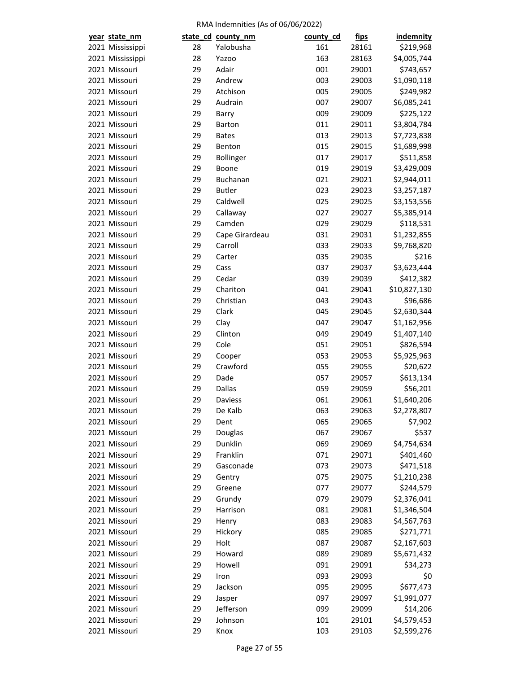| year state_nm    |    | state_cd_county_nm | county_cd | <u>fips</u>    | <b>indemnity</b> |
|------------------|----|--------------------|-----------|----------------|------------------|
| 2021 Mississippi | 28 | Yalobusha          | 161       | 28161          | \$219,968        |
| 2021 Mississippi | 28 | Yazoo              | 163       | 28163          | \$4,005,744      |
| 2021 Missouri    | 29 | Adair              | 001       | 29001          | \$743,657        |
| 2021 Missouri    | 29 | Andrew             | 003       | 29003          | \$1,090,118      |
| 2021 Missouri    | 29 | Atchison           | 005       | 29005          | \$249,982        |
| 2021 Missouri    | 29 | Audrain            | 007       | 29007          | \$6,085,241      |
| 2021 Missouri    | 29 | Barry              | 009       | 29009          | \$225,122        |
| 2021 Missouri    | 29 | Barton             | 011       | 29011          | \$3,804,784      |
| 2021 Missouri    | 29 | <b>Bates</b>       | 013       | 29013          | \$7,723,838      |
| 2021 Missouri    | 29 | Benton             | 015       | 29015          | \$1,689,998      |
| 2021 Missouri    | 29 | Bollinger          | 017       | 29017          | \$511,858        |
| 2021 Missouri    | 29 | Boone              | 019       | 29019          | \$3,429,009      |
| 2021 Missouri    | 29 | <b>Buchanan</b>    | 021       | 29021          | \$2,944,011      |
|                  |    |                    |           |                |                  |
| 2021 Missouri    | 29 | <b>Butler</b>      | 023       | 29023          | \$3,257,187      |
| 2021 Missouri    | 29 | Caldwell           | 025       | 29025          | \$3,153,556      |
| 2021 Missouri    | 29 | Callaway           | 027       | 29027          | \$5,385,914      |
| 2021 Missouri    | 29 | Camden             | 029       | 29029          | \$118,531        |
| 2021 Missouri    | 29 | Cape Girardeau     | 031       | 29031          | \$1,232,855      |
| 2021 Missouri    | 29 | Carroll            | 033       | 29033          | \$9,768,820      |
| 2021 Missouri    | 29 | Carter             | 035       | 29035          | \$216            |
| 2021 Missouri    | 29 | Cass               | 037       | 29037          | \$3,623,444      |
| 2021 Missouri    | 29 | Cedar              | 039       | 29039          | \$412,382        |
| 2021 Missouri    | 29 | Chariton           | 041       | 29041          | \$10,827,130     |
| 2021 Missouri    | 29 | Christian          | 043       | 29043          | \$96,686         |
| 2021 Missouri    | 29 | Clark              | 045       | 29045          | \$2,630,344      |
| 2021 Missouri    | 29 | Clay               | 047       | 29047          | \$1,162,956      |
| 2021 Missouri    | 29 | Clinton            | 049       | 29049          | \$1,407,140      |
| 2021 Missouri    | 29 | Cole               | 051       | 29051          | \$826,594        |
| 2021 Missouri    | 29 | Cooper             | 053       | 29053          | \$5,925,963      |
| 2021 Missouri    | 29 | Crawford           | 055       | 29055          | \$20,622         |
| 2021 Missouri    | 29 | Dade               | 057       | 29057          | \$613,134        |
| 2021 Missouri    | 29 | <b>Dallas</b>      | 059       | 29059          | \$56,201         |
| 2021 Missouri    | 29 | Daviess            | 061       | 29061          | \$1,640,206      |
| 2021 Missouri    | 29 | De Kalb            | 063       | 29063          | \$2,278,807      |
| 2021 Missouri    | 29 | Dent               | 065       | 29065          | \$7,902          |
| 2021 Missouri    | 29 | Douglas            | 067       | 29067          | \$537            |
| 2021 Missouri    | 29 | Dunklin            | 069       | 29069          | \$4,754,634      |
| 2021 Missouri    | 29 | Franklin           | 071       | 29071          | \$401,460        |
| 2021 Missouri    | 29 | Gasconade          | 073       | 29073          | \$471,518        |
| 2021 Missouri    | 29 | Gentry             | 075       | 29075          | \$1,210,238      |
| 2021 Missouri    | 29 | Greene             | 077       | 29077          | \$244,579        |
| 2021 Missouri    | 29 | Grundy             | 079       | 29079          | \$2,376,041      |
| 2021 Missouri    | 29 | Harrison           | 081       | 29081          | \$1,346,504      |
| 2021 Missouri    | 29 | Henry              | 083       | 29083          | \$4,567,763      |
| 2021 Missouri    | 29 | Hickory            | 085       | 29085          | \$271,771        |
| 2021 Missouri    | 29 | Holt               | 087       | 29087          | \$2,167,603      |
| 2021 Missouri    | 29 | Howard             | 089       | 29089          | \$5,671,432      |
| 2021 Missouri    | 29 | Howell             | 091       |                |                  |
| 2021 Missouri    | 29 | Iron               | 093       | 29091<br>29093 | \$34,273<br>\$0  |
| 2021 Missouri    | 29 | Jackson            | 095       | 29095          |                  |
| 2021 Missouri    | 29 |                    |           |                | \$677,473        |
|                  |    | Jasper             | 097       | 29097          | \$1,991,077      |
| 2021 Missouri    | 29 | Jefferson          | 099       | 29099          | \$14,206         |
| 2021 Missouri    | 29 | Johnson            | 101       | 29101          | \$4,579,453      |
| 2021 Missouri    | 29 | Knox               | 103       | 29103          | \$2,599,276      |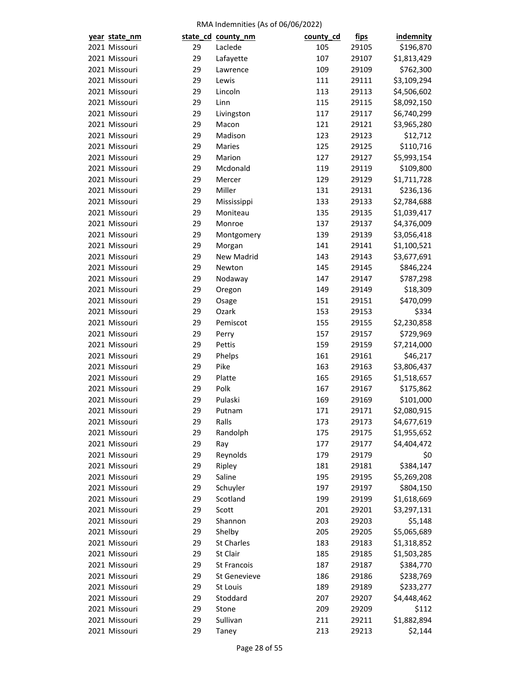| year state_nm |    | state_cd_county_nm   | county_cd | <u>fips</u> | <b>indemnity</b> |
|---------------|----|----------------------|-----------|-------------|------------------|
| 2021 Missouri | 29 | Laclede              | 105       | 29105       | \$196,870        |
| 2021 Missouri | 29 | Lafayette            | 107       | 29107       | \$1,813,429      |
| 2021 Missouri | 29 | Lawrence             | 109       | 29109       | \$762,300        |
| 2021 Missouri | 29 | Lewis                | 111       | 29111       | \$3,109,294      |
| 2021 Missouri | 29 | Lincoln              | 113       | 29113       | \$4,506,602      |
| 2021 Missouri | 29 | Linn                 | 115       | 29115       | \$8,092,150      |
| 2021 Missouri | 29 | Livingston           | 117       | 29117       | \$6,740,299      |
| 2021 Missouri | 29 | Macon                | 121       | 29121       | \$3,965,280      |
| 2021 Missouri | 29 | Madison              | 123       | 29123       | \$12,712         |
| 2021 Missouri | 29 | Maries               | 125       | 29125       | \$110,716        |
| 2021 Missouri | 29 | Marion               | 127       | 29127       | \$5,993,154      |
| 2021 Missouri | 29 | Mcdonald             | 119       | 29119       | \$109,800        |
| 2021 Missouri | 29 | Mercer               | 129       | 29129       | \$1,711,728      |
| 2021 Missouri | 29 | Miller               | 131       | 29131       | \$236,136        |
| 2021 Missouri | 29 | Mississippi          | 133       | 29133       | \$2,784,688      |
| 2021 Missouri | 29 | Moniteau             | 135       | 29135       | \$1,039,417      |
| 2021 Missouri | 29 | Monroe               | 137       | 29137       | \$4,376,009      |
| 2021 Missouri | 29 | Montgomery           | 139       | 29139       | \$3,056,418      |
| 2021 Missouri | 29 |                      | 141       | 29141       | \$1,100,521      |
| 2021 Missouri | 29 | Morgan<br>New Madrid | 143       | 29143       | \$3,677,691      |
| 2021 Missouri |    | Newton               |           |             |                  |
|               | 29 |                      | 145       | 29145       | \$846,224        |
| 2021 Missouri | 29 | Nodaway              | 147       | 29147       | \$787,298        |
| 2021 Missouri | 29 | Oregon               | 149       | 29149       | \$18,309         |
| 2021 Missouri | 29 | Osage                | 151       | 29151       | \$470,099        |
| 2021 Missouri | 29 | Ozark                | 153       | 29153       | \$334            |
| 2021 Missouri | 29 | Pemiscot             | 155       | 29155       | \$2,230,858      |
| 2021 Missouri | 29 | Perry                | 157       | 29157       | \$729,969        |
| 2021 Missouri | 29 | Pettis               | 159       | 29159       | \$7,214,000      |
| 2021 Missouri | 29 | Phelps               | 161       | 29161       | \$46,217         |
| 2021 Missouri | 29 | Pike                 | 163       | 29163       | \$3,806,437      |
| 2021 Missouri | 29 | Platte               | 165       | 29165       | \$1,518,657      |
| 2021 Missouri | 29 | Polk                 | 167       | 29167       | \$175,862        |
| 2021 Missouri | 29 | Pulaski              | 169       | 29169       | \$101,000        |
| 2021 Missouri | 29 | Putnam               | 171       | 29171       | \$2,080,915      |
| 2021 Missouri | 29 | Ralls                | 173       | 29173       | \$4,677,619      |
| 2021 Missouri | 29 | Randolph             | 175       | 29175       | \$1,955,652      |
| 2021 Missouri | 29 | Ray                  | 177       | 29177       | \$4,404,472      |
| 2021 Missouri | 29 | Reynolds             | 179       | 29179       | \$0              |
| 2021 Missouri | 29 | Ripley               | 181       | 29181       | \$384,147        |
| 2021 Missouri | 29 | Saline               | 195       | 29195       | \$5,269,208      |
| 2021 Missouri | 29 | Schuyler             | 197       | 29197       | \$804,150        |
| 2021 Missouri | 29 | Scotland             | 199       | 29199       | \$1,618,669      |
| 2021 Missouri | 29 | Scott                | 201       | 29201       | \$3,297,131      |
| 2021 Missouri | 29 | Shannon              | 203       | 29203       | \$5,148          |
| 2021 Missouri | 29 | Shelby               | 205       | 29205       | \$5,065,689      |
| 2021 Missouri | 29 | <b>St Charles</b>    | 183       | 29183       | \$1,318,852      |
| 2021 Missouri | 29 | St Clair             | 185       | 29185       | \$1,503,285      |
| 2021 Missouri | 29 | St Francois          | 187       | 29187       | \$384,770        |
| 2021 Missouri | 29 | St Genevieve         | 186       | 29186       | \$238,769        |
| 2021 Missouri | 29 | St Louis             | 189       | 29189       | \$233,277        |
| 2021 Missouri | 29 | Stoddard             | 207       | 29207       | \$4,448,462      |
| 2021 Missouri | 29 | Stone                | 209       | 29209       | \$112            |
| 2021 Missouri | 29 | Sullivan             | 211       | 29211       | \$1,882,894      |
| 2021 Missouri | 29 | Taney                | 213       | 29213       | \$2,144          |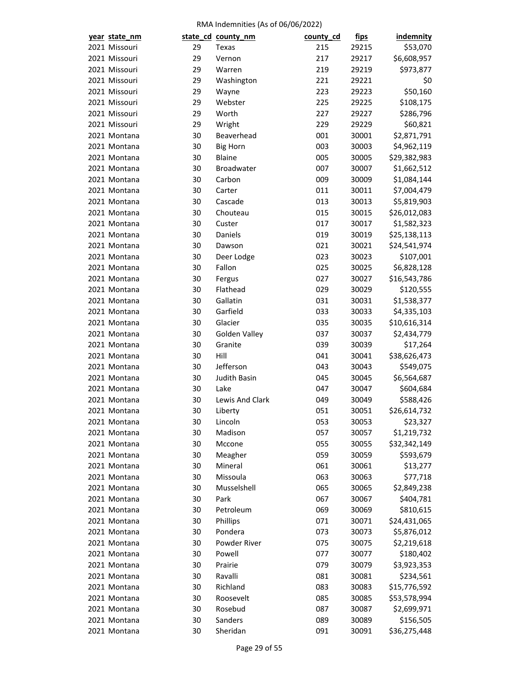| year state_nm |    | state_cd_county_nm | county_cd | <u>fips</u> | indemnity                |
|---------------|----|--------------------|-----------|-------------|--------------------------|
| 2021 Missouri | 29 | Texas              | 215       | 29215       | \$53,070                 |
| 2021 Missouri | 29 | Vernon             | 217       | 29217       | \$6,608,957              |
| 2021 Missouri | 29 | Warren             | 219       | 29219       | \$973,877                |
| 2021 Missouri | 29 | Washington         | 221       | 29221       | \$0                      |
| 2021 Missouri | 29 | Wayne              | 223       | 29223       | \$50,160                 |
| 2021 Missouri | 29 | Webster            | 225       | 29225       | \$108,175                |
| 2021 Missouri | 29 | Worth              | 227       | 29227       | \$286,796                |
| 2021 Missouri | 29 | Wright             | 229       | 29229       | \$60,821                 |
| 2021 Montana  | 30 | Beaverhead         | 001       | 30001       | \$2,871,791              |
| 2021 Montana  | 30 | <b>Big Horn</b>    | 003       | 30003       | \$4,962,119              |
| 2021 Montana  | 30 | <b>Blaine</b>      | 005       | 30005       | \$29,382,983             |
| 2021 Montana  | 30 | Broadwater         | 007       | 30007       | \$1,662,512              |
| 2021 Montana  | 30 | Carbon             | 009       | 30009       | \$1,084,144              |
| 2021 Montana  | 30 | Carter             | 011       | 30011       | \$7,004,479              |
| 2021 Montana  | 30 | Cascade            | 013       | 30013       | \$5,819,903              |
| 2021 Montana  | 30 | Chouteau           | 015       | 30015       | \$26,012,083             |
| 2021 Montana  | 30 | Custer             | 017       | 30017       | \$1,582,323              |
| 2021 Montana  | 30 | Daniels            | 019       | 30019       | \$25,138,113             |
| 2021 Montana  | 30 | Dawson             | 021       | 30021       | \$24,541,974             |
| 2021 Montana  | 30 | Deer Lodge         | 023       | 30023       | \$107,001                |
| 2021 Montana  | 30 | Fallon             | 025       | 30025       | \$6,828,128              |
| 2021 Montana  | 30 | Fergus             | 027       | 30027       | \$16,543,786             |
| 2021 Montana  | 30 | Flathead           | 029       | 30029       | \$120,555                |
| 2021 Montana  | 30 | Gallatin           | 031       | 30031       | \$1,538,377              |
| 2021 Montana  | 30 | Garfield           | 033       | 30033       | \$4,335,103              |
| 2021 Montana  | 30 | Glacier            | 035       | 30035       | \$10,616,314             |
| 2021 Montana  | 30 | Golden Valley      | 037       | 30037       | \$2,434,779              |
| 2021 Montana  | 30 | Granite            | 039       | 30039       | \$17,264                 |
| 2021 Montana  | 30 | Hill               | 041       | 30041       | \$38,626,473             |
| 2021 Montana  | 30 | Jefferson          | 043       | 30043       | \$549,075                |
| 2021 Montana  | 30 | Judith Basin       | 045       | 30045       | \$6,564,687              |
| 2021 Montana  | 30 | Lake               | 047       | 30047       | \$604,684                |
| 2021 Montana  | 30 | Lewis And Clark    | 049       | 30049       | \$588,426                |
| 2021 Montana  | 30 | Liberty            | 051       | 30051       | \$26,614,732             |
| 2021 Montana  | 30 | Lincoln            | 053       | 30053       | \$23,327                 |
| 2021 Montana  | 30 | Madison            | 057       | 30057       | \$1,219,732              |
| 2021 Montana  | 30 | Mccone             | 055       | 30055       | \$32,342,149             |
| 2021 Montana  | 30 | Meagher            | 059       | 30059       | \$593,679                |
| 2021 Montana  | 30 | Mineral            | 061       | 30061       | \$13,277                 |
| 2021 Montana  | 30 | Missoula           | 063       | 30063       | \$77,718                 |
| 2021 Montana  | 30 | Musselshell        | 065       | 30065       | \$2,849,238              |
| 2021 Montana  | 30 | Park               | 067       | 30067       | \$404,781                |
| 2021 Montana  | 30 | Petroleum          | 069       | 30069       | \$810,615                |
| 2021 Montana  | 30 | Phillips           | 071       | 30071       | \$24,431,065             |
| 2021 Montana  | 30 | Pondera            | 073       | 30073       | \$5,876,012              |
| 2021 Montana  | 30 | Powder River       | 075       | 30075       |                          |
| 2021 Montana  | 30 | Powell             | 077       | 30077       | \$2,219,618<br>\$180,402 |
|               |    |                    |           |             |                          |
| 2021 Montana  | 30 | Prairie            | 079       | 30079       | \$3,923,353              |
| 2021 Montana  | 30 | Ravalli            | 081       | 30081       | \$234,561                |
| 2021 Montana  | 30 | Richland           | 083       | 30083       | \$15,776,592             |
| 2021 Montana  | 30 | Roosevelt          | 085       | 30085       | \$53,578,994             |
| 2021 Montana  | 30 | Rosebud            | 087       | 30087       | \$2,699,971              |
| 2021 Montana  | 30 | Sanders            | 089       | 30089       | \$156,505                |
| 2021 Montana  | 30 | Sheridan           | 091       | 30091       | \$36,275,448             |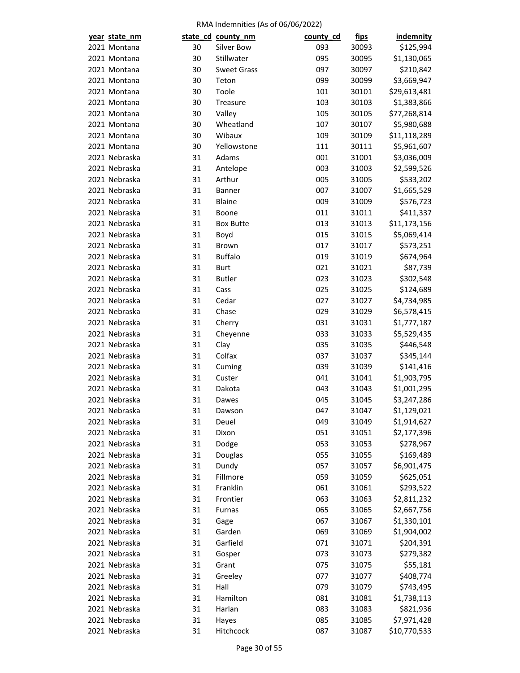| year state_nm |    | state_cd_county_nm | county_cd | <u>fips</u> | <b>indemnity</b> |
|---------------|----|--------------------|-----------|-------------|------------------|
| 2021 Montana  | 30 | Silver Bow         | 093       | 30093       | \$125,994        |
| 2021 Montana  | 30 | Stillwater         | 095       | 30095       | \$1,130,065      |
| 2021 Montana  | 30 | <b>Sweet Grass</b> | 097       | 30097       | \$210,842        |
| 2021 Montana  | 30 | Teton              | 099       | 30099       | \$3,669,947      |
| 2021 Montana  | 30 | Toole              | 101       | 30101       | \$29,613,481     |
| 2021 Montana  | 30 | Treasure           | 103       | 30103       | \$1,383,866      |
| 2021 Montana  | 30 | Valley             | 105       | 30105       | \$77,268,814     |
| 2021 Montana  | 30 | Wheatland          | 107       | 30107       | \$5,980,688      |
| 2021 Montana  | 30 | Wibaux             | 109       | 30109       | \$11,118,289     |
| 2021 Montana  | 30 | Yellowstone        | 111       | 30111       | \$5,961,607      |
| 2021 Nebraska | 31 | Adams              | 001       | 31001       | \$3,036,009      |
| 2021 Nebraska | 31 | Antelope           | 003       | 31003       | \$2,599,526      |
| 2021 Nebraska | 31 | Arthur             | 005       | 31005       | \$533,202        |
| 2021 Nebraska | 31 | Banner             | 007       | 31007       | \$1,665,529      |
| 2021 Nebraska | 31 | Blaine             | 009       | 31009       | \$576,723        |
| 2021 Nebraska | 31 | Boone              | 011       | 31011       | \$411,337        |
| 2021 Nebraska | 31 | <b>Box Butte</b>   | 013       | 31013       | \$11,173,156     |
| 2021 Nebraska | 31 | Boyd               | 015       | 31015       | \$5,069,414      |
| 2021 Nebraska | 31 | Brown              | 017       | 31017       | \$573,251        |
| 2021 Nebraska | 31 | <b>Buffalo</b>     | 019       | 31019       | \$674,964        |
| 2021 Nebraska | 31 | <b>Burt</b>        | 021       | 31021       | \$87,739         |
| 2021 Nebraska | 31 | <b>Butler</b>      | 023       | 31023       | \$302,548        |
| 2021 Nebraska | 31 | Cass               | 025       | 31025       | \$124,689        |
| 2021 Nebraska | 31 | Cedar              | 027       | 31027       | \$4,734,985      |
| 2021 Nebraska | 31 | Chase              | 029       | 31029       | \$6,578,415      |
| 2021 Nebraska | 31 | Cherry             | 031       | 31031       | \$1,777,187      |
| 2021 Nebraska | 31 | Cheyenne           | 033       | 31033       | \$5,529,435      |
| 2021 Nebraska | 31 | Clay               | 035       | 31035       | \$446,548        |
| 2021 Nebraska | 31 | Colfax             | 037       | 31037       | \$345,144        |
| 2021 Nebraska | 31 | Cuming             | 039       | 31039       | \$141,416        |
| 2021 Nebraska | 31 | Custer             | 041       | 31041       | \$1,903,795      |
| 2021 Nebraska | 31 | Dakota             | 043       | 31043       | \$1,001,295      |
| 2021 Nebraska | 31 | Dawes              | 045       | 31045       | \$3,247,286      |
| 2021 Nebraska | 31 | Dawson             | 047       | 31047       | \$1,129,021      |
| 2021 Nebraska | 31 | Deuel              | 049       | 31049       | \$1,914,627      |
| 2021 Nebraska | 31 | Dixon              | 051       | 31051       | \$2,177,396      |
| 2021 Nebraska | 31 | Dodge              | 053       | 31053       | \$278,967        |
| 2021 Nebraska | 31 | Douglas            | 055       | 31055       | \$169,489        |
| 2021 Nebraska | 31 | Dundy              | 057       | 31057       | \$6,901,475      |
| 2021 Nebraska | 31 | Fillmore           | 059       | 31059       | \$625,051        |
| 2021 Nebraska | 31 | Franklin           | 061       | 31061       | \$293,522        |
| 2021 Nebraska | 31 | Frontier           | 063       | 31063       | \$2,811,232      |
| 2021 Nebraska | 31 | Furnas             | 065       | 31065       | \$2,667,756      |
| 2021 Nebraska | 31 | Gage               | 067       | 31067       | \$1,330,101      |
| 2021 Nebraska | 31 | Garden             | 069       | 31069       | \$1,904,002      |
| 2021 Nebraska | 31 | Garfield           | 071       |             |                  |
|               |    |                    |           | 31071       | \$204,391        |
| 2021 Nebraska | 31 | Gosper             | 073       | 31073       | \$279,382        |
| 2021 Nebraska | 31 | Grant              | 075       | 31075       | \$55,181         |
| 2021 Nebraska | 31 | Greeley            | 077       | 31077       | \$408,774        |
| 2021 Nebraska | 31 | Hall               | 079       | 31079       | \$743,495        |
| 2021 Nebraska | 31 | Hamilton           | 081       | 31081       | \$1,738,113      |
| 2021 Nebraska | 31 | Harlan             | 083       | 31083       | \$821,936        |
| 2021 Nebraska | 31 | Hayes              | 085       | 31085       | \$7,971,428      |
| 2021 Nebraska | 31 | Hitchcock          | 087       | 31087       | \$10,770,533     |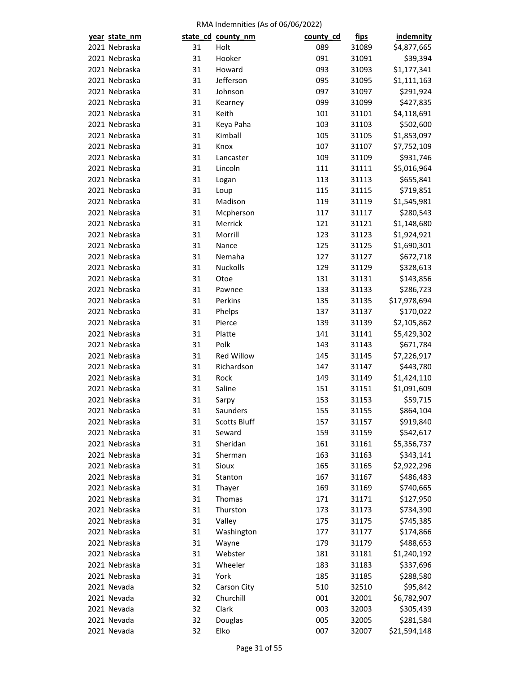| year state_nm              |          | state_cd_county_nm       | county_cd  | <u>fips</u>    | indemnity    |
|----------------------------|----------|--------------------------|------------|----------------|--------------|
| 2021 Nebraska              | 31       | Holt                     | 089        | 31089          | \$4,877,665  |
| 2021 Nebraska              | 31       | Hooker                   | 091        | 31091          | \$39,394     |
| 2021 Nebraska              | 31       | Howard                   | 093        | 31093          | \$1,177,341  |
| 2021 Nebraska              | 31       | Jefferson                | 095        | 31095          | \$1,111,163  |
| 2021 Nebraska              | 31       | Johnson                  | 097        | 31097          | \$291,924    |
| 2021 Nebraska              | 31       | Kearney                  | 099        | 31099          | \$427,835    |
| 2021 Nebraska              | 31       | Keith                    | 101        | 31101          | \$4,118,691  |
| 2021 Nebraska              | 31       | Keya Paha                | 103        | 31103          | \$502,600    |
| 2021 Nebraska              | 31       | Kimball                  | 105        | 31105          | \$1,853,097  |
| 2021 Nebraska              | 31       | Knox                     | 107        | 31107          | \$7,752,109  |
| 2021 Nebraska              | 31       | Lancaster                | 109        | 31109          | \$931,746    |
| 2021 Nebraska              | 31       | Lincoln                  | 111        | 31111          | \$5,016,964  |
| 2021 Nebraska              | 31       | Logan                    | 113        | 31113          | \$655,841    |
| 2021 Nebraska              | 31       | Loup                     | 115        | 31115          | \$719,851    |
| 2021 Nebraska              | 31       | Madison                  | 119        | 31119          | \$1,545,981  |
| 2021 Nebraska              | 31       | Mcpherson                | 117        | 31117          | \$280,543    |
| 2021 Nebraska              | 31       | Merrick                  | 121        | 31121          | \$1,148,680  |
| 2021 Nebraska              | 31       | Morrill                  | 123        | 31123          | \$1,924,921  |
| 2021 Nebraska              | 31       | Nance                    | 125        | 31125          | \$1,690,301  |
| 2021 Nebraska              | 31       | Nemaha                   | 127        | 31127          | \$672,718    |
| 2021 Nebraska              | 31       | <b>Nuckolls</b>          | 129        | 31129          | \$328,613    |
| 2021 Nebraska              | 31       | Otoe                     | 131        | 31131          | \$143,856    |
| 2021 Nebraska              | 31       | Pawnee                   | 133        | 31133          | \$286,723    |
| 2021 Nebraska              | 31       | Perkins                  | 135        | 31135          | \$17,978,694 |
| 2021 Nebraska              | 31       | Phelps                   | 137        | 31137          | \$170,022    |
| 2021 Nebraska              | 31       | Pierce                   | 139        | 31139          | \$2,105,862  |
| 2021 Nebraska              | 31       | Platte                   | 141        | 31141          | \$5,429,302  |
| 2021 Nebraska              | 31       | Polk                     | 143        | 31143          | \$671,784    |
| 2021 Nebraska              | 31       | <b>Red Willow</b>        | 145        | 31145          | \$7,226,917  |
| 2021 Nebraska              | 31       | Richardson               | 147        | 31147          | \$443,780    |
| 2021 Nebraska              | 31       | Rock                     | 149        | 31149          | \$1,424,110  |
| 2021 Nebraska              | 31       | Saline                   | 151        | 31151          | \$1,091,609  |
| 2021 Nebraska              | 31       | Sarpy                    | 153        | 31153          | \$59,715     |
| 2021 Nebraska              | 31       | Saunders                 | 155        | 31155          | \$864,104    |
| 2021 Nebraska              | 31       | <b>Scotts Bluff</b>      | 157        | 31157          | \$919,840    |
| 2021 Nebraska              | 31       | Seward                   | 159        | 31159          | \$542,617    |
| 2021 Nebraska              | 31       | Sheridan                 | 161        | 31161          | \$5,356,737  |
| 2021 Nebraska              | 31       | Sherman                  | 163        | 31163          | \$343,141    |
| 2021 Nebraska              | 31       | Sioux                    | 165        | 31165          | \$2,922,296  |
| 2021 Nebraska              | 31       | Stanton                  | 167        | 31167          | \$486,483    |
| 2021 Nebraska              | 31       | Thayer                   | 169        | 31169          | \$740,665    |
| 2021 Nebraska              | 31       | Thomas                   | 171        | 31171          | \$127,950    |
| 2021 Nebraska              | 31       | Thurston                 | 173        | 31173          | \$734,390    |
| 2021 Nebraska              | 31       | Valley                   | 175        | 31175          | \$745,385    |
| 2021 Nebraska              | 31       | Washington               | 177        | 31177          | \$174,866    |
| 2021 Nebraska              | 31       | Wayne                    | 179        | 31179          | \$488,653    |
| 2021 Nebraska              | 31       | Webster                  | 181        | 31181          | \$1,240,192  |
| 2021 Nebraska              | 31       | Wheeler                  |            |                | \$337,696    |
| 2021 Nebraska              | 31       | York                     | 183<br>185 | 31183<br>31185 | \$288,580    |
|                            |          |                          |            |                |              |
| 2021 Nevada<br>2021 Nevada | 32<br>32 | Carson City<br>Churchill | 510        | 32510          | \$95,842     |
|                            |          |                          | 001        | 32001          | \$6,782,907  |
| 2021 Nevada                | 32       | Clark                    | 003        | 32003          | \$305,439    |
| 2021 Nevada                | 32       | Douglas                  | 005        | 32005          | \$281,584    |
| 2021 Nevada                | 32       | Elko                     | 007        | 32007          | \$21,594,148 |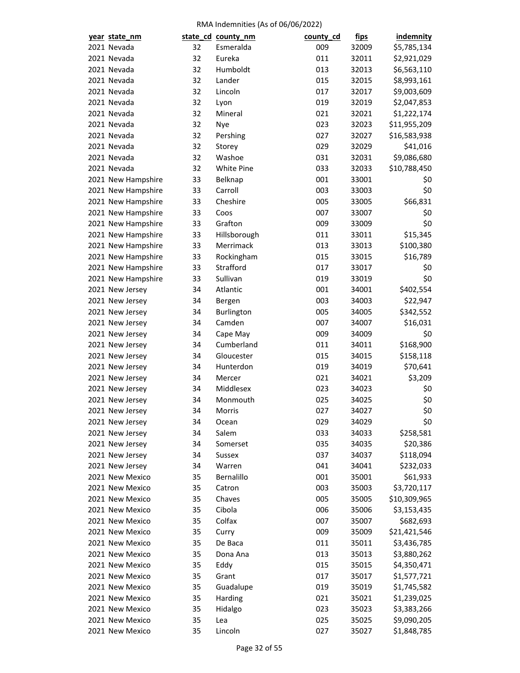| year state_nm      |    | state_cd_county_nm | county_cd | <u>fips</u> | <b>indemnity</b> |
|--------------------|----|--------------------|-----------|-------------|------------------|
| 2021 Nevada        | 32 | Esmeralda          | 009       | 32009       | \$5,785,134      |
| 2021 Nevada        | 32 | Eureka             | 011       | 32011       | \$2,921,029      |
| 2021 Nevada        | 32 | Humboldt           | 013       | 32013       | \$6,563,110      |
| 2021 Nevada        | 32 | Lander             | 015       | 32015       | \$8,993,161      |
| 2021 Nevada        | 32 | Lincoln            | 017       | 32017       | \$9,003,609      |
| 2021 Nevada        | 32 | Lyon               | 019       | 32019       | \$2,047,853      |
| 2021 Nevada        | 32 | Mineral            | 021       | 32021       | \$1,222,174      |
| 2021 Nevada        | 32 | Nye                | 023       | 32023       | \$11,955,209     |
| 2021 Nevada        | 32 | Pershing           | 027       | 32027       | \$16,583,938     |
| 2021 Nevada        | 32 | Storey             | 029       | 32029       | \$41,016         |
| 2021 Nevada        | 32 | Washoe             | 031       | 32031       | \$9,086,680      |
| 2021 Nevada        | 32 | <b>White Pine</b>  | 033       | 32033       | \$10,788,450     |
| 2021 New Hampshire | 33 | Belknap            | 001       | 33001       | \$0              |
| 2021 New Hampshire | 33 | Carroll            | 003       | 33003       | \$0              |
| 2021 New Hampshire | 33 | Cheshire           | 005       | 33005       | \$66,831         |
| 2021 New Hampshire | 33 | Coos               | 007       | 33007       | \$0              |
| 2021 New Hampshire | 33 | Grafton            | 009       | 33009       | \$0              |
| 2021 New Hampshire | 33 | Hillsborough       | 011       | 33011       | \$15,345         |
| 2021 New Hampshire | 33 | Merrimack          | 013       | 33013       | \$100,380        |
| 2021 New Hampshire | 33 | Rockingham         | 015       | 33015       | \$16,789         |
| 2021 New Hampshire | 33 | Strafford          | 017       | 33017       | \$0              |
| 2021 New Hampshire | 33 | Sullivan           | 019       | 33019       | \$0              |
|                    | 34 | Atlantic           | 001       | 34001       | \$402,554        |
| 2021 New Jersey    | 34 |                    | 003       | 34003       |                  |
| 2021 New Jersey    |    | Bergen             |           |             | \$22,947         |
| 2021 New Jersey    | 34 | Burlington         | 005       | 34005       | \$342,552        |
| 2021 New Jersey    | 34 | Camden             | 007       | 34007       | \$16,031         |
| 2021 New Jersey    | 34 | Cape May           | 009       | 34009       | \$0              |
| 2021 New Jersey    | 34 | Cumberland         | 011       | 34011       | \$168,900        |
| 2021 New Jersey    | 34 | Gloucester         | 015       | 34015       | \$158,118        |
| 2021 New Jersey    | 34 | Hunterdon          | 019       | 34019       | \$70,641         |
| 2021 New Jersey    | 34 | Mercer             | 021       | 34021       | \$3,209          |
| 2021 New Jersey    | 34 | Middlesex          | 023       | 34023       | \$0              |
| 2021 New Jersey    | 34 | Monmouth           | 025       | 34025       | \$0              |
| 2021 New Jersey    | 34 | Morris             | 027       | 34027       | \$0              |
| 2021 New Jersey    | 34 | Ocean              | 029       | 34029       | \$0              |
| 2021 New Jersey    | 34 | Salem              | 033       | 34033       | \$258,581        |
| 2021 New Jersey    | 34 | Somerset           | 035       | 34035       | \$20,386         |
| 2021 New Jersey    | 34 | Sussex             | 037       | 34037       | \$118,094        |
| 2021 New Jersey    | 34 | Warren             | 041       | 34041       | \$232,033        |
| 2021 New Mexico    | 35 | Bernalillo         | 001       | 35001       | \$61,933         |
| 2021 New Mexico    | 35 | Catron             | 003       | 35003       | \$3,720,117      |
| 2021 New Mexico    | 35 | Chaves             | 005       | 35005       | \$10,309,965     |
| 2021 New Mexico    | 35 | Cibola             | 006       | 35006       | \$3,153,435      |
| 2021 New Mexico    | 35 | Colfax             | 007       | 35007       | \$682,693        |
| 2021 New Mexico    | 35 | Curry              | 009       | 35009       | \$21,421,546     |
| 2021 New Mexico    | 35 | De Baca            | 011       | 35011       | \$3,436,785      |
| 2021 New Mexico    | 35 | Dona Ana           | 013       | 35013       | \$3,880,262      |
| 2021 New Mexico    | 35 | Eddy               | 015       | 35015       | \$4,350,471      |
| 2021 New Mexico    | 35 | Grant              | 017       | 35017       | \$1,577,721      |
| 2021 New Mexico    | 35 | Guadalupe          | 019       | 35019       | \$1,745,582      |
| 2021 New Mexico    | 35 | Harding            | 021       | 35021       | \$1,239,025      |
| 2021 New Mexico    | 35 | Hidalgo            | 023       | 35023       | \$3,383,266      |
| 2021 New Mexico    | 35 | Lea                | 025       | 35025       | \$9,090,205      |
| 2021 New Mexico    | 35 | Lincoln            | 027       | 35027       | \$1,848,785      |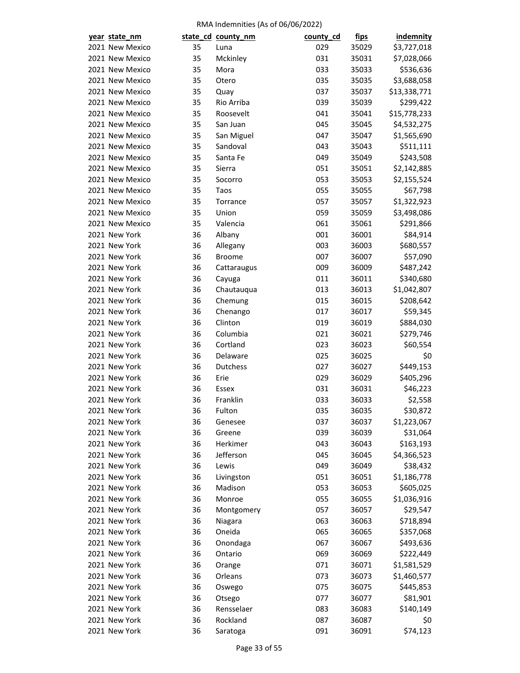| year state_nm                  |          | state_cd_county_nm    | county_cd  | <u>fips</u>    | indemnity               |
|--------------------------------|----------|-----------------------|------------|----------------|-------------------------|
| 2021 New Mexico                | 35       | Luna                  | 029        | 35029          | \$3,727,018             |
| 2021 New Mexico                | 35       | Mckinley              | 031        | 35031          | \$7,028,066             |
| 2021 New Mexico                | 35       | Mora                  | 033        | 35033          | \$536,636               |
| 2021 New Mexico                | 35       | Otero                 | 035        | 35035          | \$3,688,058             |
| 2021 New Mexico                | 35       | Quay                  | 037        | 35037          | \$13,338,771            |
| 2021 New Mexico                | 35       | Rio Arriba            | 039        | 35039          | \$299,422               |
| 2021 New Mexico                | 35       | Roosevelt             | 041        | 35041          | \$15,778,233            |
| 2021 New Mexico                | 35       | San Juan              | 045        | 35045          | \$4,532,275             |
| 2021 New Mexico                | 35       | San Miguel            | 047        | 35047          | \$1,565,690             |
| 2021 New Mexico                | 35       | Sandoval              | 043        | 35043          | \$511,111               |
| 2021 New Mexico                | 35       | Santa Fe              | 049        | 35049          | \$243,508               |
| 2021 New Mexico                | 35       | Sierra                | 051        | 35051          | \$2,142,885             |
| 2021 New Mexico                | 35       | Socorro               | 053        | 35053          | \$2,155,524             |
| 2021 New Mexico                | 35       | Taos                  | 055        | 35055          | \$67,798                |
| 2021 New Mexico                | 35       | Torrance              | 057        | 35057          | \$1,322,923             |
| 2021 New Mexico                | 35       | Union                 | 059        | 35059          | \$3,498,086             |
| 2021 New Mexico                | 35       | Valencia              | 061        | 35061          | \$291,866               |
| 2021 New York                  | 36       | Albany                | 001        | 36001          | \$84,914                |
| 2021 New York                  | 36       | Allegany              | 003        | 36003          | \$680,557               |
| 2021 New York                  | 36       | <b>Broome</b>         | 007        | 36007          | \$57,090                |
| 2021 New York                  | 36       | Cattaraugus           | 009        | 36009          | \$487,242               |
| 2021 New York                  | 36       | Cayuga                | 011        | 36011          | \$340,680               |
| 2021 New York                  | 36       | Chautauqua            | 013        | 36013          | \$1,042,807             |
| 2021 New York                  | 36       | Chemung               | 015        | 36015          | \$208,642               |
| 2021 New York                  | 36       | Chenango              | 017        | 36017          | \$59,345                |
| 2021 New York                  | 36       | Clinton               | 019        | 36019          | \$884,030               |
| 2021 New York                  | 36       | Columbia              | 021        | 36021          | \$279,746               |
| 2021 New York                  | 36       | Cortland              | 023        | 36023          | \$60,554                |
| 2021 New York                  | 36       | Delaware              | 025        | 36025          | \$0                     |
| 2021 New York                  | 36       | Dutchess              | 027        | 36027          | \$449,153               |
| 2021 New York                  | 36       | Erie                  | 029        | 36029          | \$405,296               |
| 2021 New York                  | 36       | Essex                 | 031        | 36031          | \$46,223                |
| 2021 New York                  | 36       | Franklin              | 033        | 36033          | \$2,558                 |
| 2021 New York                  | 36       | Fulton                | 035        | 36035          | \$30,872                |
|                                |          |                       |            |                |                         |
| 2021 New York<br>2021 New York | 36<br>36 | Genesee<br>Greene     | 037<br>039 | 36037<br>36039 | \$1,223,067<br>\$31,064 |
| 2021 New York                  | 36       | Herkimer              |            |                | \$163,193               |
| 2021 New York                  | 36       | Jefferson             | 043<br>045 | 36043          | \$4,366,523             |
| 2021 New York                  |          |                       |            | 36045          |                         |
| 2021 New York                  | 36       | Lewis                 | 049        | 36049          | \$38,432                |
|                                | 36       | Livingston<br>Madison | 051        | 36051          | \$1,186,778             |
| 2021 New York<br>2021 New York | 36       |                       | 053        | 36053          | \$605,025               |
| 2021 New York                  | 36       | Monroe                | 055        | 36055          | \$1,036,916             |
|                                | 36       | Montgomery            | 057        | 36057          | \$29,547                |
| 2021 New York                  | 36       | Niagara               | 063        | 36063          | \$718,894               |
| 2021 New York                  | 36       | Oneida                | 065        | 36065          | \$357,068               |
| 2021 New York                  | 36       | Onondaga              | 067        | 36067          | \$493,636               |
| 2021 New York                  | 36       | Ontario               | 069        | 36069          | \$222,449               |
| 2021 New York                  | 36       | Orange                | 071        | 36071          | \$1,581,529             |
| 2021 New York                  | 36       | Orleans               | 073        | 36073          | \$1,460,577             |
| 2021 New York                  | 36       | Oswego                | 075        | 36075          | \$445,853               |
| 2021 New York                  | 36       | Otsego                | 077        | 36077          | \$81,901                |
| 2021 New York                  | 36       | Rensselaer            | 083        | 36083          | \$140,149               |
| 2021 New York                  | 36       | Rockland              | 087        | 36087          | \$0                     |
| 2021 New York                  | 36       | Saratoga              | 091        | 36091          | \$74,123                |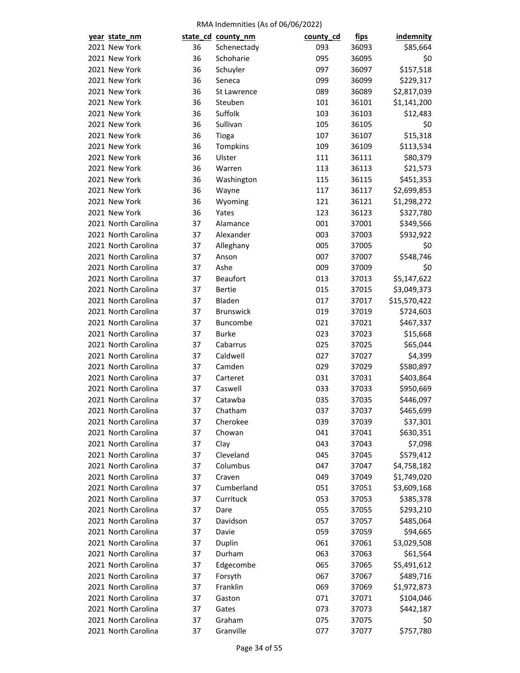| year state_nm       |    | state_cd_county_nm | county_cd | <u>fips</u> | <b>indemnity</b>        |
|---------------------|----|--------------------|-----------|-------------|-------------------------|
| 2021 New York       | 36 | Schenectady        | 093       | 36093       | \$85,664                |
| 2021 New York       | 36 | Schoharie          | 095       | 36095       | \$0                     |
| 2021 New York       | 36 | Schuyler           | 097       | 36097       | \$157,518               |
| 2021 New York       | 36 | Seneca             | 099       | 36099       | \$229,317               |
| 2021 New York       | 36 | St Lawrence        | 089       | 36089       | \$2,817,039             |
| 2021 New York       | 36 | Steuben            | 101       | 36101       | \$1,141,200             |
| 2021 New York       | 36 | Suffolk            | 103       | 36103       | \$12,483                |
| 2021 New York       | 36 | Sullivan           | 105       | 36105       | \$0                     |
| 2021 New York       | 36 | Tioga              | 107       | 36107       | \$15,318                |
| 2021 New York       | 36 | Tompkins           | 109       | 36109       | \$113,534               |
| 2021 New York       | 36 | Ulster             | 111       | 36111       | \$80,379                |
| 2021 New York       | 36 | Warren             | 113       | 36113       | \$21,573                |
| 2021 New York       | 36 | Washington         | 115       | 36115       | \$451,353               |
| 2021 New York       | 36 | Wayne              | 117       | 36117       | \$2,699,853             |
| 2021 New York       | 36 | Wyoming            | 121       | 36121       | \$1,298,272             |
| 2021 New York       | 36 | Yates              | 123       | 36123       | \$327,780               |
| 2021 North Carolina | 37 | Alamance           | 001       | 37001       | \$349,566               |
| 2021 North Carolina | 37 | Alexander          | 003       | 37003       | \$932,922               |
| 2021 North Carolina | 37 | Alleghany          | 005       | 37005       | \$0                     |
| 2021 North Carolina | 37 | Anson              | 007       | 37007       | \$548,746               |
| 2021 North Carolina | 37 | Ashe               | 009       | 37009       | \$0                     |
| 2021 North Carolina | 37 | <b>Beaufort</b>    | 013       | 37013       | \$5,147,622             |
| 2021 North Carolina | 37 | <b>Bertie</b>      | 015       | 37015       | \$3,049,373             |
| 2021 North Carolina | 37 | Bladen             | 017       | 37017       | \$15,570,422            |
| 2021 North Carolina | 37 | <b>Brunswick</b>   | 019       | 37019       | \$724,603               |
| 2021 North Carolina | 37 | Buncombe           | 021       | 37021       | \$467,337               |
| 2021 North Carolina | 37 | <b>Burke</b>       | 023       | 37023       | \$15,668                |
| 2021 North Carolina | 37 | Cabarrus           | 025       | 37025       | \$65,044                |
| 2021 North Carolina | 37 | Caldwell           | 027       | 37027       | \$4,399                 |
| 2021 North Carolina | 37 | Camden             | 029       | 37029       | \$580,897               |
| 2021 North Carolina | 37 | Carteret           | 031       | 37031       | \$403,864               |
| 2021 North Carolina | 37 | Caswell            | 033       | 37033       | \$950,669               |
| 2021 North Carolina | 37 | Catawba            | 035       | 37035       | \$446,097               |
| 2021 North Carolina | 37 | Chatham            | 037       | 37037       | \$465,699               |
| 2021 North Carolina | 37 | Cherokee           | 039       | 37039       | \$37,301                |
| 2021 North Carolina | 37 | Chowan             | 041       | 37041       | \$630,351               |
| 2021 North Carolina | 37 | Clay               | 043       | 37043       | \$7,098                 |
| 2021 North Carolina | 37 | Cleveland          | 045       | 37045       | \$579,412               |
| 2021 North Carolina | 37 | Columbus           | 047       | 37047       | \$4,758,182             |
| 2021 North Carolina | 37 | Craven             | 049       | 37049       | \$1,749,020             |
| 2021 North Carolina | 37 | Cumberland         | 051       | 37051       | \$3,609,168             |
| 2021 North Carolina | 37 | Currituck          | 053       | 37053       | \$385,378               |
| 2021 North Carolina | 37 | Dare               | 055       | 37055       | \$293,210               |
| 2021 North Carolina | 37 | Davidson           | 057       | 37057       | \$485,064               |
| 2021 North Carolina | 37 | Davie              | 059       | 37059       | \$94,665                |
| 2021 North Carolina | 37 |                    | 061       |             |                         |
| 2021 North Carolina | 37 | Duplin<br>Durham   | 063       | 37061       | \$3,029,508<br>\$61,564 |
|                     |    |                    |           | 37063       |                         |
| 2021 North Carolina | 37 | Edgecombe          | 065       | 37065       | \$5,491,612             |
| 2021 North Carolina | 37 | Forsyth            | 067       | 37067       | \$489,716               |
| 2021 North Carolina | 37 | Franklin           | 069       | 37069       | \$1,972,873             |
| 2021 North Carolina | 37 | Gaston             | 071       | 37071       | \$104,046               |
| 2021 North Carolina | 37 | Gates              | 073       | 37073       | \$442,187               |
| 2021 North Carolina | 37 | Graham             | 075       | 37075       | \$0                     |
| 2021 North Carolina | 37 | Granville          | 077       | 37077       | \$757,780               |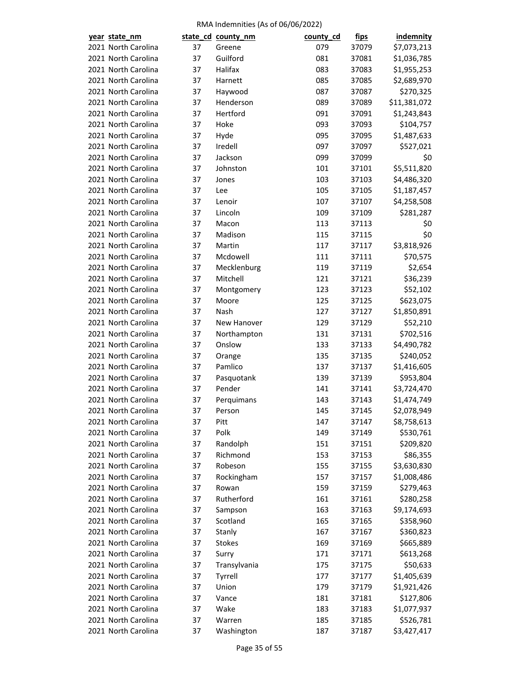| year state_nm |                     |    | state_cd_county_nm  | county_cd | <u>fips</u> | <b>indemnity</b> |
|---------------|---------------------|----|---------------------|-----------|-------------|------------------|
|               | 2021 North Carolina | 37 | Greene              | 079       | 37079       | \$7,073,213      |
|               | 2021 North Carolina | 37 | Guilford            | 081       | 37081       | \$1,036,785      |
|               | 2021 North Carolina | 37 | Halifax             | 083       | 37083       | \$1,955,253      |
|               | 2021 North Carolina | 37 | Harnett             | 085       | 37085       | \$2,689,970      |
|               | 2021 North Carolina | 37 | Haywood             | 087       | 37087       | \$270,325        |
|               | 2021 North Carolina | 37 | Henderson           | 089       | 37089       | \$11,381,072     |
|               | 2021 North Carolina | 37 | Hertford            | 091       | 37091       | \$1,243,843      |
|               | 2021 North Carolina | 37 | Hoke                | 093       | 37093       | \$104,757        |
|               | 2021 North Carolina | 37 | Hyde                | 095       | 37095       | \$1,487,633      |
|               | 2021 North Carolina | 37 | Iredell             | 097       | 37097       | \$527,021        |
|               | 2021 North Carolina | 37 | Jackson             | 099       | 37099       | \$0              |
|               | 2021 North Carolina | 37 | Johnston            | 101       | 37101       | \$5,511,820      |
|               | 2021 North Carolina | 37 | Jones               | 103       | 37103       | \$4,486,320      |
|               | 2021 North Carolina | 37 | Lee                 | 105       | 37105       | \$1,187,457      |
|               | 2021 North Carolina | 37 | Lenoir              | 107       | 37107       | \$4,258,508      |
|               | 2021 North Carolina | 37 | Lincoln             | 109       | 37109       | \$281,287        |
|               | 2021 North Carolina | 37 | Macon               | 113       | 37113       | \$0              |
|               | 2021 North Carolina | 37 | Madison             | 115       | 37115       | \$0              |
|               | 2021 North Carolina | 37 | Martin              | 117       | 37117       | \$3,818,926      |
|               | 2021 North Carolina | 37 | Mcdowell            | 111       | 37111       | \$70,575         |
|               | 2021 North Carolina | 37 | Mecklenburg         | 119       | 37119       | \$2,654          |
|               | 2021 North Carolina | 37 | Mitchell            | 121       | 37121       | \$36,239         |
|               | 2021 North Carolina | 37 |                     | 123       | 37123       | \$52,102         |
|               | 2021 North Carolina | 37 | Montgomery<br>Moore | 125       | 37125       | \$623,075        |
|               | 2021 North Carolina | 37 | Nash                | 127       | 37127       | \$1,850,891      |
|               |                     |    |                     |           |             |                  |
|               | 2021 North Carolina | 37 | New Hanover         | 129       | 37129       | \$52,210         |
|               | 2021 North Carolina | 37 | Northampton         | 131       | 37131       | \$702,516        |
|               | 2021 North Carolina | 37 | Onslow              | 133       | 37133       | \$4,490,782      |
|               | 2021 North Carolina | 37 | Orange<br>Pamlico   | 135       | 37135       | \$240,052        |
|               | 2021 North Carolina | 37 |                     | 137       | 37137       | \$1,416,605      |
|               | 2021 North Carolina | 37 | Pasquotank          | 139       | 37139       | \$953,804        |
|               | 2021 North Carolina | 37 | Pender              | 141       | 37141       | \$3,724,470      |
|               | 2021 North Carolina | 37 | Perquimans          | 143       | 37143       | \$1,474,749      |
|               | 2021 North Carolina | 37 | Person              | 145       | 37145       | \$2,078,949      |
|               | 2021 North Carolina | 37 | Pitt                | 147       | 37147       | \$8,758,613      |
|               | 2021 North Carolina | 37 | Polk                | 149       | 37149       | \$530,761        |
|               | 2021 North Carolina | 37 | Randolph            | 151       | 37151       | \$209,820        |
|               | 2021 North Carolina | 37 | Richmond            | 153       | 37153       | \$86,355         |
|               | 2021 North Carolina | 37 | Robeson             | 155       | 37155       | \$3,630,830      |
|               | 2021 North Carolina | 37 | Rockingham          | 157       | 37157       | \$1,008,486      |
|               | 2021 North Carolina | 37 | Rowan               | 159       | 37159       | \$279,463        |
|               | 2021 North Carolina | 37 | Rutherford          | 161       | 37161       | \$280,258        |
|               | 2021 North Carolina | 37 | Sampson             | 163       | 37163       | \$9,174,693      |
|               | 2021 North Carolina | 37 | Scotland            | 165       | 37165       | \$358,960        |
|               | 2021 North Carolina | 37 | Stanly              | 167       | 37167       | \$360,823        |
|               | 2021 North Carolina | 37 | <b>Stokes</b>       | 169       | 37169       | \$665,889        |
|               | 2021 North Carolina | 37 | Surry               | 171       | 37171       | \$613,268        |
|               | 2021 North Carolina | 37 | Transylvania        | 175       | 37175       | \$50,633         |
|               | 2021 North Carolina | 37 | Tyrrell             | 177       | 37177       | \$1,405,639      |
|               | 2021 North Carolina | 37 | Union               | 179       | 37179       | \$1,921,426      |
|               | 2021 North Carolina | 37 | Vance               | 181       | 37181       | \$127,806        |
|               | 2021 North Carolina | 37 | Wake                | 183       | 37183       | \$1,077,937      |
|               | 2021 North Carolina | 37 | Warren              | 185       | 37185       | \$526,781        |
|               | 2021 North Carolina | 37 | Washington          | 187       | 37187       | \$3,427,417      |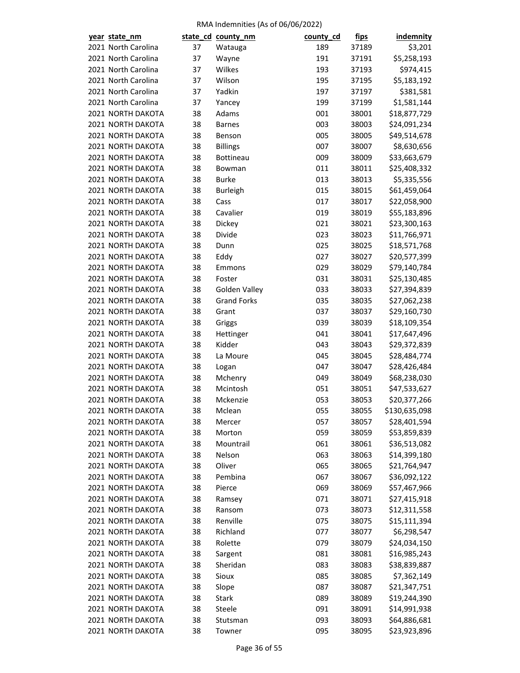| year state_nm                          |    | state_cd_county_nm   | county_cd | fips  | indemnity     |
|----------------------------------------|----|----------------------|-----------|-------|---------------|
| 2021 North Carolina                    | 37 | Watauga              | 189       | 37189 | \$3,201       |
| 2021 North Carolina                    | 37 | Wayne                | 191       | 37191 | \$5,258,193   |
| 2021 North Carolina                    | 37 | Wilkes               | 193       | 37193 | \$974,415     |
| 2021 North Carolina                    | 37 | Wilson               | 195       | 37195 | \$5,183,192   |
| 2021 North Carolina                    | 37 | Yadkin               | 197       | 37197 | \$381,581     |
| 2021 North Carolina                    | 37 | Yancey               | 199       | 37199 | \$1,581,144   |
| 2021 NORTH DAKOTA                      | 38 | Adams                | 001       | 38001 | \$18,877,729  |
| 2021 NORTH DAKOTA                      | 38 | <b>Barnes</b>        | 003       | 38003 | \$24,091,234  |
| 2021 NORTH DAKOTA                      | 38 | Benson               | 005       | 38005 | \$49,514,678  |
| 2021 NORTH DAKOTA                      | 38 | <b>Billings</b>      | 007       | 38007 | \$8,630,656   |
| 2021 NORTH DAKOTA                      | 38 | Bottineau            | 009       | 38009 | \$33,663,679  |
| 2021 NORTH DAKOTA                      | 38 | Bowman               | 011       | 38011 | \$25,408,332  |
| 2021 NORTH DAKOTA                      | 38 | <b>Burke</b>         | 013       | 38013 | \$5,335,556   |
| 2021 NORTH DAKOTA                      | 38 | <b>Burleigh</b>      | 015       | 38015 | \$61,459,064  |
| 2021 NORTH DAKOTA                      | 38 | Cass                 | 017       | 38017 | \$22,058,900  |
| 2021 NORTH DAKOTA                      | 38 | Cavalier             | 019       | 38019 | \$55,183,896  |
| 2021 NORTH DAKOTA                      | 38 | Dickey               | 021       | 38021 | \$23,300,163  |
| 2021 NORTH DAKOTA                      | 38 | Divide               | 023       | 38023 | \$11,766,971  |
| 2021 NORTH DAKOTA                      | 38 | Dunn                 | 025       | 38025 | \$18,571,768  |
| 2021 NORTH DAKOTA                      | 38 | Eddy                 | 027       | 38027 | \$20,577,399  |
| 2021 NORTH DAKOTA                      | 38 | Emmons               | 029       | 38029 | \$79,140,784  |
| 2021 NORTH DAKOTA                      | 38 | Foster               | 031       | 38031 | \$25,130,485  |
| 2021 NORTH DAKOTA                      | 38 | Golden Valley        | 033       | 38033 | \$27,394,839  |
| 2021 NORTH DAKOTA                      | 38 | <b>Grand Forks</b>   | 035       | 38035 | \$27,062,238  |
| 2021 NORTH DAKOTA                      | 38 | Grant                | 037       | 38037 | \$29,160,730  |
| 2021 NORTH DAKOTA                      | 38 | Griggs               | 039       | 38039 | \$18,109,354  |
| 2021 NORTH DAKOTA                      | 38 | Hettinger            | 041       | 38041 | \$17,647,496  |
| 2021 NORTH DAKOTA                      | 38 | Kidder               | 043       | 38043 |               |
| 2021 NORTH DAKOTA                      | 38 | La Moure             | 045       |       | \$29,372,839  |
|                                        |    |                      |           | 38045 | \$28,484,774  |
| 2021 NORTH DAKOTA<br>2021 NORTH DAKOTA | 38 | Logan                | 047       | 38047 | \$28,426,484  |
|                                        | 38 | Mchenry              | 049       | 38049 | \$68,238,030  |
| 2021 NORTH DAKOTA                      | 38 | Mcintosh<br>Mckenzie | 051       | 38051 | \$47,533,627  |
| 2021 NORTH DAKOTA                      | 38 |                      | 053       | 38053 | \$20,377,266  |
| 2021 NORTH DAKOTA                      | 38 | Mclean               | 055       | 38055 | \$130,635,098 |
| 2021 NORTH DAKOTA                      | 38 | Mercer               | 057       | 38057 | \$28,401,594  |
| 2021 NORTH DAKOTA                      | 38 | Morton               | 059       | 38059 | \$53,859,839  |
| 2021 NORTH DAKOTA                      | 38 | Mountrail            | 061       | 38061 | \$36,513,082  |
| 2021 NORTH DAKOTA                      | 38 | Nelson               | 063       | 38063 | \$14,399,180  |
| 2021 NORTH DAKOTA                      | 38 | Oliver               | 065       | 38065 | \$21,764,947  |
| 2021 NORTH DAKOTA                      | 38 | Pembina              | 067       | 38067 | \$36,092,122  |
| 2021 NORTH DAKOTA                      | 38 | Pierce               | 069       | 38069 | \$57,467,966  |
| 2021 NORTH DAKOTA                      | 38 | Ramsey               | 071       | 38071 | \$27,415,918  |
| 2021 NORTH DAKOTA                      | 38 | Ransom               | 073       | 38073 | \$12,311,558  |
| 2021 NORTH DAKOTA                      | 38 | Renville             | 075       | 38075 | \$15,111,394  |
| 2021 NORTH DAKOTA                      | 38 | Richland             | 077       | 38077 | \$6,298,547   |
| 2021 NORTH DAKOTA                      | 38 | Rolette              | 079       | 38079 | \$24,034,150  |
| 2021 NORTH DAKOTA                      | 38 | Sargent              | 081       | 38081 | \$16,985,243  |
| 2021 NORTH DAKOTA                      | 38 | Sheridan             | 083       | 38083 | \$38,839,887  |
| 2021 NORTH DAKOTA                      | 38 | Sioux                | 085       | 38085 | \$7,362,149   |
| 2021 NORTH DAKOTA                      | 38 | Slope                | 087       | 38087 | \$21,347,751  |
| 2021 NORTH DAKOTA                      | 38 | Stark                | 089       | 38089 | \$19,244,390  |
| 2021 NORTH DAKOTA                      | 38 | Steele               | 091       | 38091 | \$14,991,938  |
| 2021 NORTH DAKOTA                      | 38 | Stutsman             | 093       | 38093 | \$64,886,681  |
| 2021 NORTH DAKOTA                      | 38 | Towner               | 095       | 38095 | \$23,923,896  |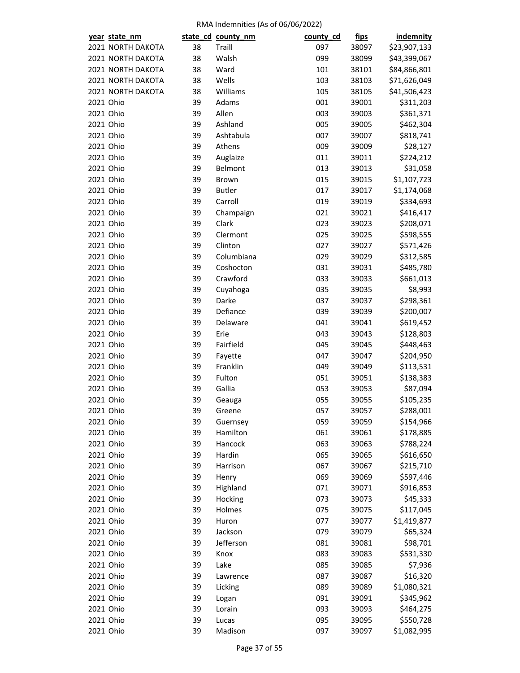| year state_nm          |          | state_cd_county_nm  | county_cd  | fips           | <b>indemnity</b> |
|------------------------|----------|---------------------|------------|----------------|------------------|
| 2021 NORTH DAKOTA      | 38       | Traill              | 097        | 38097          | \$23,907,133     |
| 2021 NORTH DAKOTA      | 38       | Walsh               | 099        | 38099          | \$43,399,067     |
| 2021 NORTH DAKOTA      | 38       | Ward                | 101        | 38101          | \$84,866,801     |
| 2021 NORTH DAKOTA      | 38       | Wells               | 103        | 38103          | \$71,626,049     |
| 2021 NORTH DAKOTA      | 38       | Williams            | 105        | 38105          | \$41,506,423     |
| 2021 Ohio              | 39       | Adams               | 001        | 39001          | \$311,203        |
| 2021 Ohio              | 39       | Allen               | 003        | 39003          | \$361,371        |
| 2021 Ohio              | 39       | Ashland             | 005        | 39005          | \$462,304        |
| 2021 Ohio              | 39       | Ashtabula           | 007        | 39007          | \$818,741        |
| 2021 Ohio              | 39       | Athens              | 009        | 39009          | \$28,127         |
| 2021 Ohio              | 39       | Auglaize            | 011        | 39011          | \$224,212        |
| 2021 Ohio              | 39       | Belmont             | 013        | 39013          | \$31,058         |
| 2021 Ohio              | 39       | Brown               | 015        | 39015          | \$1,107,723      |
| 2021 Ohio              | 39       | <b>Butler</b>       | 017        | 39017          | \$1,174,068      |
| 2021 Ohio              | 39       | Carroll             | 019        | 39019          | \$334,693        |
| 2021 Ohio              | 39       | Champaign           | 021        | 39021          | \$416,417        |
| 2021 Ohio              | 39       | Clark               | 023        | 39023          | \$208,071        |
| 2021 Ohio              | 39       | Clermont            | 025        | 39025          | \$598,555        |
| 2021 Ohio              | 39       | Clinton             | 027        | 39027          | \$571,426        |
| 2021 Ohio              | 39       | Columbiana          | 029        | 39029          | \$312,585        |
| 2021 Ohio              | 39       | Coshocton           | 031        | 39031          | \$485,780        |
| 2021 Ohio              | 39       | Crawford            | 033        | 39033          | \$661,013        |
| 2021 Ohio              | 39       | Cuyahoga            | 035        | 39035          | \$8,993          |
| 2021 Ohio              | 39       | Darke               | 037        | 39037          | \$298,361        |
| 2021 Ohio              | 39       | Defiance            | 039        | 39039          | \$200,007        |
| 2021 Ohio              | 39       | Delaware            | 041        | 39041          |                  |
| 2021 Ohio              | 39       | Erie                | 043        |                | \$619,452        |
| 2021 Ohio              |          |                     |            | 39043          | \$128,803        |
| 2021 Ohio              | 39<br>39 | Fairfield           | 045<br>047 | 39045<br>39047 | \$448,463        |
| 2021 Ohio              |          | Fayette<br>Franklin |            |                | \$204,950        |
|                        | 39       |                     | 049        | 39049          | \$113,531        |
| 2021 Ohio              | 39       | Fulton              | 051        | 39051          | \$138,383        |
| 2021 Ohio<br>2021 Ohio | 39<br>39 | Gallia              | 053        | 39053          | \$87,094         |
|                        |          | Geauga              | 055        | 39055          | \$105,235        |
| 2021 Ohio              | 39       | Greene              | 057        | 39057          | \$288,001        |
| 2021 Ohio              | 39       | Guernsey            | 059        | 39059          | \$154,966        |
| 2021 Ohio              | 39       | Hamilton            | 061        | 39061          | \$178,885        |
| 2021 Ohio              | 39       | Hancock             | 063        | 39063          | \$788,224        |
| 2021 Ohio              | 39       | Hardin              | 065        | 39065          | \$616,650        |
| 2021 Ohio              | 39       | Harrison            | 067        | 39067          | \$215,710        |
| 2021 Ohio              | 39       | Henry               | 069        | 39069          | \$597,446        |
| 2021 Ohio              | 39       | Highland            | 071        | 39071          | \$916,853        |
| 2021 Ohio              | 39       | Hocking             | 073        | 39073          | \$45,333         |
| 2021 Ohio              | 39       | Holmes              | 075        | 39075          | \$117,045        |
| 2021 Ohio              | 39       | Huron               | 077        | 39077          | \$1,419,877      |
| 2021 Ohio              | 39       | Jackson             | 079        | 39079          | \$65,324         |
| 2021 Ohio              | 39       | Jefferson           | 081        | 39081          | \$98,701         |
| 2021 Ohio              | 39       | Knox                | 083        | 39083          | \$531,330        |
| 2021 Ohio              | 39       | Lake                | 085        | 39085          | \$7,936          |
| 2021 Ohio              | 39       | Lawrence            | 087        | 39087          | \$16,320         |
| 2021 Ohio              | 39       | Licking             | 089        | 39089          | \$1,080,321      |
| 2021 Ohio              | 39       | Logan               | 091        | 39091          | \$345,962        |
| 2021 Ohio              | 39       | Lorain              | 093        | 39093          | \$464,275        |
| 2021 Ohio              | 39       | Lucas               | 095        | 39095          | \$550,728        |
| 2021 Ohio              | 39       | Madison             | 097        | 39097          | \$1,082,995      |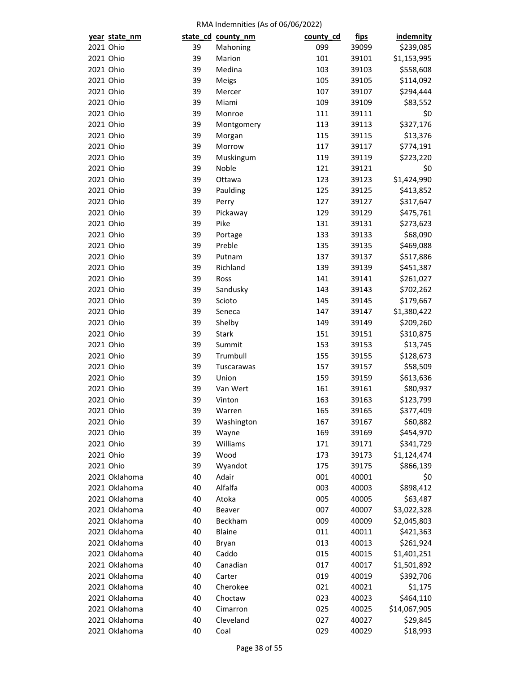|           | year state_nm |    | state_cd_county_nm | county_cd | <u>fips</u> | indemnity    |
|-----------|---------------|----|--------------------|-----------|-------------|--------------|
| 2021 Ohio |               | 39 | Mahoning           | 099       | 39099       | \$239,085    |
| 2021 Ohio |               | 39 | Marion             | 101       | 39101       | \$1,153,995  |
| 2021 Ohio |               | 39 | Medina             | 103       | 39103       | \$558,608    |
| 2021 Ohio |               | 39 | Meigs              | 105       | 39105       | \$114,092    |
| 2021 Ohio |               | 39 | Mercer             | 107       | 39107       | \$294,444    |
| 2021 Ohio |               | 39 | Miami              | 109       | 39109       | \$83,552     |
| 2021 Ohio |               | 39 | Monroe             | 111       | 39111       | \$0          |
| 2021 Ohio |               | 39 | Montgomery         | 113       | 39113       | \$327,176    |
| 2021 Ohio |               | 39 | Morgan             | 115       | 39115       | \$13,376     |
| 2021 Ohio |               | 39 | Morrow             | 117       | 39117       | \$774,191    |
| 2021 Ohio |               | 39 | Muskingum          | 119       | 39119       | \$223,220    |
| 2021 Ohio |               | 39 | Noble              | 121       | 39121       | \$0          |
| 2021 Ohio |               | 39 | Ottawa             | 123       | 39123       |              |
|           |               |    |                    |           |             | \$1,424,990  |
| 2021 Ohio |               | 39 | Paulding           | 125       | 39125       | \$413,852    |
| 2021 Ohio |               | 39 | Perry              | 127       | 39127       | \$317,647    |
| 2021 Ohio |               | 39 | Pickaway           | 129       | 39129       | \$475,761    |
| 2021 Ohio |               | 39 | Pike               | 131       | 39131       | \$273,623    |
| 2021 Ohio |               | 39 | Portage            | 133       | 39133       | \$68,090     |
| 2021 Ohio |               | 39 | Preble             | 135       | 39135       | \$469,088    |
| 2021 Ohio |               | 39 | Putnam             | 137       | 39137       | \$517,886    |
| 2021 Ohio |               | 39 | Richland           | 139       | 39139       | \$451,387    |
| 2021 Ohio |               | 39 | Ross               | 141       | 39141       | \$261,027    |
| 2021 Ohio |               | 39 | Sandusky           | 143       | 39143       | \$702,262    |
| 2021 Ohio |               | 39 | Scioto             | 145       | 39145       | \$179,667    |
| 2021 Ohio |               | 39 | Seneca             | 147       | 39147       | \$1,380,422  |
| 2021 Ohio |               | 39 | Shelby             | 149       | 39149       | \$209,260    |
| 2021 Ohio |               | 39 | <b>Stark</b>       | 151       | 39151       | \$310,875    |
| 2021 Ohio |               | 39 | Summit             | 153       | 39153       | \$13,745     |
| 2021 Ohio |               | 39 | Trumbull           | 155       | 39155       | \$128,673    |
| 2021 Ohio |               | 39 | Tuscarawas         | 157       | 39157       | \$58,509     |
| 2021 Ohio |               | 39 | Union              | 159       | 39159       | \$613,636    |
| 2021 Ohio |               | 39 | Van Wert           | 161       | 39161       | \$80,937     |
| 2021 Ohio |               | 39 | Vinton             | 163       | 39163       | \$123,799    |
| 2021 Ohio |               | 39 | Warren             | 165       | 39165       | \$377,409    |
| 2021 Ohio |               | 39 | Washington         | 167       | 39167       | \$60,882     |
| 2021 Ohio |               | 39 | Wayne              | 169       | 39169       | \$454,970    |
| 2021 Ohio |               | 39 | Williams           | 171       | 39171       | \$341,729    |
| 2021 Ohio |               | 39 | Wood               | 173       | 39173       | \$1,124,474  |
| 2021 Ohio |               | 39 | Wyandot            | 175       | 39175       | \$866,139    |
|           | 2021 Oklahoma | 40 | Adair              | 001       | 40001       | \$0          |
|           | 2021 Oklahoma | 40 | Alfalfa            | 003       | 40003       | \$898,412    |
|           | 2021 Oklahoma | 40 | Atoka              | 005       | 40005       | \$63,487     |
|           | 2021 Oklahoma | 40 | Beaver             | 007       | 40007       | \$3,022,328  |
|           | 2021 Oklahoma | 40 | Beckham            | 009       | 40009       | \$2,045,803  |
|           | 2021 Oklahoma | 40 | Blaine             | 011       | 40011       | \$421,363    |
|           | 2021 Oklahoma | 40 | Bryan              | 013       | 40013       | \$261,924    |
|           | 2021 Oklahoma | 40 | Caddo              | 015       | 40015       | \$1,401,251  |
|           |               |    |                    |           |             |              |
|           | 2021 Oklahoma | 40 | Canadian           | 017       | 40017       | \$1,501,892  |
|           | 2021 Oklahoma | 40 | Carter             | 019       | 40019       | \$392,706    |
|           | 2021 Oklahoma | 40 | Cherokee           | 021       | 40021       | \$1,175      |
|           | 2021 Oklahoma | 40 | Choctaw            | 023       | 40023       | \$464,110    |
|           | 2021 Oklahoma | 40 | Cimarron           | 025       | 40025       | \$14,067,905 |
|           | 2021 Oklahoma | 40 | Cleveland          | 027       | 40027       | \$29,845     |
|           | 2021 Oklahoma | 40 | Coal               | 029       | 40029       | \$18,993     |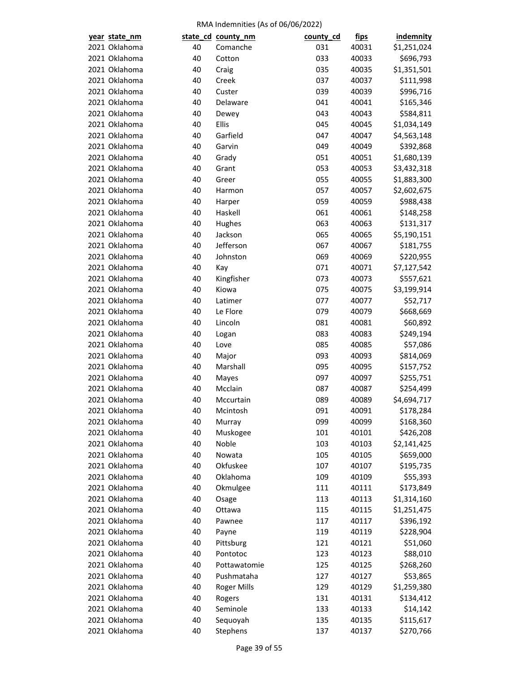| year state_nm |    | state_cd county_nm | county_cd | <u>fips</u>    | <b>indemnity</b> |
|---------------|----|--------------------|-----------|----------------|------------------|
| 2021 Oklahoma | 40 | Comanche           | 031       | 40031          | \$1,251,024      |
| 2021 Oklahoma | 40 | Cotton             | 033       | 40033          | \$696,793        |
| 2021 Oklahoma | 40 | Craig              | 035       | 40035          | \$1,351,501      |
| 2021 Oklahoma | 40 | Creek              | 037       | 40037          | \$111,998        |
| 2021 Oklahoma | 40 | Custer             | 039       | 40039          | \$996,716        |
| 2021 Oklahoma | 40 | Delaware           | 041       | 40041          | \$165,346        |
| 2021 Oklahoma | 40 | Dewey              | 043       | 40043          | \$584,811        |
| 2021 Oklahoma | 40 | Ellis              | 045       | 40045          | \$1,034,149      |
| 2021 Oklahoma | 40 | Garfield           | 047       | 40047          | \$4,563,148      |
| 2021 Oklahoma | 40 | Garvin             | 049       | 40049          | \$392,868        |
| 2021 Oklahoma | 40 | Grady              | 051       | 40051          | \$1,680,139      |
| 2021 Oklahoma | 40 | Grant              | 053       | 40053          | \$3,432,318      |
| 2021 Oklahoma | 40 | Greer              | 055       | 40055          | \$1,883,300      |
| 2021 Oklahoma | 40 | Harmon             | 057       | 40057          | \$2,602,675      |
| 2021 Oklahoma | 40 | Harper             | 059       | 40059          | \$988,438        |
| 2021 Oklahoma | 40 | Haskell            | 061       | 40061          | \$148,258        |
| 2021 Oklahoma | 40 | Hughes             | 063       | 40063          | \$131,317        |
| 2021 Oklahoma | 40 | Jackson            | 065       | 40065          | \$5,190,151      |
| 2021 Oklahoma | 40 | Jefferson          | 067       | 40067          | \$181,755        |
| 2021 Oklahoma | 40 | Johnston           | 069       | 40069          | \$220,955        |
| 2021 Oklahoma | 40 | Kay                | 071       | 40071          | \$7,127,542      |
| 2021 Oklahoma | 40 | Kingfisher         | 073       | 40073          | \$557,621        |
| 2021 Oklahoma | 40 | Kiowa              | 075       | 40075          | \$3,199,914      |
| 2021 Oklahoma | 40 | Latimer            | 077       | 40077          | \$52,717         |
| 2021 Oklahoma | 40 | Le Flore           | 079       | 40079          | \$668,669        |
| 2021 Oklahoma | 40 | Lincoln            | 081       | 40081          | \$60,892         |
| 2021 Oklahoma | 40 | Logan              | 083       | 40083          | \$249,194        |
| 2021 Oklahoma | 40 | Love               | 085       | 40085          | \$57,086         |
| 2021 Oklahoma | 40 | Major              | 093       | 40093          | \$814,069        |
| 2021 Oklahoma | 40 | Marshall           | 095       | 40095          | \$157,752        |
| 2021 Oklahoma | 40 | Mayes              | 097       | 40097          | \$255,751        |
| 2021 Oklahoma | 40 | Mcclain            | 087       |                | \$254,499        |
| 2021 Oklahoma | 40 | Mccurtain          | 089       | 40087<br>40089 | \$4,694,717      |
|               |    |                    |           |                | \$178,284        |
| 2021 Oklahoma | 40 | Mcintosh           | 091       | 40091<br>40099 |                  |
| 2021 Oklahoma | 40 | Murray             | 099       |                | \$168,360        |
| 2021 Oklahoma | 40 | Muskogee           | 101       | 40101          | \$426,208        |
| 2021 Oklahoma | 40 | Noble              | 103       | 40103          | \$2,141,425      |
| 2021 Oklahoma | 40 | Nowata             | 105       | 40105          | \$659,000        |
| 2021 Oklahoma | 40 | Okfuskee           | 107       | 40107          | \$195,735        |
| 2021 Oklahoma | 40 | Oklahoma           | 109       | 40109          | \$55,393         |
| 2021 Oklahoma | 40 | Okmulgee           | 111       | 40111          | \$173,849        |
| 2021 Oklahoma | 40 | Osage              | 113       | 40113          | \$1,314,160      |
| 2021 Oklahoma | 40 | Ottawa             | 115       | 40115          | \$1,251,475      |
| 2021 Oklahoma | 40 | Pawnee             | 117       | 40117          | \$396,192        |
| 2021 Oklahoma | 40 | Payne              | 119       | 40119          | \$228,904        |
| 2021 Oklahoma | 40 | Pittsburg          | 121       | 40121          | \$51,060         |
| 2021 Oklahoma | 40 | Pontotoc           | 123       | 40123          | \$88,010         |
| 2021 Oklahoma | 40 | Pottawatomie       | 125       | 40125          | \$268,260        |
| 2021 Oklahoma | 40 | Pushmataha         | 127       | 40127          | \$53,865         |
| 2021 Oklahoma | 40 | <b>Roger Mills</b> | 129       | 40129          | \$1,259,380      |
| 2021 Oklahoma | 40 | Rogers             | 131       | 40131          | \$134,412        |
| 2021 Oklahoma | 40 | Seminole           | 133       | 40133          | \$14,142         |
| 2021 Oklahoma | 40 | Sequoyah           | 135       | 40135          | \$115,617        |
| 2021 Oklahoma | 40 | Stephens           | 137       | 40137          | \$270,766        |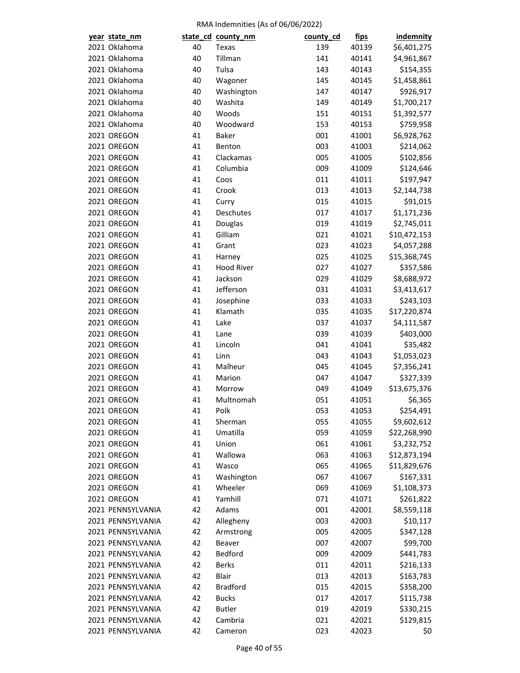| year state_nm     |    | state_cd_county_nm | county_cd  | <u>fips</u>    | indemnity    |
|-------------------|----|--------------------|------------|----------------|--------------|
| 2021 Oklahoma     | 40 | Texas              | 139        | 40139          | \$6,401,275  |
| 2021 Oklahoma     | 40 | Tillman            | 141        | 40141          | \$4,961,867  |
| 2021 Oklahoma     | 40 | Tulsa              | 143        | 40143          | \$154,355    |
| 2021 Oklahoma     | 40 | Wagoner            | 145        | 40145          | \$1,458,861  |
| 2021 Oklahoma     | 40 | Washington         | 147        | 40147          | \$926,917    |
| 2021 Oklahoma     | 40 | Washita            | 149        | 40149          | \$1,700,217  |
| 2021 Oklahoma     | 40 | Woods              | 151        | 40151          | \$1,392,577  |
| 2021 Oklahoma     | 40 | Woodward           | 153        | 40153          | \$759,958    |
| 2021 OREGON       | 41 | Baker              | 001        | 41001          | \$6,928,762  |
| 2021 OREGON       | 41 | Benton             | 003        | 41003          | \$214,062    |
| 2021 OREGON       | 41 | Clackamas          | 005        | 41005          | \$102,856    |
| 2021 OREGON       | 41 | Columbia           | 009        | 41009          | \$124,646    |
| 2021 OREGON       | 41 | Coos               | 011        | 41011          | \$197,947    |
| 2021 OREGON       | 41 | Crook              | 013        | 41013          | \$2,144,738  |
| 2021 OREGON       | 41 | Curry              | 015        | 41015          | \$91,015     |
| 2021 OREGON       | 41 | Deschutes          | 017        | 41017          | \$1,171,236  |
| 2021 OREGON       | 41 | Douglas            | 019        | 41019          | \$2,745,011  |
| 2021 OREGON       | 41 | Gilliam            | 021        | 41021          | \$10,472,153 |
| 2021 OREGON       | 41 | Grant              | 023        | 41023          | \$4,057,288  |
| 2021 OREGON       | 41 | Harney             | 025        | 41025          | \$15,368,745 |
| 2021 OREGON       | 41 | <b>Hood River</b>  | 027        | 41027          | \$357,586    |
| 2021 OREGON       | 41 | Jackson            | 029        | 41029          | \$8,688,972  |
| 2021 OREGON       | 41 | Jefferson          | 031        | 41031          | \$3,413,617  |
| 2021 OREGON       | 41 | Josephine          | 033        | 41033          | \$243,103    |
| 2021 OREGON       | 41 | Klamath            | 035        | 41035          | \$17,220,874 |
| 2021 OREGON       | 41 | Lake               | 037        | 41037          | \$4,111,587  |
| 2021 OREGON       | 41 | Lane               | 039        | 41039          | \$403,000    |
| 2021 OREGON       | 41 | Lincoln            | 041        | 41041          | \$35,482     |
| 2021 OREGON       | 41 | Linn               | 043        | 41043          | \$1,053,023  |
| 2021 OREGON       | 41 | Malheur            | 045        | 41045          | \$7,356,241  |
| 2021 OREGON       | 41 | Marion             | 047        | 41047          | \$327,339    |
| 2021 OREGON       | 41 | Morrow             |            |                | \$13,675,376 |
| 2021 OREGON       | 41 | Multnomah          | 049<br>051 | 41049<br>41051 | \$6,365      |
| 2021 OREGON       | 41 |                    | 053        | 41053          | \$254,491    |
|                   |    | Polk               |            |                |              |
| 2021 OREGON       | 41 | Sherman            | 055        | 41055          | \$9,602,612  |
| 2021 OREGON       | 41 | Umatilla           | 059        | 41059          | \$22,268,990 |
| 2021 OREGON       | 41 | Union              | 061        | 41061          | \$3,232,752  |
| 2021 OREGON       | 41 | Wallowa            | 063        | 41063          | \$12,873,194 |
| 2021 OREGON       | 41 | Wasco              | 065        | 41065          | \$11,829,676 |
| 2021 OREGON       | 41 | Washington         | 067        | 41067          | \$167,331    |
| 2021 OREGON       | 41 | Wheeler            | 069        | 41069          | \$1,108,373  |
| 2021 OREGON       | 41 | Yamhill            | 071        | 41071          | \$261,822    |
| 2021 PENNSYLVANIA | 42 | Adams              | 001        | 42001          | \$8,559,118  |
| 2021 PENNSYLVANIA | 42 | Allegheny          | 003        | 42003          | \$10,117     |
| 2021 PENNSYLVANIA | 42 | Armstrong          | 005        | 42005          | \$347,128    |
| 2021 PENNSYLVANIA | 42 | Beaver             | 007        | 42007          | \$99,700     |
| 2021 PENNSYLVANIA | 42 | Bedford            | 009        | 42009          | \$441,783    |
| 2021 PENNSYLVANIA | 42 | <b>Berks</b>       | 011        | 42011          | \$216,133    |
| 2021 PENNSYLVANIA | 42 | Blair              | 013        | 42013          | \$163,783    |
| 2021 PENNSYLVANIA | 42 | <b>Bradford</b>    | 015        | 42015          | \$358,200    |
| 2021 PENNSYLVANIA | 42 | <b>Bucks</b>       | 017        | 42017          | \$115,738    |
| 2021 PENNSYLVANIA | 42 | <b>Butler</b>      | 019        | 42019          | \$330,215    |
| 2021 PENNSYLVANIA | 42 | Cambria            | 021        | 42021          | \$129,815    |
| 2021 PENNSYLVANIA | 42 | Cameron            | 023        | 42023          | \$0          |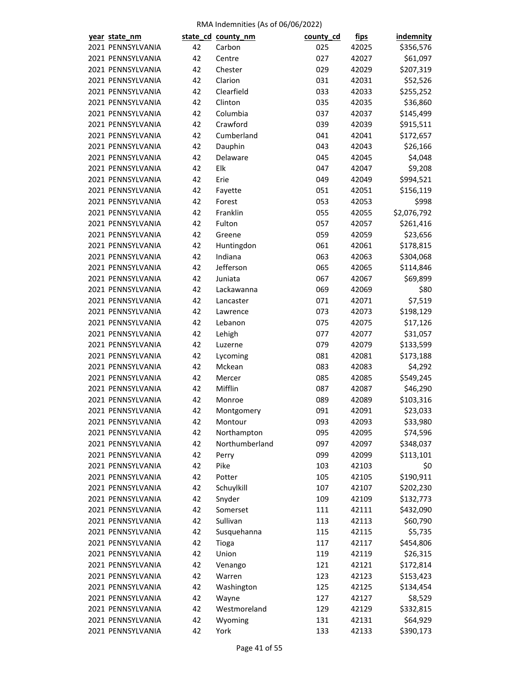| year state_nm     |          | state_cd_county_nm | county_cd | <u>fips</u> | <b>indemnity</b> |
|-------------------|----------|--------------------|-----------|-------------|------------------|
| 2021 PENNSYLVANIA | 42       | Carbon             | 025       | 42025       | \$356,576        |
| 2021 PENNSYLVANIA | 42       | Centre             | 027       | 42027       | \$61,097         |
| 2021 PENNSYLVANIA | 42       | Chester            | 029       | 42029       | \$207,319        |
| 2021 PENNSYLVANIA | 42       | Clarion            | 031       | 42031       | \$52,526         |
| 2021 PENNSYLVANIA | 42       | Clearfield         | 033       | 42033       | \$255,252        |
| 2021 PENNSYLVANIA | 42       | Clinton            | 035       | 42035       | \$36,860         |
| 2021 PENNSYLVANIA | 42       | Columbia           | 037       | 42037       | \$145,499        |
| 2021 PENNSYLVANIA | 42       | Crawford           | 039       | 42039       | \$915,511        |
| 2021 PENNSYLVANIA | 42       | Cumberland         | 041       | 42041       | \$172,657        |
| 2021 PENNSYLVANIA | 42       | Dauphin            | 043       | 42043       | \$26,166         |
| 2021 PENNSYLVANIA | 42       | Delaware           | 045       | 42045       | \$4,048          |
| 2021 PENNSYLVANIA | 42       | Elk                | 047       | 42047       | \$9,208          |
| 2021 PENNSYLVANIA | 42       | Erie               | 049       | 42049       | \$994,521        |
| 2021 PENNSYLVANIA | 42       | Fayette            | 051       | 42051       | \$156,119        |
| 2021 PENNSYLVANIA | 42       | Forest             | 053       | 42053       | \$998            |
| 2021 PENNSYLVANIA | 42       | Franklin           | 055       | 42055       | \$2,076,792      |
| 2021 PENNSYLVANIA | 42       | Fulton             | 057       | 42057       | \$261,416        |
| 2021 PENNSYLVANIA | 42       | Greene             | 059       | 42059       | \$23,656         |
| 2021 PENNSYLVANIA | 42       | Huntingdon         | 061       | 42061       | \$178,815        |
| 2021 PENNSYLVANIA | 42       | Indiana            | 063       | 42063       | \$304,068        |
| 2021 PENNSYLVANIA | 42       | Jefferson          | 065       | 42065       | \$114,846        |
| 2021 PENNSYLVANIA | 42       | Juniata            | 067       | 42067       | \$69,899         |
| 2021 PENNSYLVANIA | 42       | Lackawanna         | 069       | 42069       | \$80             |
| 2021 PENNSYLVANIA | 42       | Lancaster          | 071       | 42071       | \$7,519          |
| 2021 PENNSYLVANIA | 42       | Lawrence           | 073       | 42073       | \$198,129        |
| 2021 PENNSYLVANIA | 42       | Lebanon            | 075       | 42075       | \$17,126         |
| 2021 PENNSYLVANIA | 42       | Lehigh             | 077       | 42077       | \$31,057         |
| 2021 PENNSYLVANIA | 42       | Luzerne            | 079       | 42079       | \$133,599        |
| 2021 PENNSYLVANIA | 42       | Lycoming           | 081       | 42081       | \$173,188        |
| 2021 PENNSYLVANIA | 42       | Mckean             | 083       | 42083       | \$4,292          |
| 2021 PENNSYLVANIA | 42       | Mercer             | 085       | 42085       | \$549,245        |
| 2021 PENNSYLVANIA | 42       | Mifflin            | 087       | 42087       | \$46,290         |
| 2021 PENNSYLVANIA | 42       | Monroe             | 089       | 42089       | \$103,316        |
| 2021 PENNSYLVANIA | 42       | Montgomery         | 091       | 42091       | \$23,033         |
| 2021 PENNSYLVANIA | 42       | Montour            | 093       | 42093       | \$33,980         |
| 2021 PENNSYLVANIA | 42       | Northampton        | 095       | 42095       | \$74,596         |
| 2021 PENNSYLVANIA | 42       | Northumberland     | 097       | 42097       | \$348,037        |
| 2021 PENNSYLVANIA | 42       | Perry              | 099       | 42099       | \$113,101        |
| 2021 PENNSYLVANIA | 42       | Pike               | 103       | 42103       | \$0              |
| 2021 PENNSYLVANIA | 42       | Potter             | 105       | 42105       | \$190,911        |
| 2021 PENNSYLVANIA | 42       | Schuylkill         | 107       | 42107       | \$202,230        |
| 2021 PENNSYLVANIA | 42       | Snyder             | 109       | 42109       | \$132,773        |
| 2021 PENNSYLVANIA | 42       | Somerset           | 111       | 42111       | \$432,090        |
| 2021 PENNSYLVANIA | 42       | Sullivan           | 113       | 42113       | \$60,790         |
| 2021 PENNSYLVANIA | 42       | Susquehanna        | 115       | 42115       | \$5,735          |
| 2021 PENNSYLVANIA | 42       | Tioga              | 117       | 42117       | \$454,806        |
| 2021 PENNSYLVANIA | 42       | Union              | 119       | 42119       | \$26,315         |
| 2021 PENNSYLVANIA | 42       | Venango            | 121       | 42121       | \$172,814        |
| 2021 PENNSYLVANIA | 42       | Warren             |           |             |                  |
|                   |          |                    | 123       | 42123       | \$153,423        |
| 2021 PENNSYLVANIA | 42<br>42 | Washington         | 125       | 42125       | \$134,454        |
| 2021 PENNSYLVANIA |          | Wayne              | 127       | 42127       | \$8,529          |
| 2021 PENNSYLVANIA | 42       | Westmoreland       | 129       | 42129       | \$332,815        |
| 2021 PENNSYLVANIA | 42       | Wyoming            | 131       | 42131       | \$64,929         |
| 2021 PENNSYLVANIA | 42       | York               | 133       | 42133       | \$390,173        |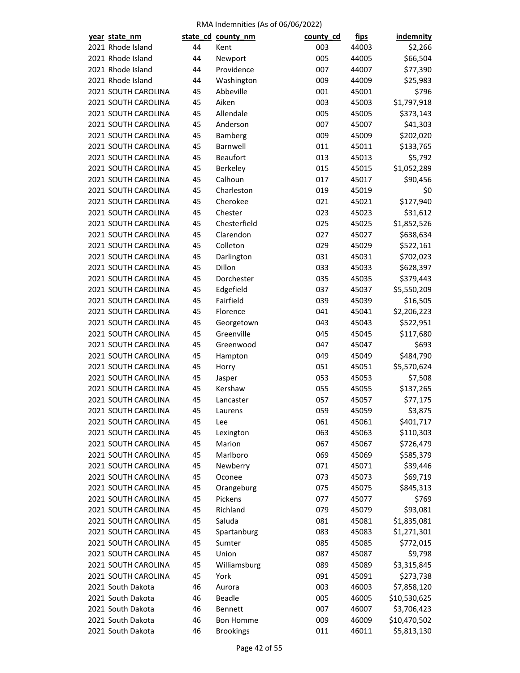| year state_nm       |    | state_cd_county_nm | county_cd | <u>fips</u>    | indemnity             |
|---------------------|----|--------------------|-----------|----------------|-----------------------|
| 2021 Rhode Island   | 44 | Kent               | 003       | 44003          | \$2,266               |
| 2021 Rhode Island   | 44 | Newport            | 005       | 44005          | \$66,504              |
| 2021 Rhode Island   | 44 | Providence         | 007       | 44007          | \$77,390              |
| 2021 Rhode Island   | 44 | Washington         | 009       | 44009          | \$25,983              |
| 2021 SOUTH CAROLINA | 45 | Abbeville          | 001       | 45001          | \$796                 |
| 2021 SOUTH CAROLINA | 45 | Aiken              | 003       | 45003          | \$1,797,918           |
| 2021 SOUTH CAROLINA | 45 | Allendale          | 005       | 45005          | \$373,143             |
| 2021 SOUTH CAROLINA | 45 | Anderson           | 007       | 45007          | \$41,303              |
| 2021 SOUTH CAROLINA | 45 | Bamberg            | 009       | 45009          | \$202,020             |
| 2021 SOUTH CAROLINA | 45 | Barnwell           | 011       | 45011          | \$133,765             |
| 2021 SOUTH CAROLINA | 45 | <b>Beaufort</b>    | 013       | 45013          | \$5,792               |
| 2021 SOUTH CAROLINA | 45 | Berkeley           | 015       | 45015          | \$1,052,289           |
| 2021 SOUTH CAROLINA | 45 | Calhoun            | 017       | 45017          | \$90,456              |
| 2021 SOUTH CAROLINA | 45 | Charleston         | 019       | 45019          | \$0                   |
| 2021 SOUTH CAROLINA | 45 | Cherokee           | 021       | 45021          | \$127,940             |
| 2021 SOUTH CAROLINA | 45 | Chester            | 023       | 45023          | \$31,612              |
| 2021 SOUTH CAROLINA | 45 | Chesterfield       | 025       | 45025          | \$1,852,526           |
| 2021 SOUTH CAROLINA | 45 | Clarendon          | 027       | 45027          | \$638,634             |
| 2021 SOUTH CAROLINA | 45 | Colleton           | 029       | 45029          | \$522,161             |
| 2021 SOUTH CAROLINA | 45 | Darlington         | 031       | 45031          | \$702,023             |
| 2021 SOUTH CAROLINA | 45 | Dillon             | 033       | 45033          | \$628,397             |
| 2021 SOUTH CAROLINA | 45 | Dorchester         | 035       | 45035          | \$379,443             |
| 2021 SOUTH CAROLINA | 45 | Edgefield          | 037       | 45037          | \$5,550,209           |
| 2021 SOUTH CAROLINA | 45 | Fairfield          | 039       | 45039          | \$16,505              |
| 2021 SOUTH CAROLINA | 45 | Florence           | 041       | 45041          | \$2,206,223           |
| 2021 SOUTH CAROLINA | 45 | Georgetown         | 043       | 45043          | \$522,951             |
| 2021 SOUTH CAROLINA | 45 | Greenville         | 045       | 45045          | \$117,680             |
| 2021 SOUTH CAROLINA | 45 | Greenwood          | 047       | 45047          | \$693                 |
| 2021 SOUTH CAROLINA | 45 | Hampton            | 049       | 45049          | \$484,790             |
| 2021 SOUTH CAROLINA | 45 | Horry              | 051       | 45051          | \$5,570,624           |
| 2021 SOUTH CAROLINA | 45 | Jasper             | 053       | 45053          | \$7,508               |
| 2021 SOUTH CAROLINA | 45 | Kershaw            | 055       |                |                       |
| 2021 SOUTH CAROLINA | 45 |                    | 057       | 45055<br>45057 | \$137,265<br>\$77,175 |
| 2021 SOUTH CAROLINA |    | Lancaster          | 059       |                |                       |
|                     | 45 | Laurens            |           | 45059          | \$3,875               |
| 2021 SOUTH CAROLINA | 45 | Lee                | 061       | 45061          | \$401,717             |
| 2021 SOUTH CAROLINA | 45 | Lexington          | 063       | 45063          | \$110,303             |
| 2021 SOUTH CAROLINA | 45 | Marion             | 067       | 45067          | \$726,479             |
| 2021 SOUTH CAROLINA | 45 | Marlboro           | 069       | 45069          | \$585,379             |
| 2021 SOUTH CAROLINA | 45 | Newberry           | 071       | 45071          | \$39,446              |
| 2021 SOUTH CAROLINA | 45 | Oconee             | 073       | 45073          | \$69,719              |
| 2021 SOUTH CAROLINA | 45 | Orangeburg         | 075       | 45075          | \$845,313             |
| 2021 SOUTH CAROLINA | 45 | Pickens            | 077       | 45077          | \$769                 |
| 2021 SOUTH CAROLINA | 45 | Richland           | 079       | 45079          | \$93,081              |
| 2021 SOUTH CAROLINA | 45 | Saluda             | 081       | 45081          | \$1,835,081           |
| 2021 SOUTH CAROLINA | 45 | Spartanburg        | 083       | 45083          | \$1,271,301           |
| 2021 SOUTH CAROLINA | 45 | Sumter             | 085       | 45085          | \$772,015             |
| 2021 SOUTH CAROLINA | 45 | Union              | 087       | 45087          | \$9,798               |
| 2021 SOUTH CAROLINA | 45 | Williamsburg       | 089       | 45089          | \$3,315,845           |
| 2021 SOUTH CAROLINA | 45 | York               | 091       | 45091          | \$273,738             |
| 2021 South Dakota   | 46 | Aurora             | 003       | 46003          | \$7,858,120           |
| 2021 South Dakota   | 46 | <b>Beadle</b>      | 005       | 46005          | \$10,530,625          |
| 2021 South Dakota   | 46 | Bennett            | 007       | 46007          | \$3,706,423           |
| 2021 South Dakota   | 46 | <b>Bon Homme</b>   | 009       | 46009          | \$10,470,502          |
| 2021 South Dakota   | 46 | <b>Brookings</b>   | 011       | 46011          | \$5,813,130           |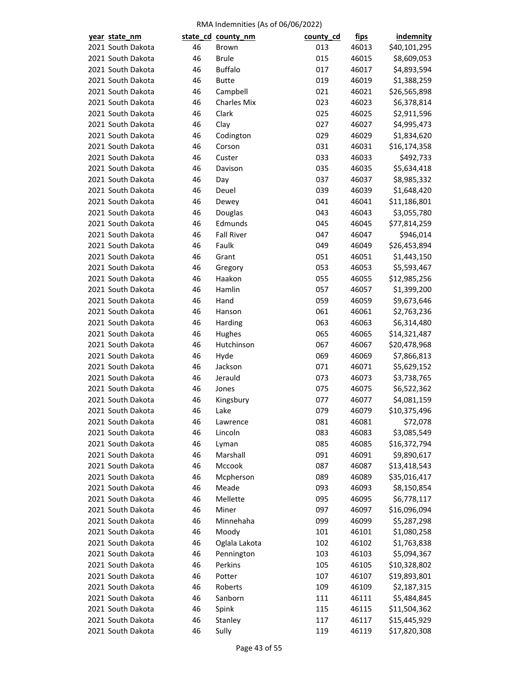| year state_nm |                   |    | state_cd_county_nm | county_cd | <u>fips</u> | <b>indemnity</b> |
|---------------|-------------------|----|--------------------|-----------|-------------|------------------|
|               | 2021 South Dakota | 46 | <b>Brown</b>       | 013       | 46013       | \$40,101,295     |
|               | 2021 South Dakota | 46 | <b>Brule</b>       | 015       | 46015       | \$8,609,053      |
|               | 2021 South Dakota | 46 | <b>Buffalo</b>     | 017       | 46017       | \$4,893,594      |
|               | 2021 South Dakota | 46 | <b>Butte</b>       | 019       | 46019       | \$1,388,259      |
|               | 2021 South Dakota | 46 | Campbell           | 021       | 46021       | \$26,565,898     |
|               | 2021 South Dakota | 46 | <b>Charles Mix</b> | 023       | 46023       | \$6,378,814      |
|               | 2021 South Dakota | 46 | Clark              | 025       | 46025       | \$2,911,596      |
|               | 2021 South Dakota | 46 | Clay               | 027       | 46027       | \$4,995,473      |
|               | 2021 South Dakota | 46 | Codington          | 029       | 46029       | \$1,834,620      |
|               | 2021 South Dakota | 46 | Corson             | 031       | 46031       | \$16,174,358     |
|               | 2021 South Dakota | 46 | Custer             | 033       | 46033       | \$492,733        |
|               | 2021 South Dakota | 46 | Davison            | 035       | 46035       | \$5,634,418      |
|               | 2021 South Dakota | 46 | Day                | 037       | 46037       | \$8,985,332      |
|               | 2021 South Dakota | 46 | Deuel              | 039       | 46039       | \$1,648,420      |
|               | 2021 South Dakota | 46 | Dewey              | 041       | 46041       | \$11,186,801     |
|               | 2021 South Dakota | 46 | Douglas            | 043       | 46043       | \$3,055,780      |
|               | 2021 South Dakota | 46 | Edmunds            | 045       | 46045       | \$77,814,259     |
|               | 2021 South Dakota | 46 | <b>Fall River</b>  | 047       | 46047       | \$946,014        |
|               | 2021 South Dakota | 46 | Faulk              | 049       | 46049       | \$26,453,894     |
|               | 2021 South Dakota | 46 | Grant              | 051       | 46051       | \$1,443,150      |
|               | 2021 South Dakota | 46 | Gregory            | 053       | 46053       | \$5,593,467      |
|               | 2021 South Dakota | 46 | Haakon             | 055       | 46055       | \$12,985,256     |
|               | 2021 South Dakota | 46 | Hamlin             | 057       | 46057       | \$1,399,200      |
|               | 2021 South Dakota | 46 | Hand               | 059       | 46059       | \$9,673,646      |
|               | 2021 South Dakota | 46 | Hanson             | 061       | 46061       | \$2,763,236      |
|               | 2021 South Dakota | 46 | Harding            | 063       | 46063       | \$6,314,480      |
|               | 2021 South Dakota | 46 | Hughes             | 065       | 46065       | \$14,321,487     |
|               | 2021 South Dakota | 46 | Hutchinson         | 067       | 46067       | \$20,478,968     |
|               | 2021 South Dakota | 46 | Hyde               | 069       | 46069       | \$7,866,813      |
|               | 2021 South Dakota | 46 | Jackson            | 071       | 46071       | \$5,629,152      |
|               | 2021 South Dakota | 46 | Jerauld            | 073       | 46073       | \$3,738,765      |
|               | 2021 South Dakota | 46 | Jones              | 075       | 46075       | \$6,522,362      |
|               | 2021 South Dakota | 46 | Kingsbury          | 077       | 46077       | \$4,081,159      |
|               | 2021 South Dakota | 46 | Lake               | 079       | 46079       | \$10,375,496     |
|               | 2021 South Dakota | 46 | Lawrence           | 081       | 46081       | \$72,078         |
|               | 2021 South Dakota | 46 | Lincoln            | 083       | 46083       | \$3,085,549      |
|               | 2021 South Dakota | 46 | Lyman              | 085       | 46085       | \$16,372,794     |
|               | 2021 South Dakota | 46 | Marshall           | 091       | 46091       | \$9,890,617      |
|               | 2021 South Dakota | 46 | Mccook             | 087       | 46087       | \$13,418,543     |
|               | 2021 South Dakota | 46 | Mcpherson          | 089       | 46089       | \$35,016,417     |
|               | 2021 South Dakota | 46 | Meade              | 093       | 46093       | \$8,150,854      |
|               | 2021 South Dakota | 46 | Mellette           | 095       | 46095       | \$6,778,117      |
|               | 2021 South Dakota | 46 | Miner              | 097       | 46097       | \$16,096,094     |
|               | 2021 South Dakota | 46 | Minnehaha          | 099       | 46099       | \$5,287,298      |
|               | 2021 South Dakota | 46 | Moody              | 101       | 46101       | \$1,080,258      |
|               | 2021 South Dakota | 46 |                    | 102       |             |                  |
|               | 2021 South Dakota | 46 | Oglala Lakota      |           | 46102       | \$1,763,838      |
|               |                   |    | Pennington         | 103       | 46103       | \$5,094,367      |
|               | 2021 South Dakota | 46 | Perkins            | 105       | 46105       | \$10,328,802     |
|               | 2021 South Dakota | 46 | Potter             | 107       | 46107       | \$19,893,801     |
|               | 2021 South Dakota | 46 | Roberts            | 109       | 46109       | \$2,187,315      |
|               | 2021 South Dakota | 46 | Sanborn            | 111       | 46111       | \$5,484,845      |
|               | 2021 South Dakota | 46 | Spink              | 115       | 46115       | \$11,504,362     |
|               | 2021 South Dakota | 46 | Stanley            | 117       | 46117       | \$15,445,929     |
|               | 2021 South Dakota | 46 | Sully              | 119       | 46119       | \$17,820,308     |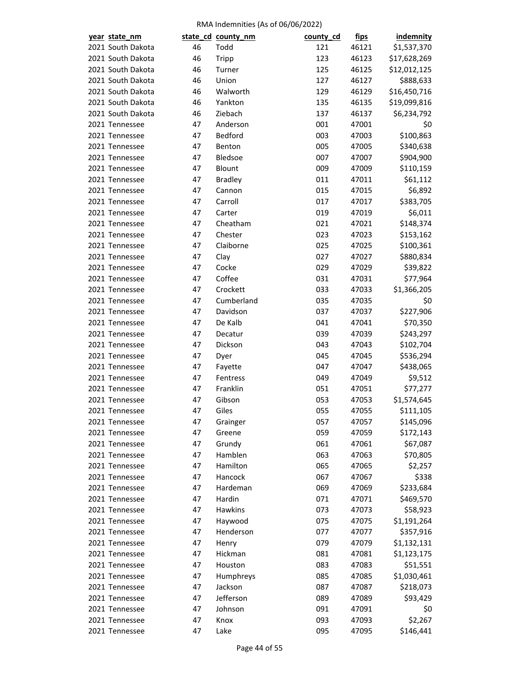| year state_nm                    |    | state_cd_county_nm | county_cd | <u>fips</u>    | <b>indemnity</b>      |
|----------------------------------|----|--------------------|-----------|----------------|-----------------------|
| 2021 South Dakota                | 46 | Todd               | 121       | 46121          | \$1,537,370           |
| 2021 South Dakota                | 46 | <b>Tripp</b>       | 123       | 46123          | \$17,628,269          |
| 2021 South Dakota                | 46 | Turner             | 125       | 46125          | \$12,012,125          |
| 2021 South Dakota                | 46 | Union              | 127       | 46127          | \$888,633             |
| 2021 South Dakota                | 46 | Walworth           | 129       | 46129          | \$16,450,716          |
| 2021 South Dakota                | 46 | Yankton            | 135       | 46135          | \$19,099,816          |
| 2021 South Dakota                | 46 | Ziebach            | 137       | 46137          | \$6,234,792           |
| 2021 Tennessee                   | 47 | Anderson           | 001       | 47001          | \$0                   |
| 2021 Tennessee                   | 47 | Bedford            | 003       | 47003          | \$100,863             |
| 2021 Tennessee                   | 47 | Benton             | 005       | 47005          | \$340,638             |
| 2021 Tennessee                   | 47 | Bledsoe            | 007       | 47007          | \$904,900             |
| 2021 Tennessee                   | 47 | Blount             | 009       | 47009          | \$110,159             |
| 2021 Tennessee                   | 47 | <b>Bradley</b>     | 011       | 47011          | \$61,112              |
| 2021 Tennessee                   | 47 | Cannon             | 015       | 47015          | \$6,892               |
| 2021 Tennessee                   | 47 | Carroll            | 017       | 47017          | \$383,705             |
| 2021 Tennessee                   | 47 | Carter             | 019       | 47019          | \$6,011               |
| 2021 Tennessee                   | 47 | Cheatham           | 021       | 47021          | \$148,374             |
| 2021 Tennessee                   | 47 | Chester            | 023       | 47023          | \$153,162             |
| 2021 Tennessee                   | 47 | Claiborne          | 025       | 47025          | \$100,361             |
| 2021 Tennessee                   | 47 | Clay               | 027       | 47027          | \$880,834             |
| 2021 Tennessee                   | 47 | Cocke              | 029       | 47029          | \$39,822              |
| 2021 Tennessee                   | 47 | Coffee             | 031       | 47031          | \$77,964              |
| 2021 Tennessee                   | 47 | Crockett           | 033       | 47033          | \$1,366,205           |
| 2021 Tennessee                   | 47 | Cumberland         | 035       | 47035          | \$0                   |
| 2021 Tennessee                   | 47 | Davidson           | 037       | 47037          | \$227,906             |
| 2021 Tennessee                   | 47 | De Kalb            | 041       | 47041          | \$70,350              |
| 2021 Tennessee                   | 47 | Decatur            | 039       | 47039          | \$243,297             |
| 2021 Tennessee                   | 47 | Dickson            | 043       | 47043          | \$102,704             |
| 2021 Tennessee                   | 47 | Dyer               | 045       | 47045          | \$536,294             |
| 2021 Tennessee                   | 47 | Fayette            | 047       | 47047          | \$438,065             |
| 2021 Tennessee                   | 47 | Fentress           | 049       | 47049          | \$9,512               |
|                                  | 47 | Franklin           | 051       |                | \$77,277              |
| 2021 Tennessee<br>2021 Tennessee | 47 | Gibson             | 053       | 47051<br>47053 | \$1,574,645           |
| 2021 Tennessee                   | 47 | Giles              | 055       | 47055          | \$111,105             |
| 2021 Tennessee                   | 47 |                    | 057       |                | \$145,096             |
| 2021 Tennessee                   | 47 | Grainger           | 059       | 47057<br>47059 |                       |
| 2021 Tennessee                   |    | Greene             |           | 47061          | \$172,143<br>\$67,087 |
|                                  | 47 | Grundy             | 061       |                |                       |
| 2021 Tennessee                   | 47 | Hamblen            | 063       | 47063          | \$70,805              |
| 2021 Tennessee                   | 47 | Hamilton           | 065       | 47065          | \$2,257               |
| 2021 Tennessee                   | 47 | Hancock            | 067       | 47067          | \$338                 |
| 2021 Tennessee                   | 47 | Hardeman           | 069       | 47069          | \$233,684             |
| 2021 Tennessee                   | 47 | Hardin             | 071       | 47071          | \$469,570             |
| 2021 Tennessee                   | 47 | Hawkins            | 073       | 47073          | \$58,923              |
| 2021 Tennessee                   | 47 | Haywood            | 075       | 47075          | \$1,191,264           |
| 2021 Tennessee                   | 47 | Henderson          | 077       | 47077          | \$357,916             |
| 2021 Tennessee                   | 47 | Henry              | 079       | 47079          | \$1,132,131           |
| 2021 Tennessee                   | 47 | Hickman            | 081       | 47081          | \$1,123,175           |
| 2021 Tennessee                   | 47 | Houston            | 083       | 47083          | \$51,551              |
| 2021 Tennessee                   | 47 | Humphreys          | 085       | 47085          | \$1,030,461           |
| 2021 Tennessee                   | 47 | Jackson            | 087       | 47087          | \$218,073             |
| 2021 Tennessee                   | 47 | Jefferson          | 089       | 47089          | \$93,429              |
| 2021 Tennessee                   | 47 | Johnson            | 091       | 47091          | \$0                   |
| 2021 Tennessee                   | 47 | Knox               | 093       | 47093          | \$2,267               |
| 2021 Tennessee                   | 47 | Lake               | 095       | 47095          | \$146,441             |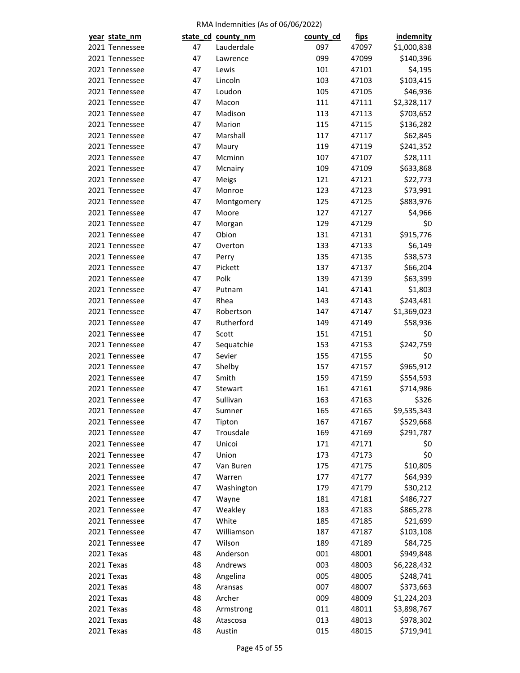| year state_nm                    |          | state_cd_county_nm   | county_cd  | <u>fips</u>    | <b>indemnity</b>   |
|----------------------------------|----------|----------------------|------------|----------------|--------------------|
| 2021 Tennessee                   | 47       | Lauderdale           | 097        | 47097          | \$1,000,838        |
| 2021 Tennessee                   | 47       | Lawrence             | 099        | 47099          | \$140,396          |
| 2021 Tennessee                   | 47       | Lewis                | 101        | 47101          | \$4,195            |
| 2021 Tennessee                   | 47       | Lincoln              | 103        | 47103          | \$103,415          |
| 2021 Tennessee                   | 47       | Loudon               | 105        | 47105          | \$46,936           |
| 2021 Tennessee                   | 47       | Macon                | 111        | 47111          | \$2,328,117        |
| 2021 Tennessee                   | 47       | Madison              | 113        | 47113          | \$703,652          |
| 2021 Tennessee                   | 47       | Marion               | 115        | 47115          | \$136,282          |
| 2021 Tennessee                   | 47       | Marshall             | 117        | 47117          | \$62,845           |
| 2021 Tennessee                   | 47       | Maury                | 119        | 47119          | \$241,352          |
| 2021 Tennessee                   | 47       | Mcminn               | 107        | 47107          | \$28,111           |
| 2021 Tennessee                   | 47       | Mcnairy              | 109        | 47109          | \$633,868          |
| 2021 Tennessee                   | 47       | Meigs                | 121        | 47121          | \$22,773           |
| 2021 Tennessee                   | 47       | Monroe               | 123        | 47123          | \$73,991           |
| 2021 Tennessee                   | 47       | Montgomery           | 125        | 47125          | \$883,976          |
| 2021 Tennessee                   | 47       | Moore                | 127        | 47127          | \$4,966            |
| 2021 Tennessee                   | 47       | Morgan               | 129        | 47129          | \$0                |
| 2021 Tennessee                   | 47       | Obion                | 131        | 47131          | \$915,776          |
| 2021 Tennessee                   | 47       | Overton              | 133        | 47133          | \$6,149            |
| 2021 Tennessee                   | 47       | Perry                | 135        | 47135          | \$38,573           |
| 2021 Tennessee                   | 47       | Pickett              | 137        | 47137          | \$66,204           |
| 2021 Tennessee                   | 47       | Polk                 | 139        | 47139          | \$63,399           |
| 2021 Tennessee                   | 47       | Putnam               | 141        | 47141          | \$1,803            |
| 2021 Tennessee                   | 47       | Rhea                 | 143        | 47143          | \$243,481          |
| 2021 Tennessee                   | 47       | Robertson            | 147        | 47147          | \$1,369,023        |
| 2021 Tennessee                   | 47       | Rutherford           | 149        | 47149          | \$58,936           |
| 2021 Tennessee                   | 47       | Scott                | 151        | 47151          | \$0                |
| 2021 Tennessee                   | 47       |                      | 153        | 47153          | \$242,759          |
| 2021 Tennessee                   | 47       | Sequatchie<br>Sevier | 155        | 47155          | \$0                |
| 2021 Tennessee                   | 47       |                      |            | 47157          | \$965,912          |
| 2021 Tennessee                   | 47       | Shelby<br>Smith      | 157<br>159 |                |                    |
|                                  |          | Stewart              |            | 47159          | \$554,593          |
| 2021 Tennessee<br>2021 Tennessee | 47<br>47 | Sullivan             | 161        | 47161<br>47163 | \$714,986<br>\$326 |
|                                  |          |                      | 163        |                |                    |
| 2021 Tennessee                   | 47       | Sumner               | 165        | 47165          | \$9,535,343        |
| 2021 Tennessee                   | 47       | Tipton               | 167        | 47167          | \$529,668          |
| 2021 Tennessee                   | 47       | Trousdale            | 169        | 47169          | \$291,787          |
| 2021 Tennessee                   | 47       | Unicoi               | 171        | 47171          | \$0                |
| 2021 Tennessee                   | 47       | Union                | 173        | 47173          | \$0                |
| 2021 Tennessee                   | 47       | Van Buren            | 175        | 47175          | \$10,805           |
| 2021 Tennessee                   | 47       | Warren               | 177        | 47177          | \$64,939           |
| 2021 Tennessee                   | 47       | Washington           | 179        | 47179          | \$30,212           |
| 2021 Tennessee                   | 47       | Wayne                | 181        | 47181          | \$486,727          |
| 2021 Tennessee                   | 47       | Weakley              | 183        | 47183          | \$865,278          |
| 2021 Tennessee                   | 47       | White                | 185        | 47185          | \$21,699           |
| 2021 Tennessee                   | 47       | Williamson           | 187        | 47187          | \$103,108          |
| 2021 Tennessee                   | 47       | Wilson               | 189        | 47189          | \$84,725           |
| 2021 Texas                       | 48       | Anderson             | 001        | 48001          | \$949,848          |
| 2021 Texas                       | 48       | Andrews              | 003        | 48003          | \$6,228,432        |
| 2021 Texas                       | 48       | Angelina             | 005        | 48005          | \$248,741          |
| 2021 Texas                       | 48       | Aransas              | 007        | 48007          | \$373,663          |
| 2021 Texas                       | 48       | Archer               | 009        | 48009          | \$1,224,203        |
| 2021 Texas                       | 48       | Armstrong            | 011        | 48011          | \$3,898,767        |
| 2021 Texas                       | 48       | Atascosa             | 013        | 48013          | \$978,302          |
| 2021 Texas                       | 48       | Austin               | 015        | 48015          | \$719,941          |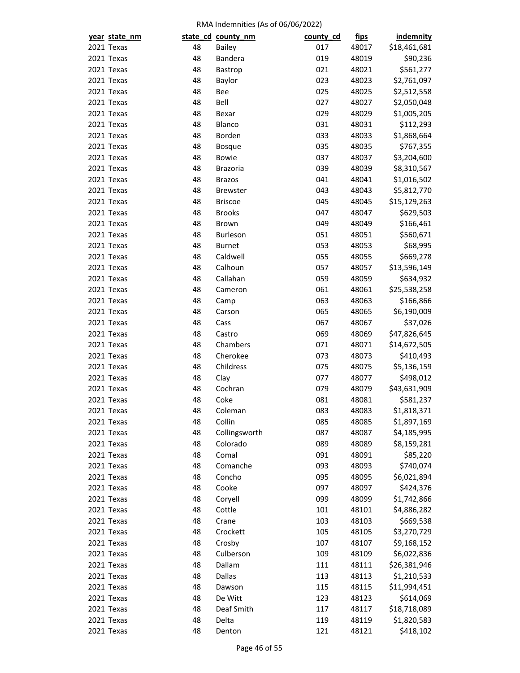| year state_nm |          | state_cd county_nm | county_cd | <u>fips</u> | <b>indemnity</b>          |
|---------------|----------|--------------------|-----------|-------------|---------------------------|
| 2021 Texas    | 48       | Bailey             | 017       | 48017       | \$18,461,681              |
| 2021 Texas    | 48       | Bandera            | 019       | 48019       | \$90,236                  |
| 2021 Texas    | 48       | Bastrop            | 021       | 48021       | \$561,277                 |
| 2021 Texas    | 48       | Baylor             | 023       | 48023       | \$2,761,097               |
| 2021 Texas    | 48       | Bee                | 025       | 48025       | \$2,512,558               |
| 2021 Texas    | 48       | Bell               | 027       | 48027       | \$2,050,048               |
| 2021 Texas    | 48       | Bexar              | 029       | 48029       | \$1,005,205               |
| 2021 Texas    | 48       | Blanco             | 031       | 48031       | \$112,293                 |
| 2021 Texas    | 48       | Borden             | 033       | 48033       | \$1,868,664               |
| 2021 Texas    | 48       | <b>Bosque</b>      | 035       | 48035       | \$767,355                 |
| 2021 Texas    | 48       | <b>Bowie</b>       | 037       | 48037       | \$3,204,600               |
| 2021 Texas    | 48       | <b>Brazoria</b>    | 039       | 48039       | \$8,310,567               |
| 2021 Texas    | 48       | <b>Brazos</b>      | 041       | 48041       | \$1,016,502               |
| 2021 Texas    | 48       | <b>Brewster</b>    | 043       | 48043       | \$5,812,770               |
| 2021 Texas    | 48       | <b>Briscoe</b>     | 045       | 48045       | \$15,129,263              |
| 2021 Texas    | 48       | <b>Brooks</b>      | 047       | 48047       | \$629,503                 |
| 2021 Texas    | 48       | Brown              | 049       | 48049       | \$166,461                 |
| 2021 Texas    | 48       | Burleson           | 051       | 48051       | \$560,671                 |
| 2021 Texas    | 48       | <b>Burnet</b>      | 053       | 48053       | \$68,995                  |
| 2021 Texas    | 48       | Caldwell           | 055       | 48055       | \$669,278                 |
| 2021 Texas    | 48       | Calhoun            | 057       | 48057       | \$13,596,149              |
| 2021 Texas    | 48       | Callahan           | 059       | 48059       | \$634,932                 |
| 2021 Texas    | 48       | Cameron            | 061       | 48061       | \$25,538,258              |
| 2021 Texas    | 48       | Camp               | 063       | 48063       | \$166,866                 |
| 2021 Texas    | 48       | Carson             | 065       | 48065       | \$6,190,009               |
| 2021 Texas    | 48       | Cass               | 067       | 48067       | \$37,026                  |
| 2021 Texas    | 48       | Castro             | 069       | 48069       | \$47,826,645              |
| 2021 Texas    | 48       | Chambers           | 071       | 48071       | \$14,672,505              |
| 2021 Texas    | 48       | Cherokee           | 073       | 48073       | \$410,493                 |
| 2021 Texas    | 48       | Childress          | 075       | 48075       | \$5,136,159               |
| 2021 Texas    | 48       | Clay               | 077       | 48077       | \$498,012                 |
| 2021 Texas    | 48       | Cochran            | 079       | 48079       | \$43,631,909              |
| 2021 Texas    | 48       | Coke               | 081       | 48081       | \$581,237                 |
| 2021 Texas    | 48       | Coleman            | 083       | 48083       | \$1,818,371               |
| 2021 Texas    | 48       | Collin             | 085       | 48085       | \$1,897,169               |
| 2021 Texas    | 48       | Collingsworth      | 087       | 48087       | \$4,185,995               |
| 2021 Texas    | 48       | Colorado           | 089       | 48089       | \$8,159,281               |
| 2021 Texas    | 48       | Comal              | 091       | 48091       | \$85,220                  |
| 2021 Texas    | 48       | Comanche           | 093       | 48093       | \$740,074                 |
| 2021 Texas    | 48       | Concho             | 095       | 48095       | \$6,021,894               |
| 2021 Texas    | 48       | Cooke              | 097       | 48097       | \$424,376                 |
| 2021 Texas    | 48       | Coryell            | 099       | 48099       | \$1,742,866               |
| 2021 Texas    | 48       | Cottle             | 101       | 48101       | \$4,886,282               |
| 2021 Texas    | 48       | Crane              | 103       | 48103       | \$669,538                 |
| 2021 Texas    | 48       | Crockett           | 105       | 48105       | \$3,270,729               |
| 2021 Texas    | 48       | Crosby             | 107       | 48107       | \$9,168,152               |
| 2021 Texas    | 48       | Culberson          | 109       | 48109       | \$6,022,836               |
| 2021 Texas    | 48       | Dallam             | 111       | 48111       | \$26,381,946              |
|               | 48       | Dallas             | 113       |             |                           |
| 2021 Texas    |          | Dawson             |           | 48113       | \$1,210,533               |
| 2021 Texas    | 48<br>48 | De Witt            | 115       | 48115       | \$11,994,451              |
| 2021 Texas    | 48       | Deaf Smith         | 123       | 48123       | \$614,069<br>\$18,718,089 |
| 2021 Texas    |          |                    | 117       | 48117       |                           |
| 2021 Texas    | 48       | Delta              | 119       | 48119       | \$1,820,583               |
| 2021 Texas    | 48       | Denton             | 121       | 48121       | \$418,102                 |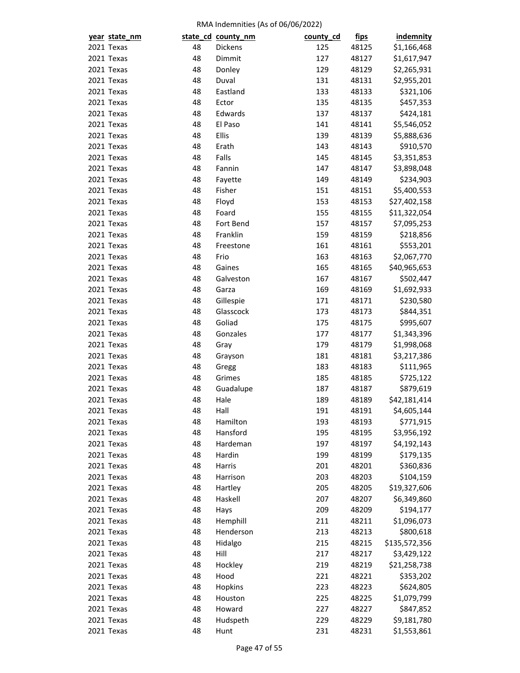| year state_nm |    | state_cd_county_nm | county_cd | <u>fips</u> | <b>indemnity</b> |
|---------------|----|--------------------|-----------|-------------|------------------|
| 2021 Texas    | 48 | Dickens            | 125       | 48125       | \$1,166,468      |
| 2021 Texas    | 48 | Dimmit             | 127       | 48127       | \$1,617,947      |
| 2021 Texas    | 48 | Donley             | 129       | 48129       | \$2,265,931      |
| 2021 Texas    | 48 | Duval              | 131       | 48131       | \$2,955,201      |
| 2021 Texas    | 48 | Eastland           | 133       | 48133       | \$321,106        |
| 2021 Texas    | 48 | Ector              | 135       | 48135       | \$457,353        |
| 2021 Texas    | 48 | Edwards            | 137       | 48137       | \$424,181        |
| 2021 Texas    | 48 | El Paso            | 141       | 48141       | \$5,546,052      |
| 2021 Texas    | 48 | Ellis              | 139       | 48139       | \$5,888,636      |
| 2021 Texas    | 48 | Erath              | 143       | 48143       | \$910,570        |
| 2021 Texas    | 48 | Falls              | 145       | 48145       | \$3,351,853      |
| 2021 Texas    | 48 | Fannin             | 147       | 48147       | \$3,898,048      |
| 2021 Texas    | 48 | Fayette            | 149       | 48149       | \$234,903        |
| 2021 Texas    | 48 | Fisher             | 151       | 48151       | \$5,400,553      |
| 2021 Texas    | 48 | Floyd              | 153       | 48153       | \$27,402,158     |
| 2021 Texas    | 48 | Foard              | 155       | 48155       | \$11,322,054     |
| 2021 Texas    | 48 | Fort Bend          | 157       | 48157       | \$7,095,253      |
| 2021 Texas    | 48 | Franklin           | 159       | 48159       | \$218,856        |
| 2021 Texas    | 48 | Freestone          | 161       | 48161       | \$553,201        |
| 2021 Texas    | 48 | Frio               | 163       | 48163       | \$2,067,770      |
| 2021 Texas    | 48 | Gaines             | 165       | 48165       | \$40,965,653     |
| 2021 Texas    | 48 | Galveston          | 167       | 48167       | \$502,447        |
| 2021 Texas    | 48 | Garza              | 169       | 48169       | \$1,692,933      |
| 2021 Texas    | 48 | Gillespie          | 171       | 48171       | \$230,580        |
| 2021 Texas    | 48 | Glasscock          | 173       | 48173       | \$844,351        |
| 2021 Texas    | 48 | Goliad             | 175       | 48175       | \$995,607        |
| 2021 Texas    | 48 | Gonzales           | 177       | 48177       | \$1,343,396      |
| 2021 Texas    | 48 | Gray               | 179       | 48179       | \$1,998,068      |
| 2021 Texas    | 48 | Grayson            | 181       | 48181       | \$3,217,386      |
| 2021 Texas    | 48 | Gregg              | 183       | 48183       | \$111,965        |
| 2021 Texas    | 48 | Grimes             | 185       | 48185       | \$725,122        |
| 2021 Texas    | 48 | Guadalupe          | 187       | 48187       | \$879,619        |
| 2021 Texas    | 48 | Hale               | 189       | 48189       | \$42,181,414     |
| 2021 Texas    | 48 | Hall               | 191       | 48191       | \$4,605,144      |
| 2021 Texas    | 48 | Hamilton           | 193       | 48193       | \$771,915        |
| 2021 Texas    | 48 | Hansford           | 195       | 48195       | \$3,956,192      |
| 2021 Texas    | 48 | Hardeman           | 197       | 48197       | \$4,192,143      |
| 2021 Texas    | 48 | Hardin             | 199       | 48199       | \$179,135        |
| 2021 Texas    | 48 | Harris             | 201       | 48201       | \$360,836        |
| 2021 Texas    | 48 | Harrison           | 203       | 48203       | \$104,159        |
| 2021 Texas    | 48 | Hartley            | 205       | 48205       | \$19,327,606     |
| 2021 Texas    | 48 | Haskell            | 207       | 48207       | \$6,349,860      |
| 2021 Texas    | 48 | Hays               | 209       | 48209       | \$194,177        |
| 2021 Texas    | 48 | Hemphill           | 211       | 48211       | \$1,096,073      |
| 2021 Texas    | 48 | Henderson          | 213       | 48213       | \$800,618        |
| 2021 Texas    | 48 | Hidalgo            | 215       | 48215       | \$135,572,356    |
| 2021 Texas    | 48 | Hill               | 217       | 48217       | \$3,429,122      |
| 2021 Texas    | 48 | Hockley            | 219       | 48219       | \$21,258,738     |
| 2021 Texas    | 48 | Hood               | 221       | 48221       |                  |
| 2021 Texas    | 48 |                    | 223       |             | \$353,202        |
|               | 48 | Hopkins            | 225       | 48223       | \$624,805        |
| 2021 Texas    |    | Houston            |           | 48225       | \$1,079,799      |
| 2021 Texas    | 48 | Howard             | 227       | 48227       | \$847,852        |
| 2021 Texas    | 48 | Hudspeth           | 229       | 48229       | \$9,181,780      |
| 2021 Texas    | 48 | Hunt               | 231       | 48231       | \$1,553,861      |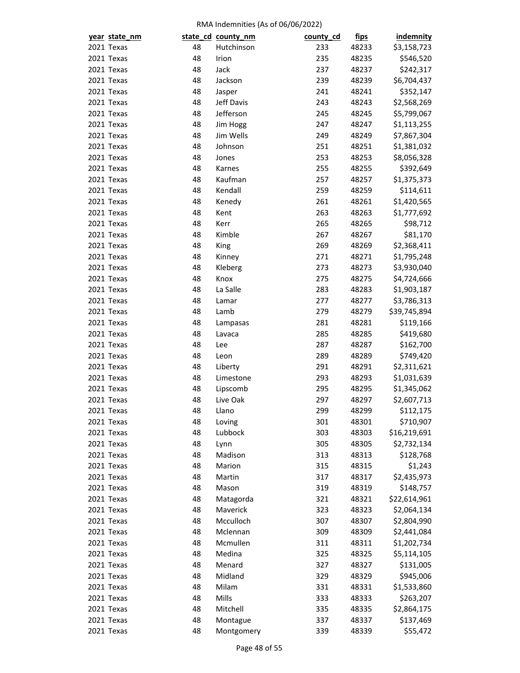| year state_nm |    | state_cd_county_nm | county_cd | <u>fips</u> | <b>indemnity</b> |
|---------------|----|--------------------|-----------|-------------|------------------|
| 2021 Texas    | 48 | Hutchinson         | 233       | 48233       | \$3,158,723      |
| 2021 Texas    | 48 | Irion              | 235       | 48235       | \$546,520        |
| 2021 Texas    | 48 | Jack               | 237       | 48237       | \$242,317        |
| 2021 Texas    | 48 | Jackson            | 239       | 48239       | \$6,704,437      |
| 2021 Texas    | 48 | Jasper             | 241       | 48241       | \$352,147        |
| 2021 Texas    | 48 | Jeff Davis         | 243       | 48243       | \$2,568,269      |
| 2021 Texas    | 48 | Jefferson          | 245       | 48245       | \$5,799,067      |
| 2021 Texas    | 48 | Jim Hogg           | 247       | 48247       | \$1,113,255      |
| 2021 Texas    | 48 | Jim Wells          | 249       | 48249       | \$7,867,304      |
| 2021 Texas    | 48 | Johnson            | 251       | 48251       | \$1,381,032      |
| 2021 Texas    | 48 | Jones              | 253       | 48253       | \$8,056,328      |
| 2021 Texas    | 48 | Karnes             | 255       | 48255       | \$392,649        |
| 2021 Texas    | 48 | Kaufman            | 257       | 48257       | \$1,375,373      |
| 2021 Texas    | 48 | Kendall            | 259       | 48259       | \$114,611        |
| 2021 Texas    | 48 | Kenedy             | 261       | 48261       | \$1,420,565      |
| 2021 Texas    | 48 | Kent               | 263       | 48263       | \$1,777,692      |
| 2021 Texas    | 48 | Kerr               | 265       | 48265       | \$98,712         |
| 2021 Texas    | 48 | Kimble             | 267       | 48267       | \$81,170         |
| 2021 Texas    | 48 | King               | 269       | 48269       | \$2,368,411      |
| 2021 Texas    | 48 | Kinney             | 271       | 48271       | \$1,795,248      |
| 2021 Texas    | 48 | Kleberg            | 273       | 48273       | \$3,930,040      |
| 2021 Texas    | 48 | Knox               | 275       | 48275       | \$4,724,666      |
| 2021 Texas    | 48 | La Salle           | 283       | 48283       | \$1,903,187      |
| 2021 Texas    | 48 | Lamar              | 277       | 48277       | \$3,786,313      |
| 2021 Texas    | 48 | Lamb               | 279       | 48279       | \$39,745,894     |
| 2021 Texas    | 48 | Lampasas           | 281       | 48281       | \$119,166        |
| 2021 Texas    | 48 | Lavaca             | 285       | 48285       | \$419,680        |
| 2021 Texas    | 48 | Lee                | 287       | 48287       | \$162,700        |
| 2021 Texas    | 48 | Leon               | 289       | 48289       | \$749,420        |
| 2021 Texas    | 48 | Liberty            | 291       | 48291       | \$2,311,621      |
| 2021 Texas    | 48 | Limestone          | 293       | 48293       | \$1,031,639      |
| 2021 Texas    | 48 | Lipscomb           | 295       | 48295       | \$1,345,062      |
| 2021 Texas    | 48 | Live Oak           | 297       | 48297       | \$2,607,713      |
| 2021 Texas    | 48 | Llano              | 299       | 48299       | \$112,175        |
| 2021 Texas    | 48 | Loving             | 301       | 48301       | \$710,907        |
| 2021 Texas    | 48 | Lubbock            | 303       | 48303       | \$16,219,691     |
| 2021 Texas    | 48 | Lynn               | 305       | 48305       | \$2,732,134      |
| 2021 Texas    | 48 | Madison            | 313       | 48313       | \$128,768        |
| 2021 Texas    | 48 | Marion             | 315       | 48315       | \$1,243          |
| 2021 Texas    | 48 | Martin             | 317       | 48317       | \$2,435,973      |
| 2021 Texas    | 48 | Mason              | 319       | 48319       | \$148,757        |
| 2021 Texas    | 48 | Matagorda          | 321       | 48321       | \$22,614,961     |
| 2021 Texas    | 48 | Maverick           | 323       | 48323       | \$2,064,134      |
| 2021 Texas    | 48 | Mcculloch          | 307       | 48307       | \$2,804,990      |
| 2021 Texas    | 48 | Mclennan           | 309       | 48309       | \$2,441,084      |
| 2021 Texas    | 48 | Mcmullen           | 311       | 48311       | \$1,202,734      |
| 2021 Texas    | 48 | Medina             | 325       | 48325       | \$5,114,105      |
| 2021 Texas    | 48 | Menard             | 327       | 48327       | \$131,005        |
| 2021 Texas    | 48 | Midland            | 329       | 48329       | \$945,006        |
| 2021 Texas    | 48 | Milam              | 331       |             |                  |
|               | 48 | Mills              |           | 48331       | \$1,533,860      |
| 2021 Texas    |    |                    | 333       | 48333       | \$263,207        |
| 2021 Texas    | 48 | Mitchell           | 335       | 48335       | \$2,864,175      |
| 2021 Texas    | 48 | Montague           | 337       | 48337       | \$137,469        |
| 2021 Texas    | 48 | Montgomery         | 339       | 48339       | \$55,472         |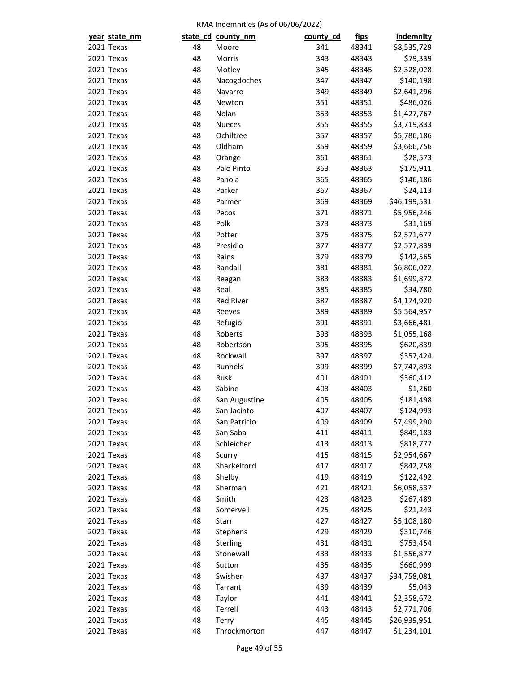| year state_nm |    | state_cd_county_nm    | county_cd | <u>fips</u> | <b>indemnity</b> |
|---------------|----|-----------------------|-----------|-------------|------------------|
| 2021 Texas    | 48 | Moore                 | 341       | 48341       | \$8,535,729      |
| 2021 Texas    | 48 | Morris                | 343       | 48343       | \$79,339         |
| 2021 Texas    | 48 | Motley                | 345       | 48345       | \$2,328,028      |
| 2021 Texas    | 48 | Nacogdoches           | 347       | 48347       | \$140,198        |
| 2021 Texas    | 48 | Navarro               | 349       | 48349       | \$2,641,296      |
| 2021 Texas    | 48 | Newton                | 351       | 48351       | \$486,026        |
| 2021 Texas    | 48 | Nolan                 | 353       | 48353       | \$1,427,767      |
| 2021 Texas    | 48 | <b>Nueces</b>         | 355       | 48355       | \$3,719,833      |
| 2021 Texas    | 48 | Ochiltree             | 357       | 48357       | \$5,786,186      |
| 2021 Texas    | 48 | Oldham                | 359       | 48359       | \$3,666,756      |
| 2021 Texas    | 48 | Orange                | 361       | 48361       | \$28,573         |
| 2021 Texas    | 48 | Palo Pinto            | 363       | 48363       | \$175,911        |
| 2021 Texas    | 48 | Panola                | 365       | 48365       | \$146,186        |
| 2021 Texas    | 48 | Parker                | 367       | 48367       | \$24,113         |
| 2021 Texas    | 48 | Parmer                | 369       | 48369       | \$46,199,531     |
| 2021 Texas    | 48 | Pecos                 | 371       | 48371       | \$5,956,246      |
| 2021 Texas    | 48 | Polk                  | 373       | 48373       | \$31,169         |
| 2021 Texas    | 48 | Potter                | 375       | 48375       | \$2,571,677      |
| 2021 Texas    | 48 | Presidio              | 377       | 48377       | \$2,577,839      |
| 2021 Texas    | 48 | Rains                 | 379       | 48379       | \$142,565        |
| 2021 Texas    | 48 | Randall               | 381       | 48381       | \$6,806,022      |
| 2021 Texas    | 48 | Reagan                | 383       | 48383       | \$1,699,872      |
| 2021 Texas    | 48 | Real                  | 385       | 48385       | \$34,780         |
| 2021 Texas    | 48 | <b>Red River</b>      | 387       | 48387       | \$4,174,920      |
| 2021 Texas    | 48 | Reeves                | 389       | 48389       | \$5,564,957      |
| 2021 Texas    | 48 | Refugio               | 391       | 48391       | \$3,666,481      |
| 2021 Texas    | 48 | Roberts               | 393       | 48393       | \$1,055,168      |
| 2021 Texas    | 48 | Robertson             | 395       | 48395       | \$620,839        |
| 2021 Texas    | 48 | Rockwall              | 397       | 48397       | \$357,424        |
| 2021 Texas    | 48 | Runnels               | 399       | 48399       | \$7,747,893      |
| 2021 Texas    | 48 | Rusk                  | 401       | 48401       | \$360,412        |
| 2021 Texas    | 48 | Sabine                | 403       | 48403       | \$1,260          |
| 2021 Texas    | 48 | San Augustine         | 405       | 48405       | \$181,498        |
| 2021 Texas    | 48 | San Jacinto           | 407       | 48407       | \$124,993        |
| 2021 Texas    | 48 | San Patricio          | 409       | 48409       | \$7,499,290      |
| 2021 Texas    | 48 | San Saba              | 411       | 48411       | \$849,183        |
| 2021 Texas    | 48 | Schleicher            | 413       | 48413       | \$818,777        |
| 2021 Texas    | 48 | Scurry                | 415       | 48415       | \$2,954,667      |
| 2021 Texas    | 48 | Shackelford           | 417       | 48417       | \$842,758        |
| 2021 Texas    | 48 | Shelby                | 419       | 48419       | \$122,492        |
| 2021 Texas    | 48 | Sherman               | 421       | 48421       | \$6,058,537      |
| 2021 Texas    | 48 | Smith                 | 423       | 48423       | \$267,489        |
| 2021 Texas    | 48 | Somervell             | 425       | 48425       | \$21,243         |
| 2021 Texas    | 48 | Starr                 | 427       | 48427       | \$5,108,180      |
| 2021 Texas    | 48 | Stephens              | 429       | 48429       | \$310,746        |
| 2021 Texas    | 48 |                       | 431       |             |                  |
| 2021 Texas    | 48 | Sterling<br>Stonewall | 433       | 48431       | \$753,454        |
|               |    |                       |           | 48433       | \$1,556,877      |
| 2021 Texas    | 48 | Sutton                | 435       | 48435       | \$660,999        |
| 2021 Texas    | 48 | Swisher               | 437       | 48437       | \$34,758,081     |
| 2021 Texas    | 48 | Tarrant               | 439       | 48439       | \$5,043          |
| 2021 Texas    | 48 | Taylor                | 441       | 48441       | \$2,358,672      |
| 2021 Texas    | 48 | Terrell               | 443       | 48443       | \$2,771,706      |
| 2021 Texas    | 48 | Terry                 | 445       | 48445       | \$26,939,951     |
| 2021 Texas    | 48 | Throckmorton          | 447       | 48447       | \$1,234,101      |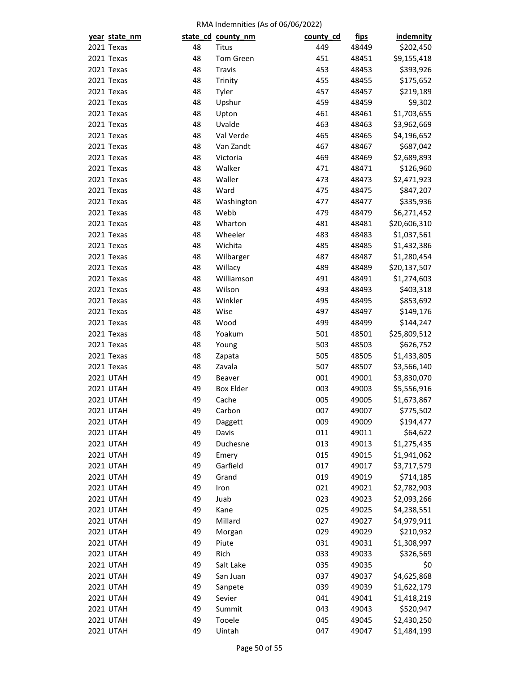| year state_nm                        |    | state_cd_county_nm | county_cd | <u>fips</u> | <b>indemnity</b> |
|--------------------------------------|----|--------------------|-----------|-------------|------------------|
| 2021 Texas                           | 48 | <b>Titus</b>       | 449       | 48449       | \$202,450        |
| 2021 Texas                           | 48 | Tom Green          | 451       | 48451       | \$9,155,418      |
| 2021 Texas                           | 48 | Travis             | 453       | 48453       | \$393,926        |
| 2021 Texas                           | 48 | Trinity            | 455       | 48455       | \$175,652        |
| 2021 Texas                           | 48 | Tyler              | 457       | 48457       | \$219,189        |
| 2021 Texas                           | 48 | Upshur             | 459       | 48459       | \$9,302          |
| 2021 Texas                           | 48 | Upton              | 461       | 48461       | \$1,703,655      |
| 2021 Texas                           | 48 | Uvalde             | 463       | 48463       | \$3,962,669      |
| 2021 Texas                           | 48 | Val Verde          | 465       | 48465       | \$4,196,652      |
| 2021 Texas                           | 48 | Van Zandt          | 467       | 48467       | \$687,042        |
| 2021 Texas                           | 48 | Victoria           | 469       | 48469       | \$2,689,893      |
| 2021 Texas                           | 48 | Walker             | 471       | 48471       | \$126,960        |
| 2021 Texas                           | 48 | Waller             | 473       | 48473       | \$2,471,923      |
| 2021 Texas                           | 48 | Ward               | 475       | 48475       | \$847,207        |
| 2021 Texas                           | 48 | Washington         | 477       | 48477       | \$335,936        |
| 2021 Texas                           | 48 | Webb               | 479       | 48479       | \$6,271,452      |
| 2021 Texas                           | 48 | Wharton            | 481       | 48481       | \$20,606,310     |
| 2021 Texas                           | 48 | Wheeler            | 483       | 48483       | \$1,037,561      |
| 2021 Texas                           | 48 | Wichita            | 485       | 48485       | \$1,432,386      |
| 2021 Texas                           | 48 | Wilbarger          | 487       | 48487       | \$1,280,454      |
| 2021 Texas                           | 48 | Willacy            | 489       | 48489       | \$20,137,507     |
| 2021 Texas                           | 48 | Williamson         | 491       | 48491       | \$1,274,603      |
| 2021 Texas                           | 48 | Wilson             | 493       | 48493       | \$403,318        |
| 2021 Texas                           | 48 | Winkler            | 495       | 48495       | \$853,692        |
| 2021 Texas                           | 48 | Wise               | 497       | 48497       | \$149,176        |
| 2021 Texas                           | 48 | Wood               | 499       | 48499       | \$144,247        |
| 2021 Texas                           | 48 | Yoakum             | 501       | 48501       | \$25,809,512     |
| 2021 Texas                           | 48 | Young              | 503       | 48503       | \$626,752        |
| 2021 Texas                           | 48 | Zapata             | 505       | 48505       | \$1,433,805      |
| 2021 Texas                           | 48 | Zavala             | 507       | 48507       | \$3,566,140      |
| <b>2021 UTAH</b>                     | 49 | Beaver             | 001       | 49001       | \$3,830,070      |
| <b>2021 UTAH</b>                     | 49 | <b>Box Elder</b>   | 003       | 49003       | \$5,556,916      |
| <b>2021 UTAH</b>                     | 49 | Cache              | 005       | 49005       | \$1,673,867      |
| <b>2021 UTAH</b>                     | 49 | Carbon             | 007       | 49007       | \$775,502        |
| <b>2021 UTAH</b>                     | 49 | Daggett            | 009       | 49009       | \$194,477        |
| <b>2021 UTAH</b>                     | 49 | Davis              | 011       | 49011       | \$64,622         |
| <b>2021 UTAH</b>                     | 49 | Duchesne           | 013       | 49013       | \$1,275,435      |
| <b>2021 UTAH</b>                     | 49 | Emery              | 015       | 49015       | \$1,941,062      |
| <b>2021 UTAH</b>                     | 49 | Garfield           | 017       | 49017       | \$3,717,579      |
| <b>2021 UTAH</b>                     | 49 | Grand              | 019       | 49019       | \$714,185        |
|                                      | 49 |                    | 021       | 49021       | \$2,782,903      |
| <b>2021 UTAH</b><br><b>2021 UTAH</b> | 49 | Iron<br>Juab       | 023       | 49023       | \$2,093,266      |
| <b>2021 UTAH</b>                     | 49 | Kane               | 025       | 49025       |                  |
|                                      |    | Millard            |           |             | \$4,238,551      |
| <b>2021 UTAH</b>                     | 49 |                    | 027       | 49027       | \$4,979,911      |
| <b>2021 UTAH</b>                     | 49 | Morgan             | 029       | 49029       | \$210,932        |
| <b>2021 UTAH</b>                     | 49 | Piute<br>Rich      | 031       | 49031       | \$1,308,997      |
| <b>2021 UTAH</b>                     | 49 |                    | 033       | 49033       | \$326,569        |
| <b>2021 UTAH</b>                     | 49 | Salt Lake          | 035       | 49035       | \$0              |
| <b>2021 UTAH</b>                     | 49 | San Juan           | 037       | 49037       | \$4,625,868      |
| <b>2021 UTAH</b>                     | 49 | Sanpete            | 039       | 49039       | \$1,622,179      |
| <b>2021 UTAH</b>                     | 49 | Sevier             | 041       | 49041       | \$1,418,219      |
| <b>2021 UTAH</b>                     | 49 | Summit             | 043       | 49043       | \$520,947        |
| <b>2021 UTAH</b>                     | 49 | Tooele             | 045       | 49045       | \$2,430,250      |
| <b>2021 UTAH</b>                     | 49 | Uintah             | 047       | 49047       | \$1,484,199      |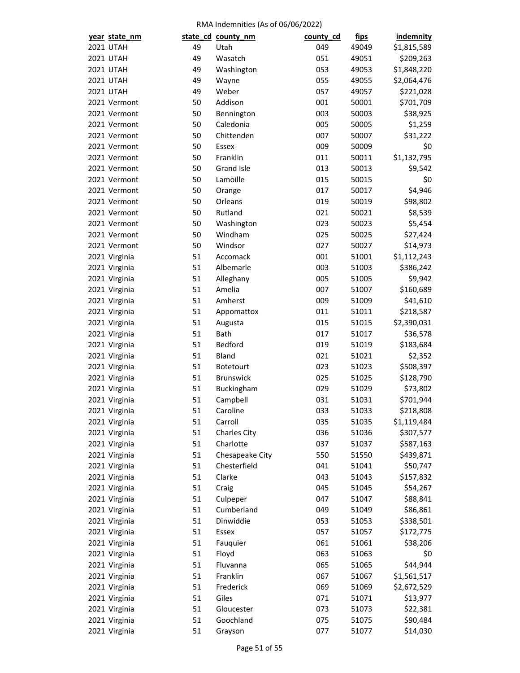| year state_nm                  |    | state_cd_county_nm            | county_cd | <u>fips</u>    | <b>indemnity</b> |
|--------------------------------|----|-------------------------------|-----------|----------------|------------------|
| <b>2021 UTAH</b>               | 49 | Utah                          | 049       | 49049          | \$1,815,589      |
| <b>2021 UTAH</b>               | 49 | Wasatch                       | 051       | 49051          | \$209,263        |
| <b>2021 UTAH</b>               | 49 | Washington                    | 053       | 49053          | \$1,848,220      |
| <b>2021 UTAH</b>               | 49 | Wayne                         | 055       | 49055          | \$2,064,476      |
| <b>2021 UTAH</b>               | 49 | Weber                         | 057       | 49057          | \$221,028        |
| 2021 Vermont                   | 50 | Addison                       | 001       | 50001          | \$701,709        |
| 2021 Vermont                   | 50 | Bennington                    | 003       | 50003          | \$38,925         |
| 2021 Vermont                   | 50 | Caledonia                     | 005       | 50005          | \$1,259          |
| 2021 Vermont                   | 50 | Chittenden                    | 007       | 50007          | \$31,222         |
| 2021 Vermont                   | 50 | Essex                         | 009       | 50009          | \$0              |
| 2021 Vermont                   | 50 | Franklin                      | 011       | 50011          | \$1,132,795      |
| 2021 Vermont                   | 50 | <b>Grand Isle</b>             | 013       | 50013          | \$9,542          |
| 2021 Vermont                   | 50 | Lamoille                      | 015       | 50015          | \$0              |
| 2021 Vermont                   | 50 | Orange                        | 017       | 50017          | \$4,946          |
| 2021 Vermont                   | 50 | Orleans                       | 019       | 50019          | \$98,802         |
| 2021 Vermont                   | 50 | Rutland                       | 021       | 50021          | \$8,539          |
| 2021 Vermont                   | 50 | Washington                    | 023       | 50023          | \$5,454          |
| 2021 Vermont                   | 50 | Windham                       | 025       | 50025          | \$27,424         |
| 2021 Vermont                   | 50 | Windsor                       | 027       | 50027          | \$14,973         |
| 2021 Virginia                  | 51 | Accomack                      | 001       | 51001          | \$1,112,243      |
| 2021 Virginia                  | 51 | Albemarle                     | 003       | 51003          | \$386,242        |
| 2021 Virginia                  | 51 | Alleghany                     | 005       | 51005          | \$9,942          |
| 2021 Virginia                  | 51 | Amelia                        | 007       | 51007          | \$160,689        |
| 2021 Virginia                  | 51 | Amherst                       | 009       | 51009          | \$41,610         |
| 2021 Virginia                  | 51 | Appomattox                    | 011       | 51011          | \$218,587        |
| 2021 Virginia                  | 51 | Augusta                       | 015       | 51015          | \$2,390,031      |
| 2021 Virginia                  | 51 | Bath                          | 017       | 51017          | \$36,578         |
| 2021 Virginia                  | 51 | Bedford                       | 019       | 51019          | \$183,684        |
| 2021 Virginia                  | 51 | <b>Bland</b>                  | 021       | 51021          | \$2,352          |
|                                | 51 |                               | 023       | 51023          | \$508,397        |
| 2021 Virginia<br>2021 Virginia | 51 | Botetourt<br><b>Brunswick</b> | 025       |                |                  |
|                                | 51 |                               | 029       | 51025          | \$128,790        |
| 2021 Virginia                  | 51 | Buckingham                    | 031       | 51029<br>51031 | \$73,802         |
| 2021 Virginia                  |    | Campbell                      |           |                | \$701,944        |
| 2021 Virginia                  | 51 | Caroline                      | 033       | 51033          | \$218,808        |
| 2021 Virginia                  | 51 | Carroll                       | 035       | 51035          | \$1,119,484      |
| 2021 Virginia                  | 51 | <b>Charles City</b>           | 036       | 51036          | \$307,577        |
| 2021 Virginia                  | 51 | Charlotte                     | 037       | 51037          | \$587,163        |
| 2021 Virginia                  | 51 | Chesapeake City               | 550       | 51550          | \$439,871        |
| 2021 Virginia                  | 51 | Chesterfield                  | 041       | 51041          | \$50,747         |
| 2021 Virginia                  | 51 | Clarke                        | 043       | 51043          | \$157,832        |
| 2021 Virginia                  | 51 | Craig                         | 045       | 51045          | \$54,267         |
| 2021 Virginia                  | 51 | Culpeper                      | 047       | 51047          | \$88,841         |
| 2021 Virginia                  | 51 | Cumberland                    | 049       | 51049          | \$86,861         |
| 2021 Virginia                  | 51 | Dinwiddie                     | 053       | 51053          | \$338,501        |
| 2021 Virginia                  | 51 | Essex                         | 057       | 51057          | \$172,775        |
| 2021 Virginia                  | 51 | Fauquier                      | 061       | 51061          | \$38,206         |
| 2021 Virginia                  | 51 | Floyd                         | 063       | 51063          | \$0              |
| 2021 Virginia                  | 51 | Fluvanna                      | 065       | 51065          | \$44,944         |
| 2021 Virginia                  | 51 | Franklin                      | 067       | 51067          | \$1,561,517      |
| 2021 Virginia                  | 51 | Frederick                     | 069       | 51069          | \$2,672,529      |
| 2021 Virginia                  | 51 | Giles                         | 071       | 51071          | \$13,977         |
| 2021 Virginia                  | 51 | Gloucester                    | 073       | 51073          | \$22,381         |
| 2021 Virginia                  | 51 | Goochland                     | 075       | 51075          | \$90,484         |
| 2021 Virginia                  | 51 | Grayson                       | 077       | 51077          | \$14,030         |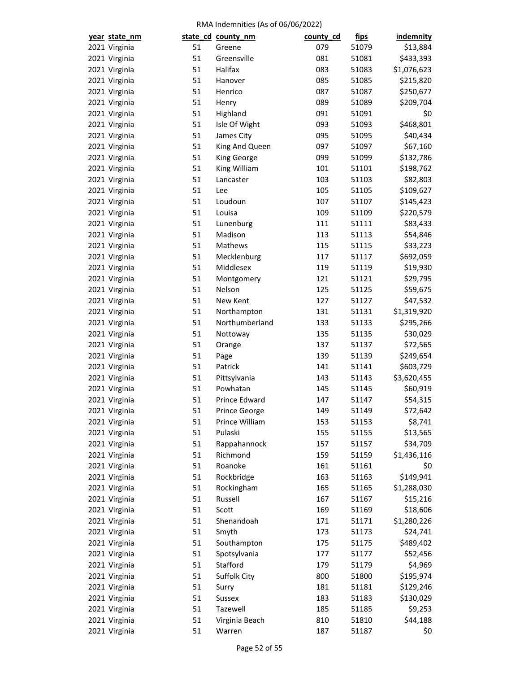| year state_nm |          | state_cd_county_nm        | county_cd | <u>fips</u> | indemnity           |
|---------------|----------|---------------------------|-----------|-------------|---------------------|
| 2021 Virginia | 51       | Greene                    | 079       | 51079       | \$13,884            |
| 2021 Virginia | 51       | Greensville               | 081       | 51081       | \$433,393           |
| 2021 Virginia | 51       | Halifax                   | 083       | 51083       | \$1,076,623         |
| 2021 Virginia | 51       | Hanover                   | 085       | 51085       | \$215,820           |
| 2021 Virginia | 51       | Henrico                   | 087       | 51087       | \$250,677           |
| 2021 Virginia | 51       | Henry                     | 089       | 51089       | \$209,704           |
| 2021 Virginia | 51       | Highland                  | 091       | 51091       | \$0                 |
| 2021 Virginia | 51       | Isle Of Wight             | 093       | 51093       | \$468,801           |
| 2021 Virginia | 51       | James City                | 095       | 51095       | \$40,434            |
| 2021 Virginia | 51       | King And Queen            | 097       | 51097       | \$67,160            |
| 2021 Virginia | 51       | King George               | 099       | 51099       | \$132,786           |
| 2021 Virginia | 51       | King William              | 101       | 51101       | \$198,762           |
| 2021 Virginia | 51       | Lancaster                 | 103       | 51103       | \$82,803            |
| 2021 Virginia | 51       | Lee                       | 105       | 51105       | \$109,627           |
| 2021 Virginia | 51       | Loudoun                   | 107       | 51107       | \$145,423           |
| 2021 Virginia | 51       | Louisa                    | 109       | 51109       | \$220,579           |
| 2021 Virginia | 51       | Lunenburg                 | 111       | 51111       | \$83,433            |
| 2021 Virginia | 51       | Madison                   | 113       | 51113       | \$54,846            |
| 2021 Virginia | 51       | Mathews                   | 115       | 51115       | \$33,223            |
| 2021 Virginia | 51       | Mecklenburg               | 117       | 51117       | \$692,059           |
| 2021 Virginia | 51       | Middlesex                 | 119       | 51119       | \$19,930            |
| 2021 Virginia | 51       | Montgomery                | 121       | 51121       | \$29,795            |
| 2021 Virginia | 51       | Nelson                    | 125       | 51125       | \$59,675            |
| 2021 Virginia | 51       | New Kent                  | 127       | 51127       | \$47,532            |
| 2021 Virginia | 51       | Northampton               | 131       | 51131       | \$1,319,920         |
| 2021 Virginia | 51       | Northumberland            | 133       | 51133       | \$295,266           |
| 2021 Virginia | 51       | Nottoway                  | 135       | 51135       | \$30,029            |
| 2021 Virginia | 51       | Orange                    | 137       | 51137       | \$72,565            |
| 2021 Virginia | 51       | Page                      | 139       | 51139       | \$249,654           |
| 2021 Virginia | 51       | Patrick                   | 141       | 51141       | \$603,729           |
| 2021 Virginia | 51       | Pittsylvania              | 143       | 51143       | \$3,620,455         |
| 2021 Virginia | 51       | Powhatan                  | 145       | 51145       | \$60,919            |
| 2021 Virginia | 51       | Prince Edward             | 147       | 51147       | \$54,315            |
|               |          | Prince George             | 149       |             |                     |
| 2021 Virginia | 51       |                           |           | 51149       | \$72,642<br>\$8,741 |
| 2021 Virginia | 51<br>51 | Prince William<br>Pulaski | 153       | 51153       |                     |
| 2021 Virginia |          |                           | 155       | 51155       | \$13,565            |
| 2021 Virginia | 51       | Rappahannock              | 157       | 51157       | \$34,709            |
| 2021 Virginia | 51       | Richmond                  | 159       | 51159       | \$1,436,116         |
| 2021 Virginia | 51       | Roanoke                   | 161       | 51161       | \$0                 |
| 2021 Virginia | 51       | Rockbridge                | 163       | 51163       | \$149,941           |
| 2021 Virginia | 51       | Rockingham                | 165       | 51165       | \$1,288,030         |
| 2021 Virginia | 51       | Russell                   | 167       | 51167       | \$15,216            |
| 2021 Virginia | 51       | Scott                     | 169       | 51169       | \$18,606            |
| 2021 Virginia | 51       | Shenandoah                | 171       | 51171       | \$1,280,226         |
| 2021 Virginia | 51       | Smyth                     | 173       | 51173       | \$24,741            |
| 2021 Virginia | 51       | Southampton               | 175       | 51175       | \$489,402           |
| 2021 Virginia | 51       | Spotsylvania              | 177       | 51177       | \$52,456            |
| 2021 Virginia | 51       | Stafford                  | 179       | 51179       | \$4,969             |
| 2021 Virginia | 51       | Suffolk City              | 800       | 51800       | \$195,974           |
| 2021 Virginia | 51       | Surry                     | 181       | 51181       | \$129,246           |
| 2021 Virginia | 51       | Sussex                    | 183       | 51183       | \$130,029           |
| 2021 Virginia | 51       | Tazewell                  | 185       | 51185       | \$9,253             |
| 2021 Virginia | 51       | Virginia Beach            | 810       | 51810       | \$44,188            |
| 2021 Virginia | 51       | Warren                    | 187       | 51187       | \$0                 |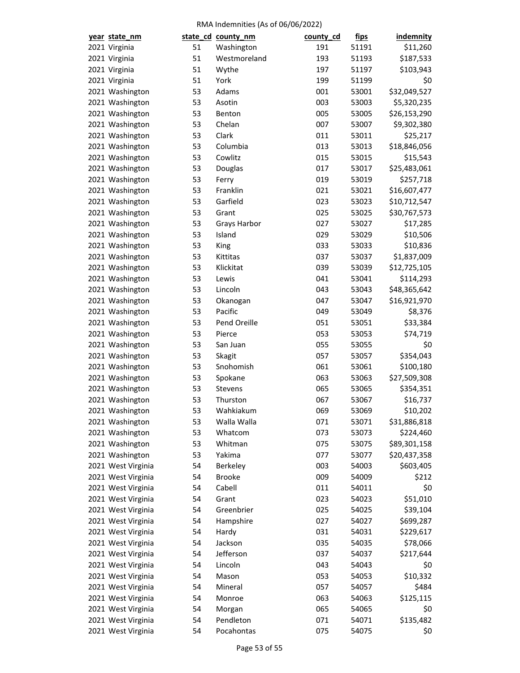| year state_nm      |    | state_cd_county_nm | county_cd | fips  | <b>indemnity</b> |
|--------------------|----|--------------------|-----------|-------|------------------|
| 2021 Virginia      | 51 | Washington         | 191       | 51191 | \$11,260         |
| 2021 Virginia      | 51 | Westmoreland       | 193       | 51193 | \$187,533        |
| 2021 Virginia      | 51 | Wythe              | 197       | 51197 | \$103,943        |
| 2021 Virginia      | 51 | York               | 199       | 51199 | \$0              |
| 2021 Washington    | 53 | Adams              | 001       | 53001 | \$32,049,527     |
| 2021 Washington    | 53 | Asotin             | 003       | 53003 | \$5,320,235      |
| 2021 Washington    | 53 | Benton             | 005       | 53005 | \$26,153,290     |
| 2021 Washington    | 53 | Chelan             | 007       | 53007 | \$9,302,380      |
| 2021 Washington    | 53 | Clark              | 011       | 53011 | \$25,217         |
| 2021 Washington    | 53 | Columbia           | 013       | 53013 | \$18,846,056     |
| 2021 Washington    | 53 | Cowlitz            | 015       | 53015 | \$15,543         |
| 2021 Washington    | 53 | Douglas            | 017       | 53017 | \$25,483,061     |
| 2021 Washington    | 53 | Ferry              | 019       | 53019 | \$257,718        |
| 2021 Washington    | 53 | Franklin           | 021       | 53021 | \$16,607,477     |
| 2021 Washington    | 53 | Garfield           | 023       | 53023 | \$10,712,547     |
| 2021 Washington    | 53 | Grant              | 025       | 53025 | \$30,767,573     |
| 2021 Washington    | 53 | Grays Harbor       | 027       | 53027 | \$17,285         |
| 2021 Washington    | 53 | Island             | 029       | 53029 | \$10,506         |
| 2021 Washington    | 53 | King               | 033       | 53033 | \$10,836         |
| 2021 Washington    | 53 | Kittitas           | 037       | 53037 | \$1,837,009      |
| 2021 Washington    | 53 | Klickitat          | 039       | 53039 | \$12,725,105     |
| 2021 Washington    | 53 | Lewis              | 041       | 53041 | \$114,293        |
| 2021 Washington    | 53 | Lincoln            | 043       | 53043 | \$48,365,642     |
| 2021 Washington    | 53 | Okanogan           | 047       | 53047 | \$16,921,970     |
| 2021 Washington    | 53 | Pacific            | 049       | 53049 | \$8,376          |
| 2021 Washington    | 53 | Pend Oreille       | 051       | 53051 | \$33,384         |
| 2021 Washington    | 53 | Pierce             | 053       | 53053 | \$74,719         |
| 2021 Washington    | 53 | San Juan           | 055       | 53055 | \$0              |
| 2021 Washington    | 53 | Skagit             | 057       | 53057 | \$354,043        |
| 2021 Washington    | 53 | Snohomish          | 061       | 53061 | \$100,180        |
| 2021 Washington    | 53 | Spokane            | 063       | 53063 | \$27,509,308     |
| 2021 Washington    | 53 | Stevens            | 065       | 53065 | \$354,351        |
| 2021 Washington    | 53 | Thurston           | 067       | 53067 | \$16,737         |
| 2021 Washington    | 53 | Wahkiakum          | 069       | 53069 | \$10,202         |
| 2021 Washington    | 53 | Walla Walla        | 071       | 53071 | \$31,886,818     |
| 2021 Washington    | 53 | Whatcom            | 073       | 53073 | \$224,460        |
| 2021 Washington    | 53 | Whitman            | 075       | 53075 | \$89,301,158     |
| 2021 Washington    | 53 | Yakima             | 077       | 53077 | \$20,437,358     |
| 2021 West Virginia | 54 | Berkeley           | 003       | 54003 | \$603,405        |
| 2021 West Virginia | 54 | <b>Brooke</b>      | 009       | 54009 | \$212            |
| 2021 West Virginia | 54 | Cabell             | 011       | 54011 | \$0              |
| 2021 West Virginia | 54 | Grant              | 023       | 54023 | \$51,010         |
| 2021 West Virginia | 54 | Greenbrier         | 025       | 54025 | \$39,104         |
| 2021 West Virginia | 54 | Hampshire          | 027       |       |                  |
|                    | 54 |                    |           | 54027 | \$699,287        |
| 2021 West Virginia |    | Hardy              | 031       | 54031 | \$229,617        |
| 2021 West Virginia | 54 | Jackson            | 035       | 54035 | \$78,066         |
| 2021 West Virginia | 54 | Jefferson          | 037       | 54037 | \$217,644        |
| 2021 West Virginia | 54 | Lincoln            | 043       | 54043 | \$0              |
| 2021 West Virginia | 54 | Mason              | 053       | 54053 | \$10,332         |
| 2021 West Virginia | 54 | Mineral            | 057       | 54057 | \$484            |
| 2021 West Virginia | 54 | Monroe             | 063       | 54063 | \$125,115        |
| 2021 West Virginia | 54 | Morgan             | 065       | 54065 | \$0              |
| 2021 West Virginia | 54 | Pendleton          | 071       | 54071 | \$135,482        |
| 2021 West Virginia | 54 | Pocahontas         | 075       | 54075 | \$0              |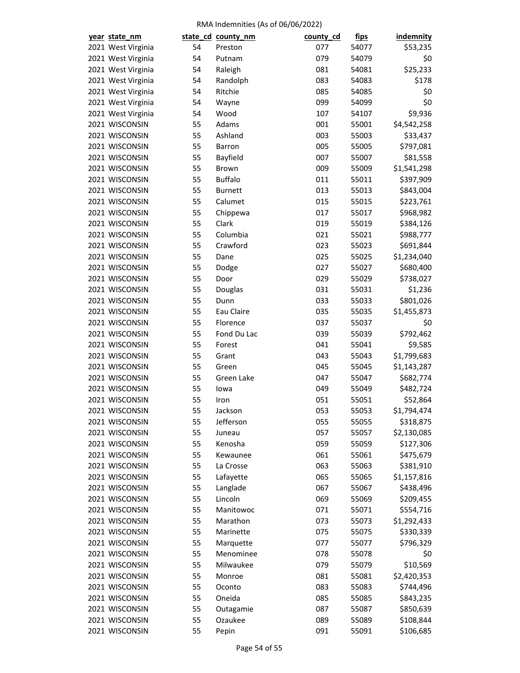| year state_nm                    |    | state_cd_county_nm | county_cd | <u>fips</u> | <b>indemnity</b> |
|----------------------------------|----|--------------------|-----------|-------------|------------------|
| 2021 West Virginia               | 54 | Preston            | 077       | 54077       | \$53,235         |
| 2021 West Virginia               | 54 | Putnam             | 079       | 54079       | \$0              |
| 2021 West Virginia               | 54 | Raleigh            | 081       | 54081       | \$25,233         |
| 2021 West Virginia               | 54 | Randolph           | 083       | 54083       | \$178            |
| 2021 West Virginia               | 54 | Ritchie            | 085       | 54085       | \$0              |
| 2021 West Virginia               | 54 | Wayne              | 099       | 54099       | \$0              |
| 2021 West Virginia               | 54 | Wood               | 107       | 54107       | \$9,936          |
| 2021 WISCONSIN                   | 55 | Adams              | 001       | 55001       | \$4,542,258      |
| 2021 WISCONSIN                   | 55 | Ashland            | 003       | 55003       | \$33,437         |
| 2021 WISCONSIN                   | 55 | <b>Barron</b>      | 005       | 55005       | \$797,081        |
| 2021 WISCONSIN                   | 55 | Bayfield           | 007       | 55007       | \$81,558         |
| 2021 WISCONSIN                   | 55 | Brown              | 009       | 55009       | \$1,541,298      |
| 2021 WISCONSIN                   | 55 | <b>Buffalo</b>     | 011       | 55011       | \$397,909        |
| 2021 WISCONSIN                   | 55 | <b>Burnett</b>     | 013       | 55013       | \$843,004        |
| 2021 WISCONSIN                   | 55 | Calumet            | 015       | 55015       | \$223,761        |
| 2021 WISCONSIN                   | 55 | Chippewa           | 017       | 55017       | \$968,982        |
| 2021 WISCONSIN                   | 55 | Clark              | 019       | 55019       | \$384,126        |
| 2021 WISCONSIN                   | 55 | Columbia           | 021       | 55021       | \$988,777        |
| 2021 WISCONSIN                   | 55 | Crawford           | 023       | 55023       | \$691,844        |
| 2021 WISCONSIN                   | 55 | Dane               | 025       | 55025       | \$1,234,040      |
| 2021 WISCONSIN                   | 55 | Dodge              | 027       | 55027       | \$680,400        |
| 2021 WISCONSIN                   | 55 | Door               | 029       | 55029       | \$738,027        |
| 2021 WISCONSIN                   | 55 | Douglas            | 031       | 55031       | \$1,236          |
| 2021 WISCONSIN                   | 55 | Dunn               | 033       | 55033       | \$801,026        |
| 2021 WISCONSIN                   | 55 | Eau Claire         | 035       | 55035       | \$1,455,873      |
| 2021 WISCONSIN                   | 55 | Florence           | 037       | 55037       | \$0              |
| 2021 WISCONSIN                   | 55 | Fond Du Lac        | 039       | 55039       | \$792,462        |
| 2021 WISCONSIN                   | 55 | Forest             | 041       | 55041       | \$9,585          |
| 2021 WISCONSIN                   | 55 | Grant              | 043       | 55043       | \$1,799,683      |
| 2021 WISCONSIN                   | 55 | Green              | 045       |             | \$1,143,287      |
|                                  |    |                    |           | 55045       |                  |
| 2021 WISCONSIN                   | 55 | Green Lake         | 047       | 55047       | \$682,774        |
| 2021 WISCONSIN<br>2021 WISCONSIN | 55 | lowa               | 049       | 55049       | \$482,724        |
|                                  | 55 | Iron               | 051       | 55051       | \$52,864         |
| 2021 WISCONSIN                   | 55 | Jackson            | 053       | 55053       | \$1,794,474      |
| 2021 WISCONSIN                   | 55 | Jefferson          | 055       | 55055       | \$318,875        |
| 2021 WISCONSIN                   | 55 | Juneau             | 057       | 55057       | \$2,130,085      |
| 2021 WISCONSIN                   | 55 | Kenosha            | 059       | 55059       | \$127,306        |
| 2021 WISCONSIN                   | 55 | Kewaunee           | 061       | 55061       | \$475,679        |
| 2021 WISCONSIN                   | 55 | La Crosse          | 063       | 55063       | \$381,910        |
| 2021 WISCONSIN                   | 55 | Lafayette          | 065       | 55065       | \$1,157,816      |
| 2021 WISCONSIN                   | 55 | Langlade           | 067       | 55067       | \$438,496        |
| 2021 WISCONSIN                   | 55 | Lincoln            | 069       | 55069       | \$209,455        |
| 2021 WISCONSIN                   | 55 | Manitowoc          | 071       | 55071       | \$554,716        |
| 2021 WISCONSIN                   | 55 | Marathon           | 073       | 55073       | \$1,292,433      |
| 2021 WISCONSIN                   | 55 | Marinette          | 075       | 55075       | \$330,339        |
| 2021 WISCONSIN                   | 55 | Marquette          | 077       | 55077       | \$796,329        |
| 2021 WISCONSIN                   | 55 | Menominee          | 078       | 55078       | \$0              |
| 2021 WISCONSIN                   | 55 | Milwaukee          | 079       | 55079       | \$10,569         |
| 2021 WISCONSIN                   | 55 | Monroe             | 081       | 55081       | \$2,420,353      |
| 2021 WISCONSIN                   | 55 | Oconto             | 083       | 55083       | \$744,496        |
| 2021 WISCONSIN                   | 55 | Oneida             | 085       | 55085       | \$843,235        |
| 2021 WISCONSIN                   | 55 | Outagamie          | 087       | 55087       | \$850,639        |
| 2021 WISCONSIN                   | 55 | Ozaukee            | 089       | 55089       | \$108,844        |
| 2021 WISCONSIN                   | 55 | Pepin              | 091       | 55091       | \$106,685        |